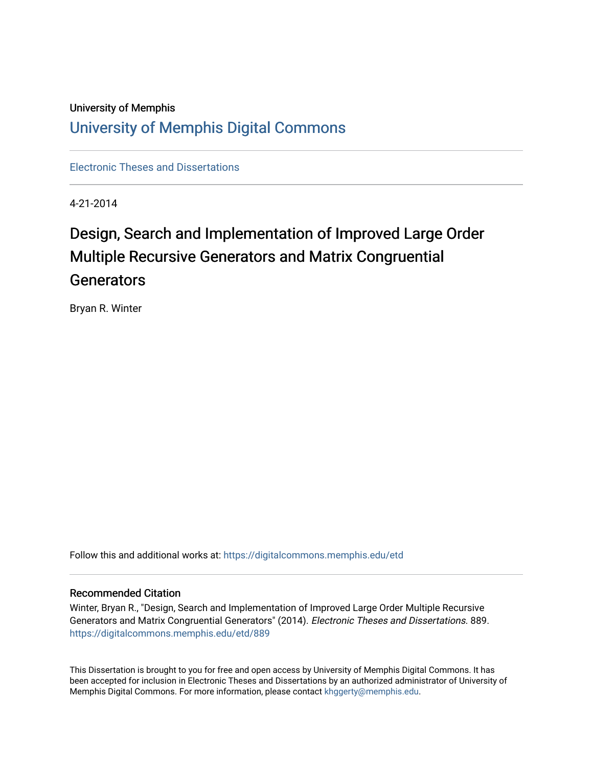## University of Memphis [University of Memphis Digital Commons](https://digitalcommons.memphis.edu/)

[Electronic Theses and Dissertations](https://digitalcommons.memphis.edu/etd)

4-21-2014

# Design, Search and Implementation of Improved Large Order Multiple Recursive Generators and Matrix Congruential **Generators**

Bryan R. Winter

Follow this and additional works at: [https://digitalcommons.memphis.edu/etd](https://digitalcommons.memphis.edu/etd?utm_source=digitalcommons.memphis.edu%2Fetd%2F889&utm_medium=PDF&utm_campaign=PDFCoverPages) 

#### Recommended Citation

Winter, Bryan R., "Design, Search and Implementation of Improved Large Order Multiple Recursive Generators and Matrix Congruential Generators" (2014). Electronic Theses and Dissertations. 889. [https://digitalcommons.memphis.edu/etd/889](https://digitalcommons.memphis.edu/etd/889?utm_source=digitalcommons.memphis.edu%2Fetd%2F889&utm_medium=PDF&utm_campaign=PDFCoverPages) 

This Dissertation is brought to you for free and open access by University of Memphis Digital Commons. It has been accepted for inclusion in Electronic Theses and Dissertations by an authorized administrator of University of Memphis Digital Commons. For more information, please contact [khggerty@memphis.edu.](mailto:khggerty@memphis.edu)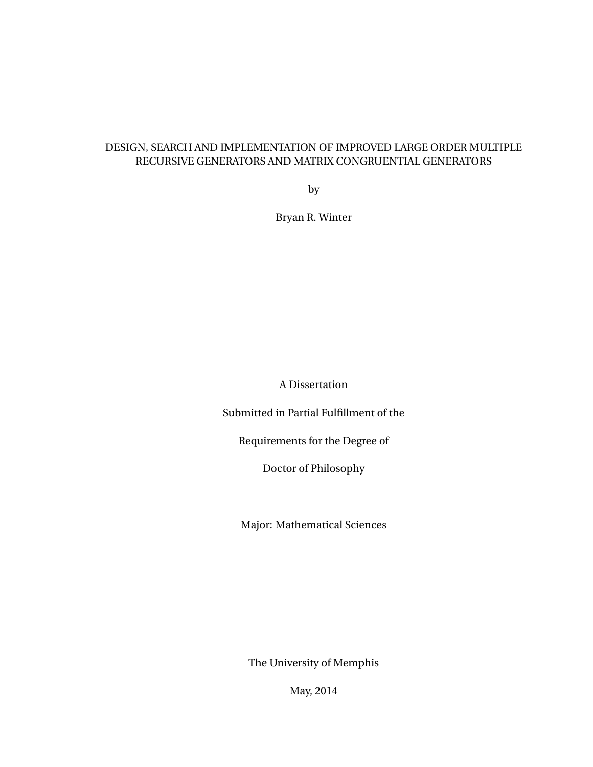#### DESIGN, SEARCH AND IMPLEMENTATION OF IMPROVED LARGE ORDER MULTIPLE RECURSIVE GENERATORS AND MATRIX CONGRUENTIAL GENERATORS

by

Bryan R. Winter

A Dissertation

Submitted in Partial Fulfillment of the

Requirements for the Degree of

Doctor of Philosophy

Major: Mathematical Sciences

The University of Memphis

May, 2014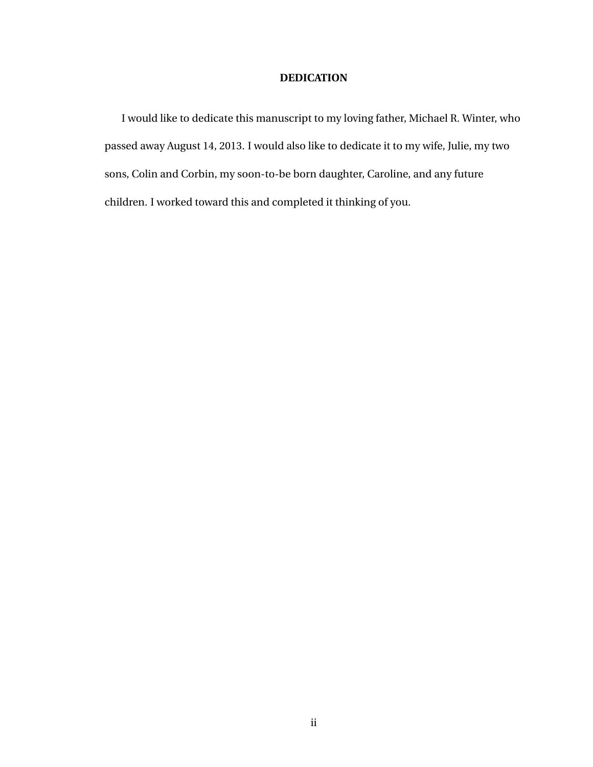#### **DEDICATION**

I would like to dedicate this manuscript to my loving father, Michael R. Winter, who passed away August 14, 2013. I would also like to dedicate it to my wife, Julie, my two sons, Colin and Corbin, my soon-to-be born daughter, Caroline, and any future children. I worked toward this and completed it thinking of you.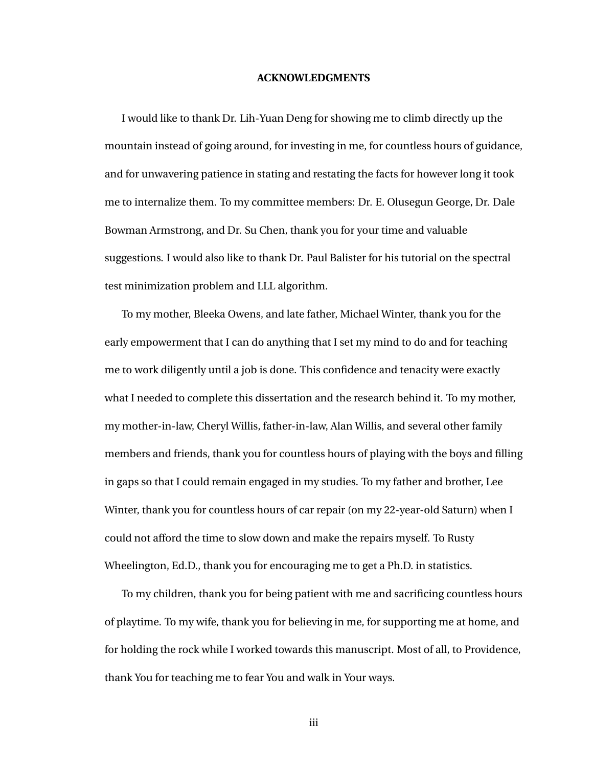#### **ACKNOWLEDGMENTS**

I would like to thank Dr. Lih-Yuan Deng for showing me to climb directly up the mountain instead of going around, for investing in me, for countless hours of guidance, and for unwavering patience in stating and restating the facts for however long it took me to internalize them. To my committee members: Dr. E. Olusegun George, Dr. Dale Bowman Armstrong, and Dr. Su Chen, thank you for your time and valuable suggestions. I would also like to thank Dr. Paul Balister for his tutorial on the spectral test minimization problem and LLL algorithm.

To my mother, Bleeka Owens, and late father, Michael Winter, thank you for the early empowerment that I can do anything that I set my mind to do and for teaching me to work diligently until a job is done. This confidence and tenacity were exactly what I needed to complete this dissertation and the research behind it. To my mother, my mother-in-law, Cheryl Willis, father-in-law, Alan Willis, and several other family members and friends, thank you for countless hours of playing with the boys and filling in gaps so that I could remain engaged in my studies. To my father and brother, Lee Winter, thank you for countless hours of car repair (on my 22-year-old Saturn) when I could not afford the time to slow down and make the repairs myself. To Rusty Wheelington, Ed.D., thank you for encouraging me to get a Ph.D. in statistics.

To my children, thank you for being patient with me and sacrificing countless hours of playtime. To my wife, thank you for believing in me, for supporting me at home, and for holding the rock while I worked towards this manuscript. Most of all, to Providence, thank You for teaching me to fear You and walk in Your ways.

iii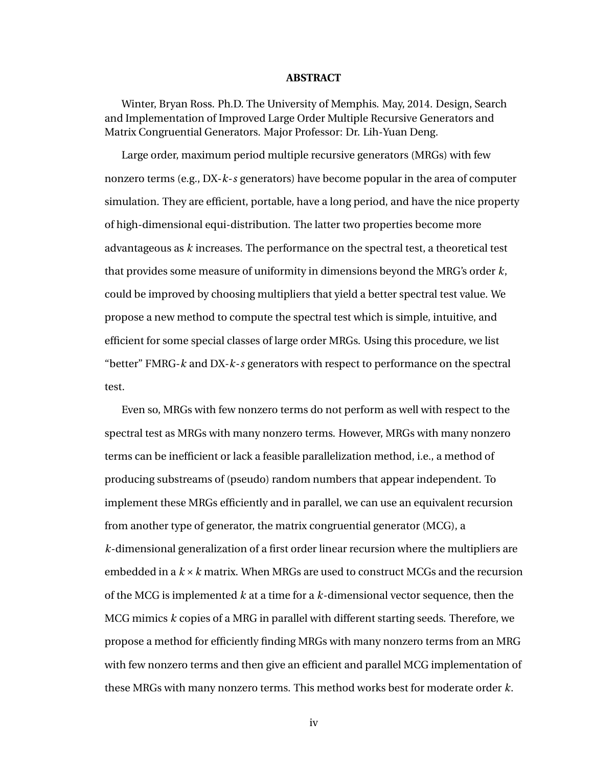#### **ABSTRACT**

Winter, Bryan Ross. Ph.D. The University of Memphis. May, 2014. Design, Search and Implementation of Improved Large Order Multiple Recursive Generators and Matrix Congruential Generators. Major Professor: Dr. Lih-Yuan Deng.

Large order, maximum period multiple recursive generators (MRGs) with few nonzero terms (e.g., DX-*k*-*s* generators) have become popular in the area of computer simulation. They are efficient, portable, have a long period, and have the nice property of high-dimensional equi-distribution. The latter two properties become more advantageous as *k* increases. The performance on the spectral test, a theoretical test that provides some measure of uniformity in dimensions beyond the MRG's order *k*, could be improved by choosing multipliers that yield a better spectral test value. We propose a new method to compute the spectral test which is simple, intuitive, and efficient for some special classes of large order MRGs. Using this procedure, we list "better" FMRG-*k* and DX-*k*-*s* generators with respect to performance on the spectral test.

Even so, MRGs with few nonzero terms do not perform as well with respect to the spectral test as MRGs with many nonzero terms. However, MRGs with many nonzero terms can be inefficient or lack a feasible parallelization method, i.e., a method of producing substreams of (pseudo) random numbers that appear independent. To implement these MRGs efficiently and in parallel, we can use an equivalent recursion from another type of generator, the matrix congruential generator (MCG), a *k*-dimensional generalization of a first order linear recursion where the multipliers are embedded in a *k* ×*k* matrix. When MRGs are used to construct MCGs and the recursion of the MCG is implemented *k* at a time for a *k*-dimensional vector sequence, then the MCG mimics *k* copies of a MRG in parallel with different starting seeds. Therefore, we propose a method for efficiently finding MRGs with many nonzero terms from an MRG with few nonzero terms and then give an efficient and parallel MCG implementation of these MRGs with many nonzero terms. This method works best for moderate order *k*.

iv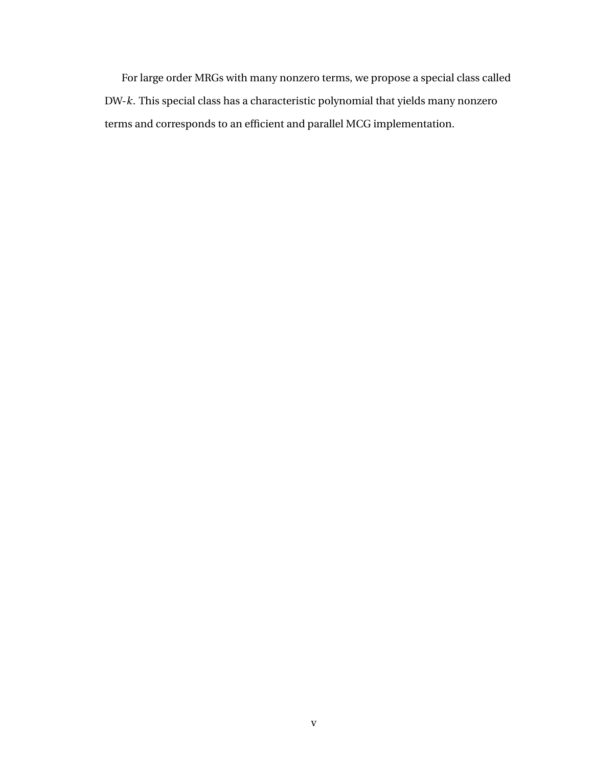For large order MRGs with many nonzero terms, we propose a special class called DW-*k*. This special class has a characteristic polynomial that yields many nonzero terms and corresponds to an efficient and parallel MCG implementation.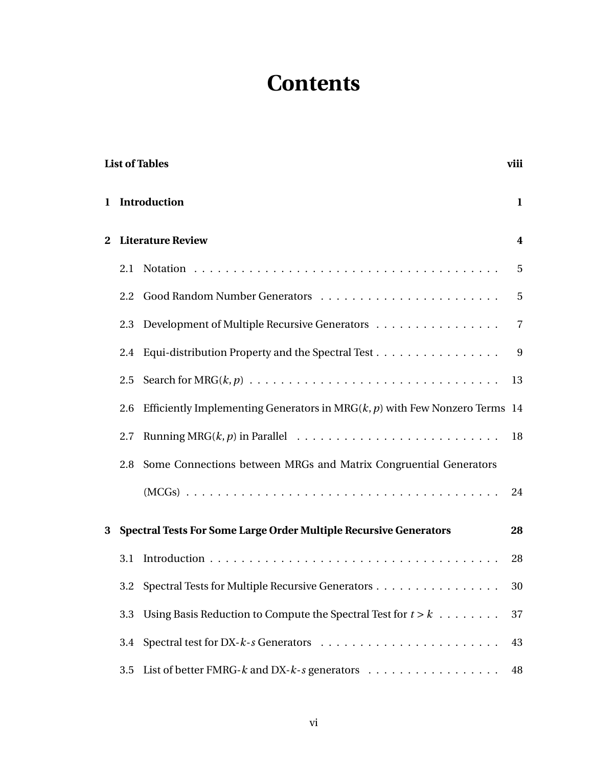# **Contents**

<span id="page-6-0"></span>

|          | <b>List of Tables</b><br>viii |                                                                                            |              |  |  |  |
|----------|-------------------------------|--------------------------------------------------------------------------------------------|--------------|--|--|--|
|          |                               | 1 Introduction                                                                             | $\mathbf{1}$ |  |  |  |
| $\bf{2}$ | <b>Literature Review</b>      |                                                                                            |              |  |  |  |
|          | 2.1                           |                                                                                            | 5            |  |  |  |
|          |                               |                                                                                            | 5            |  |  |  |
|          | 2.3                           | Development of Multiple Recursive Generators                                               | 7            |  |  |  |
|          |                               | 2.4 Equi-distribution Property and the Spectral Test                                       | 9            |  |  |  |
|          |                               |                                                                                            | 13           |  |  |  |
|          | 2.6                           | Efficiently Implementing Generators in $MRG(k, p)$ with Few Nonzero Terms 14               |              |  |  |  |
|          | 2.7                           | Running MRG $(k, p)$ in Parallel $\ldots \ldots \ldots \ldots \ldots \ldots \ldots \ldots$ | 18           |  |  |  |
|          | 2.8                           | Some Connections between MRGs and Matrix Congruential Generators                           |              |  |  |  |
|          |                               |                                                                                            | 24           |  |  |  |
| 3        |                               | <b>Spectral Tests For Some Large Order Multiple Recursive Generators</b>                   | 28           |  |  |  |
|          | 3.1                           |                                                                                            | 28           |  |  |  |
|          |                               | 3.2 Spectral Tests for Multiple Recursive Generators                                       | 30           |  |  |  |
|          | 3.3                           | Using Basis Reduction to Compute the Spectral Test for $t > k$                             | 37           |  |  |  |
|          | 3.4                           |                                                                                            | 43           |  |  |  |
|          | 3.5                           | List of better FMRG- $k$ and DX- $k$ -s generators                                         | 48           |  |  |  |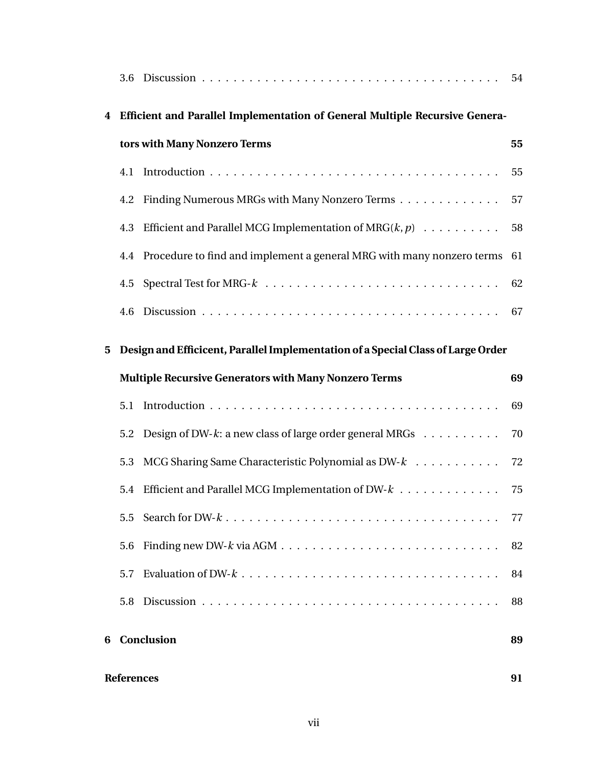| 4 |                                                                                  | Efficient and Parallel Implementation of General Multiple Recursive Genera-  |    |  |  |
|---|----------------------------------------------------------------------------------|------------------------------------------------------------------------------|----|--|--|
|   | tors with Many Nonzero Terms                                                     |                                                                              |    |  |  |
|   |                                                                                  |                                                                              | 55 |  |  |
|   |                                                                                  | 4.2 Finding Numerous MRGs with Many Nonzero Terms                            | 57 |  |  |
|   | 4.3                                                                              | Efficient and Parallel MCG Implementation of $MRG(k, p)$                     | 58 |  |  |
|   |                                                                                  | 4.4 Procedure to find and implement a general MRG with many nonzero terms 61 |    |  |  |
|   | 4.5                                                                              |                                                                              | 62 |  |  |
|   |                                                                                  |                                                                              |    |  |  |
| 5 | Design and Efficicent, Parallel Implementation of a Special Class of Large Order |                                                                              |    |  |  |
|   | <b>Multiple Recursive Generators with Many Nonzero Terms</b>                     |                                                                              |    |  |  |
|   | 5.1                                                                              |                                                                              | 69 |  |  |
|   |                                                                                  | 5.2 Design of DW-k: a new class of large order general MRGs                  | 70 |  |  |
|   | 5.3                                                                              | MCG Sharing Same Characteristic Polynomial as $DW-k$                         | 72 |  |  |
|   |                                                                                  | 5.4 Efficient and Parallel MCG Implementation of DW- $k$ 75                  |    |  |  |
|   | 5.5                                                                              |                                                                              | 77 |  |  |
|   | 5.6                                                                              |                                                                              | 82 |  |  |
|   | 5.7                                                                              |                                                                              | 84 |  |  |
|   | 5.8                                                                              |                                                                              | 88 |  |  |
| 6 |                                                                                  | Conclusion                                                                   | 89 |  |  |
|   | <b>References</b><br>91                                                          |                                                                              |    |  |  |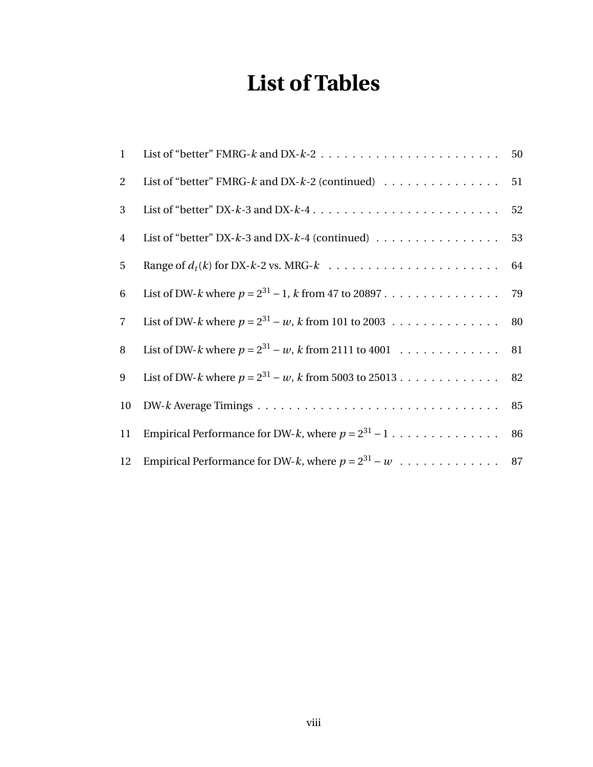# **List of Tables**

| $\mathbf{1}$   |                                                              | 50 |
|----------------|--------------------------------------------------------------|----|
| 2              | List of "better" FMRG- $k$ and DX- $k$ -2 (continued) 51     |    |
| 3              |                                                              |    |
| $\overline{4}$ | List of "better" DX- $k$ -3 and DX- $k$ -4 (continued)       | 53 |
| 5              |                                                              |    |
| 6              |                                                              |    |
| $\overline{7}$ | List of DW-k where $p = 2^{31} - w$ , k from 101 to 2003 80  |    |
| 8              | List of DW-k where $p = 2^{31} - w$ , k from 2111 to 4001 81 |    |
| 9              |                                                              |    |
| 10             |                                                              |    |
| 11             |                                                              |    |
| 12             |                                                              |    |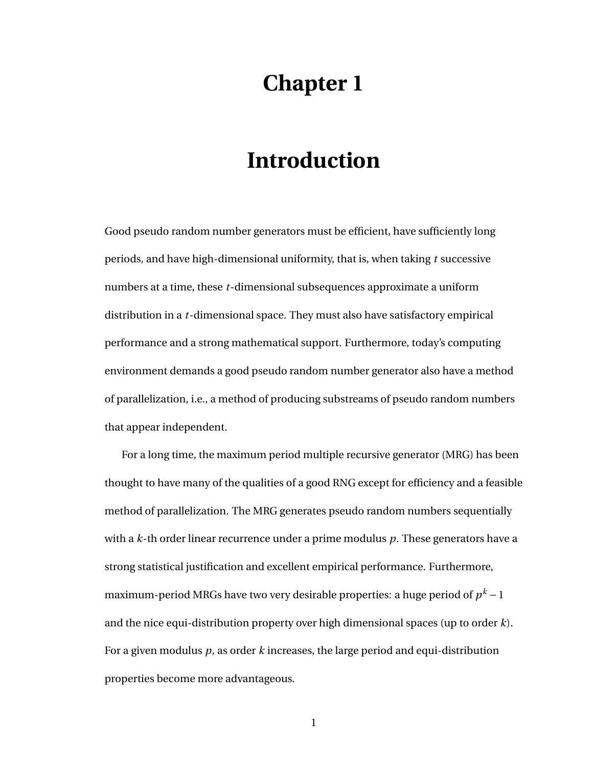# **Chapter 1**

# **Introduction**

<span id="page-9-0"></span>Good pseudo random number generators must be efficient, have sufficiently long periods, and have high-dimensional uniformity, that is, when taking *t* successive numbers at a time, these *t*-dimensional subsequences approximate a uniform distribution in a *t*-dimensional space. They must also have satisfactory empirical performance and a strong mathematical support. Furthermore, today's computing environment demands a good pseudo random number generator also have a method of parallelization, i.e., a method of producing substreams of pseudo random numbers that appear independent.

For a long time, the maximum period multiple recursive generator (MRG) has been thought to have many of the qualities of a good RNG except for efficiency and a feasible method of parallelization. The MRG generates pseudo random numbers sequentially with a *k*-th order linear recurrence under a prime modulus *p*. These generators have a strong statistical justification and excellent empirical performance. Furthermore, maximum-period MRGs have two very desirable properties: a huge period of  $p^k$  – 1 and the nice equi-distribution property over high dimensional spaces (up to order *k*). For a given modulus *p*, as order *k* increases, the large period and equi-distribution properties become more advantageous.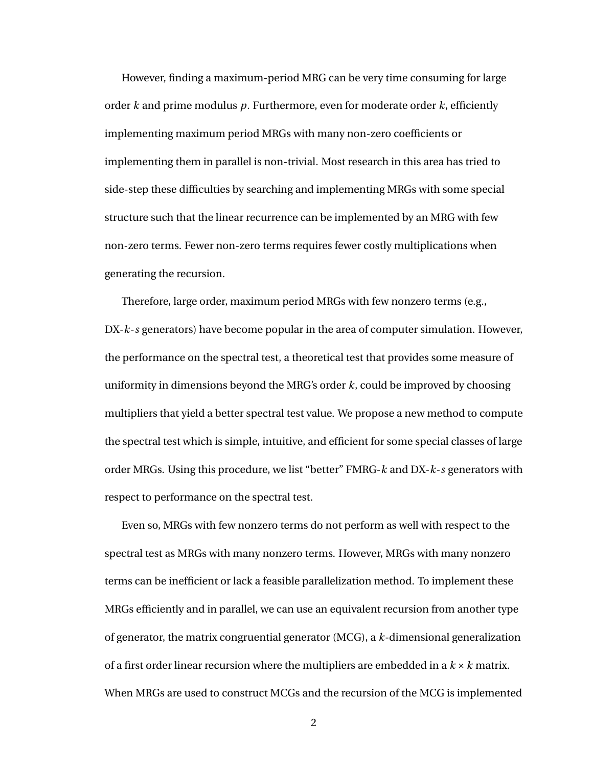However, finding a maximum-period MRG can be very time consuming for large order *k* and prime modulus *p*. Furthermore, even for moderate order *k*, efficiently implementing maximum period MRGs with many non-zero coefficients or implementing them in parallel is non-trivial. Most research in this area has tried to side-step these difficulties by searching and implementing MRGs with some special structure such that the linear recurrence can be implemented by an MRG with few non-zero terms. Fewer non-zero terms requires fewer costly multiplications when generating the recursion.

Therefore, large order, maximum period MRGs with few nonzero terms (e.g., DX-*k*-*s* generators) have become popular in the area of computer simulation. However, the performance on the spectral test, a theoretical test that provides some measure of uniformity in dimensions beyond the MRG's order *k*, could be improved by choosing multipliers that yield a better spectral test value. We propose a new method to compute the spectral test which is simple, intuitive, and efficient for some special classes of large order MRGs. Using this procedure, we list "better" FMRG-*k* and DX-*k*-*s* generators with respect to performance on the spectral test.

Even so, MRGs with few nonzero terms do not perform as well with respect to the spectral test as MRGs with many nonzero terms. However, MRGs with many nonzero terms can be inefficient or lack a feasible parallelization method. To implement these MRGs efficiently and in parallel, we can use an equivalent recursion from another type of generator, the matrix congruential generator (MCG), a *k*-dimensional generalization of a first order linear recursion where the multipliers are embedded in a *k* ×*k* matrix. When MRGs are used to construct MCGs and the recursion of the MCG is implemented

2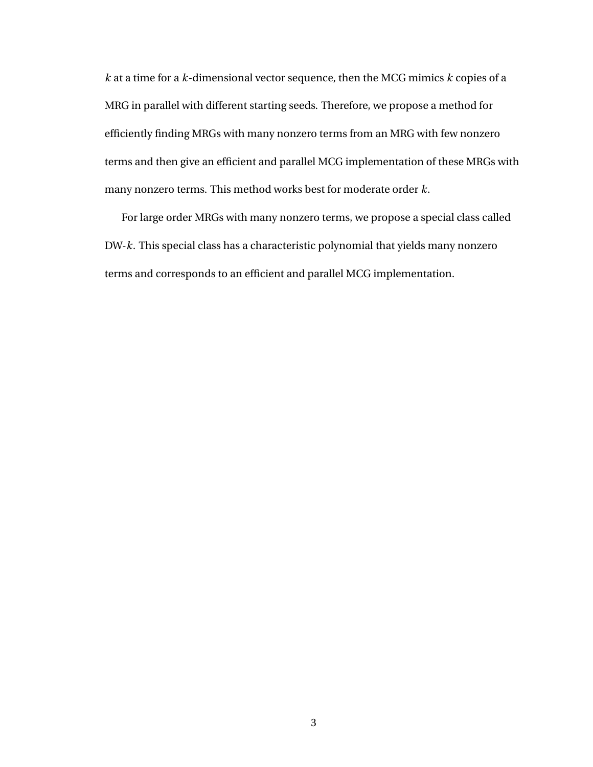*k* at a time for a *k*-dimensional vector sequence, then the MCG mimics *k* copies of a MRG in parallel with different starting seeds. Therefore, we propose a method for efficiently finding MRGs with many nonzero terms from an MRG with few nonzero terms and then give an efficient and parallel MCG implementation of these MRGs with many nonzero terms. This method works best for moderate order *k*.

For large order MRGs with many nonzero terms, we propose a special class called DW-*k*. This special class has a characteristic polynomial that yields many nonzero terms and corresponds to an efficient and parallel MCG implementation.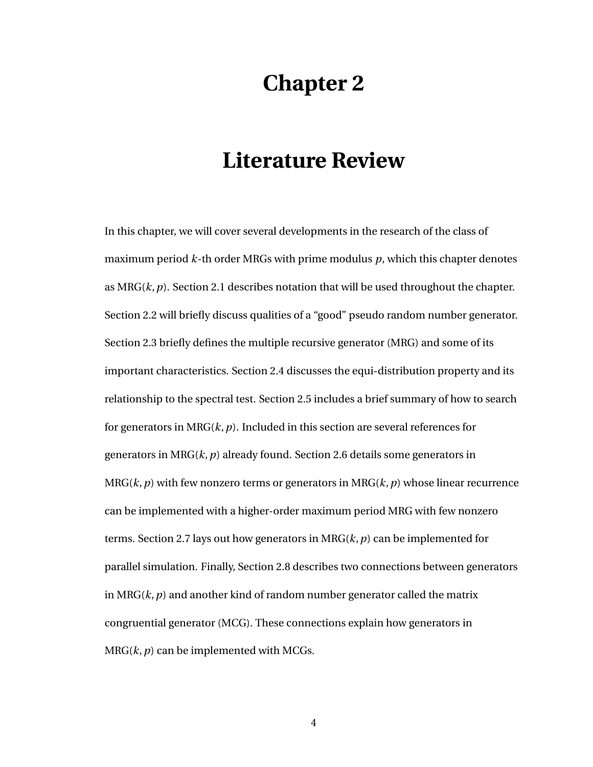# **Chapter 2**

# <span id="page-12-0"></span>**Literature Review**

<span id="page-12-1"></span>In this chapter, we will cover several developments in the research of the class of maximum period *k*-th order MRGs with prime modulus *p*, which this chapter denotes as MRG(*k*,*p*). Section [2.1](#page-12-1) describes notation that will be used throughout the chapter. Section [2.2](#page-13-0) will briefly discuss qualities of a "good" pseudo random number generator. Section [2.3](#page-15-0) briefly defines the multiple recursive generator (MRG) and some of its important characteristics. Section [2.4](#page-16-0) discusses the equi-distribution property and its relationship to the spectral test. Section [2.5](#page-20-0) includes a brief summary of how to search for generators in MRG(*k*,*p*). Included in this section are several references for generators in MRG(*k*,*p*) already found. Section [2.6](#page-22-0) details some generators in MRG(*k*,*p*) with few nonzero terms or generators in MRG(*k*,*p*) whose linear recurrence can be implemented with a higher-order maximum period MRG with few nonzero terms. Section [2.7](#page-26-0) lays out how generators in MRG(*k*,*p*) can be implemented for parallel simulation. Finally, Section [2.8](#page-32-0) describes two connections between generators in MRG $(k, p)$  and another kind of random number generator called the matrix congruential generator (MCG). These connections explain how generators in  $MRG(k, p)$  can be implemented with MCGs.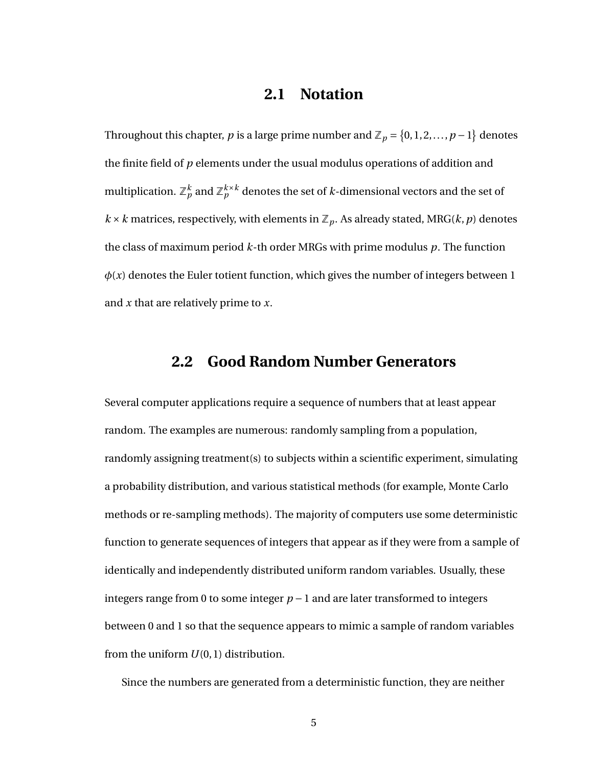## **2.1 Notation**

Throughout this chapter,  $p$  is a large prime number and  $\mathbb{Z}_p = \{0, 1, 2, ..., p-1\}$  denotes the finite field of *p* elements under the usual modulus operations of addition and multiplication.  $\mathbb{Z}_p^k$  and  $\mathbb{Z}_p^{k\times k}$  denotes the set of  $k$ -dimensional vectors and the set of  $k \times k$  matrices, respectively, with elements in  $\mathbb{Z}_p$ . As already stated, MRG( $k$ ,  $p$ ) denotes the class of maximum period *k*-th order MRGs with prime modulus *p*. The function  $\phi(x)$  denotes the Euler totient function, which gives the number of integers between 1 and *x* that are relatively prime to *x*.

#### <span id="page-13-0"></span>**2.2 Good Random Number Generators**

Several computer applications require a sequence of numbers that at least appear random. The examples are numerous: randomly sampling from a population, randomly assigning treatment(s) to subjects within a scientific experiment, simulating a probability distribution, and various statistical methods (for example, Monte Carlo methods or re-sampling methods). The majority of computers use some deterministic function to generate sequences of integers that appear as if they were from a sample of identically and independently distributed uniform random variables. Usually, these integers range from 0 to some integer  $p-1$  and are later transformed to integers between 0 and 1 so that the sequence appears to mimic a sample of random variables from the uniform  $U(0, 1)$  distribution.

Since the numbers are generated from a deterministic function, they are neither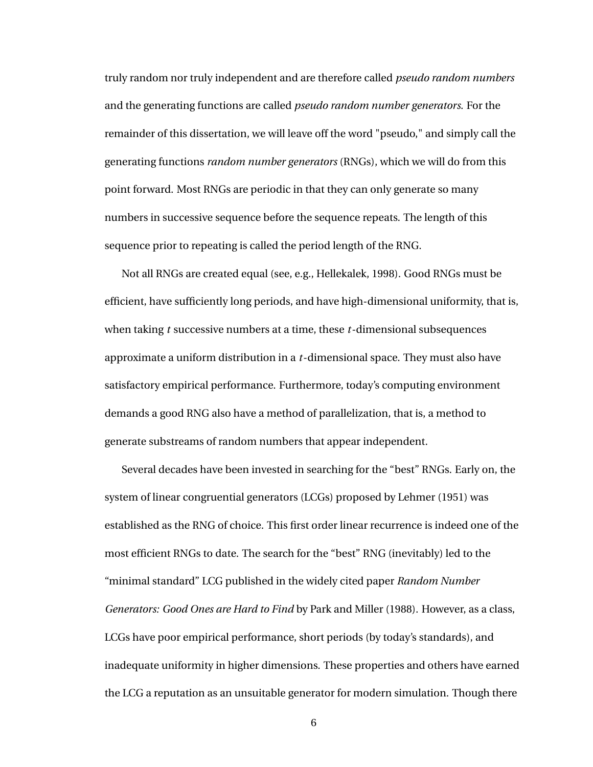truly random nor truly independent and are therefore called *pseudo random numbers* and the generating functions are called *pseudo random number generators*. For the remainder of this dissertation, we will leave off the word "pseudo," and simply call the generating functions *random number generators* (RNGs), which we will do from this point forward. Most RNGs are periodic in that they can only generate so many numbers in successive sequence before the sequence repeats. The length of this sequence prior to repeating is called the period length of the RNG.

Not all RNGs are created equal (see, e.g., Hellekalek, 1998). Good RNGs must be efficient, have sufficiently long periods, and have high-dimensional uniformity, that is, when taking *t* successive numbers at a time, these *t*-dimensional subsequences approximate a uniform distribution in a *t*-dimensional space. They must also have satisfactory empirical performance. Furthermore, today's computing environment demands a good RNG also have a method of parallelization, that is, a method to generate substreams of random numbers that appear independent.

Several decades have been invested in searching for the "best" RNGs. Early on, the system of linear congruential generators (LCGs) proposed by Lehmer (1951) was established as the RNG of choice. This first order linear recurrence is indeed one of the most efficient RNGs to date. The search for the "best" RNG (inevitably) led to the "minimal standard" LCG published in the widely cited paper *Random Number Generators: Good Ones are Hard to Find* by Park and Miller (1988). However, as a class, LCGs have poor empirical performance, short periods (by today's standards), and inadequate uniformity in higher dimensions. These properties and others have earned the LCG a reputation as an unsuitable generator for modern simulation. Though there

6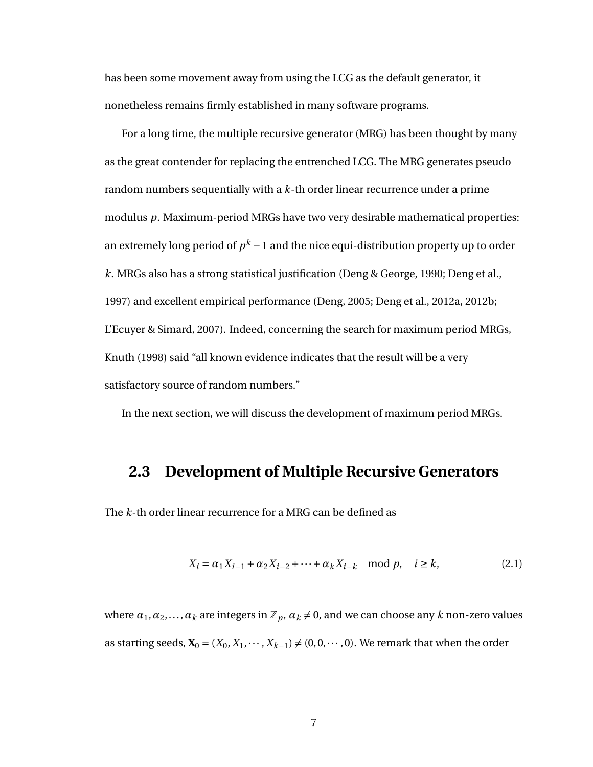has been some movement away from using the LCG as the default generator, it nonetheless remains firmly established in many software programs.

For a long time, the multiple recursive generator (MRG) has been thought by many as the great contender for replacing the entrenched LCG. The MRG generates pseudo random numbers sequentially with a *k*-th order linear recurrence under a prime modulus *p*. Maximum-period MRGs have two very desirable mathematical properties: an extremely long period of  $p^k-1$  and the nice equi-distribution property up to order *k*. MRGs also has a strong statistical justification (Deng & George, 1990; Deng et al., 1997) and excellent empirical performance (Deng, 2005; Deng et al., 2012a, 2012b; L'Ecuyer & Simard, 2007). Indeed, concerning the search for maximum period MRGs, Knuth (1998) said "all known evidence indicates that the result will be a very satisfactory source of random numbers."

<span id="page-15-0"></span>In the next section, we will discuss the development of maximum period MRGs.

## **2.3 Development of Multiple Recursive Generators**

The *k*-th order linear recurrence for a MRG can be defined as

<span id="page-15-1"></span>
$$
X_i = \alpha_1 X_{i-1} + \alpha_2 X_{i-2} + \dots + \alpha_k X_{i-k} \mod p, \quad i \ge k,
$$
 (2.1)

where  $\alpha_1, \alpha_2, \ldots, \alpha_k$  are integers in  $\mathbb{Z}_p$ ,  $\alpha_k \neq 0$ , and we can choose any *k* non-zero values as starting seeds,  $X_0 = (X_0, X_1, \dots, X_{k-1}) \neq (0, 0, \dots, 0)$ . We remark that when the order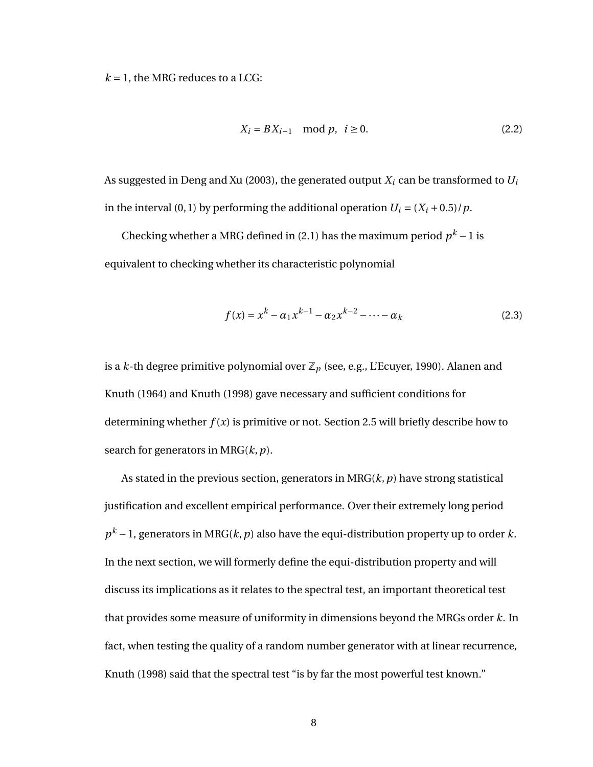$k = 1$ , the MRG reduces to a LCG:

$$
X_i = BX_{i-1} \mod p, \ i \ge 0.
$$
 (2.2)

As suggested in Deng and Xu (2003), the generated output *X<sup>i</sup>* can be transformed to *U<sup>i</sup>* in the interval (0, 1) by performing the additional operation  $U_i = (X_i + 0.5)/p$ .

Checking whether a MRG defined in [\(2.1\)](#page-15-1) has the maximum period  $p^k - 1$  is equivalent to checking whether its characteristic polynomial

<span id="page-16-1"></span>
$$
f(x) = x^{k} - \alpha_{1} x^{k-1} - \alpha_{2} x^{k-2} - \dots - \alpha_{k}
$$
 (2.3)

is a *k*-th degree primitive polynomial over  $\mathbb{Z}_p$  (see, e.g., L'Ecuyer, 1990). Alanen and Knuth (1964) and Knuth (1998) gave necessary and sufficient conditions for determining whether  $f(x)$  is primitive or not. Section [2.5](#page-20-0) will briefly describe how to search for generators in MRG(*k*,*p*).

<span id="page-16-0"></span>As stated in the previous section, generators in MRG(*k*,*p*) have strong statistical justification and excellent empirical performance. Over their extremely long period *p <sup>k</sup>* −1, generators in MRG(*k*,*p*) also have the equi-distribution property up to order *k*. In the next section, we will formerly define the equi-distribution property and will discuss its implications as it relates to the spectral test, an important theoretical test that provides some measure of uniformity in dimensions beyond the MRGs order *k*. In fact, when testing the quality of a random number generator with at linear recurrence, Knuth (1998) said that the spectral test "is by far the most powerful test known."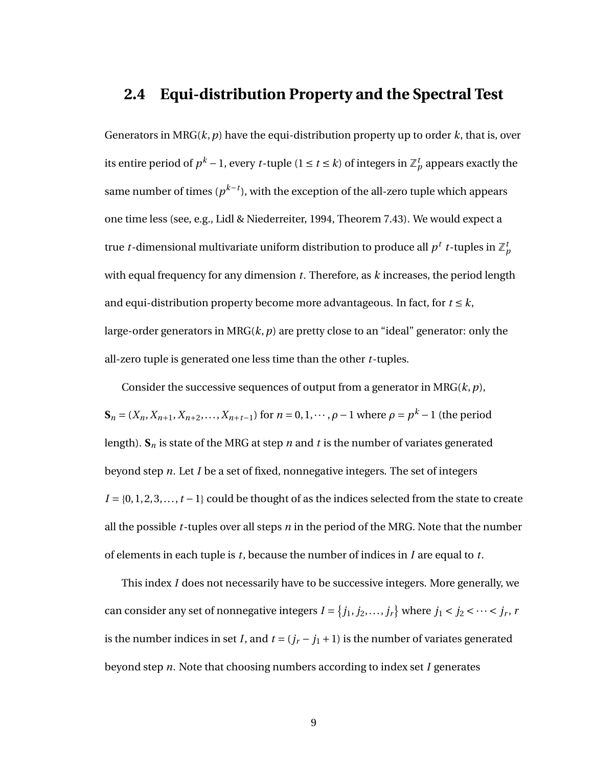### **2.4 Equi-distribution Property and the Spectral Test**

Generators in MRG(*k*,*p*) have the equi-distribution property up to order *k*, that is, over its entire period of  $p^k - 1$ , every  $t$ -tuple ( $1 \leq t \leq k$ ) of integers in  $\mathbb{Z}_p^t$  appears exactly the same number of times ( $p^{k-t}$ ), with the exception of the all-zero tuple which appears one time less (see, e.g., Lidl & Niederreiter, 1994, Theorem 7.43). We would expect a true *t*-dimensional multivariate uniform distribution to produce all  $p^t$  *t*-tuples in  $\mathbb{Z}_p^t$ with equal frequency for any dimension *t*. Therefore, as *k* increases, the period length and equi-distribution property become more advantageous. In fact, for  $t \leq k$ , large-order generators in MRG(*k*,*p*) are pretty close to an "ideal" generator: only the all-zero tuple is generated one less time than the other *t*-tuples.

Consider the successive sequences of output from a generator in MRG(*k*,*p*),  **for** *n* **= 0, 1, ···,** *ρ* **− 1 where** *ρ* **=** *p***<sup>***k***</sup> − 1 (the period** length).  $S_n$  is state of the MRG at step *n* and *t* is the number of variates generated beyond step *n*. Let *I* be a set of fixed, nonnegative integers. The set of integers  $I = \{0, 1, 2, 3, \ldots, t-1\}$  could be thought of as the indices selected from the state to create all the possible *t*-tuples over all steps *n* in the period of the MRG. Note that the number of elements in each tuple is *t*, because the number of indices in *I* are equal to *t*.

This index *I* does not necessarily have to be successive integers. More generally, we can consider any set of nonnegative integers  $I = \{j_1, j_2, ..., j_r\}$  where  $j_1 < j_2 < ... < j_r$ , *r* is the number indices in set *I*, and  $t = (j_r - j_1 + 1)$  is the number of variates generated beyond step *n*. Note that choosing numbers according to index set *I* generates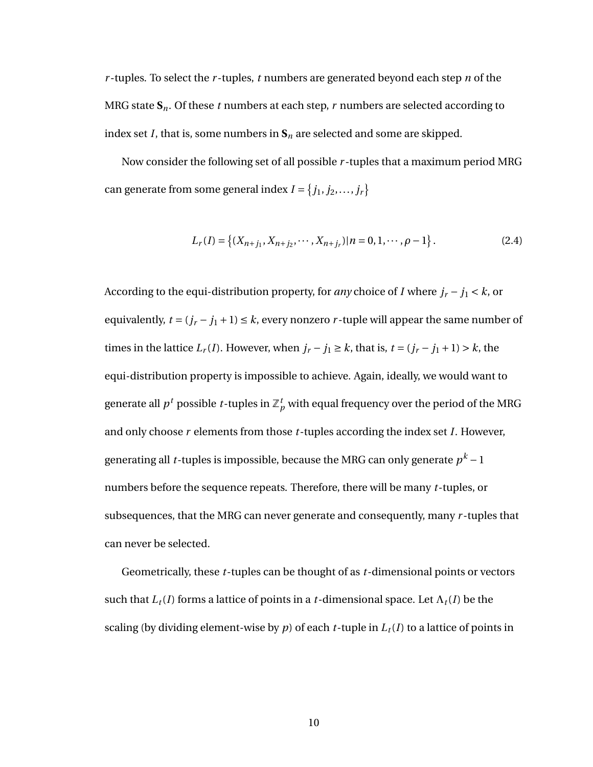*r* -tuples. To select the *r* -tuples, *t* numbers are generated beyond each step *n* of the MRG state  $S_n$ . Of these *t* numbers at each step, *r* numbers are selected according to index set *I*, that is, some numbers in  $S_n$  are selected and some are skipped.

Now consider the following set of all possible *r* -tuples that a maximum period MRG can generate from some general index  $I = \{j_1, j_2, \ldots, j_r\}$ 

$$
L_r(I) = \{(X_{n+j_1}, X_{n+j_2}, \cdots, X_{n+j_r}) | n = 0, 1, \cdots, \rho - 1\}.
$$
 (2.4)

According to the equi-distribution property, for *any* choice of *I* where  $j_r - j_1 < k$ , or equivalently,  $t = (j_r - j_1 + 1) \le k$ , every nonzero *r*-tuple will appear the same number of times in the lattice  $L_r(I)$ . However, when  $j_r - j_1 \ge k$ , that is,  $t = (j_r - j_1 + 1) > k$ , the equi-distribution property is impossible to achieve. Again, ideally, we would want to generate all  $p^t$  possible  $t$ -tuples in  $\mathbb{Z}_p^t$  with equal frequency over the period of the MRG and only choose *r* elements from those *t*-tuples according the index set *I*. However, generating all *t*-tuples is impossible, because the MRG can only generate  $p^k - 1$ numbers before the sequence repeats. Therefore, there will be many *t*-tuples, or subsequences, that the MRG can never generate and consequently, many *r* -tuples that can never be selected.

Geometrically, these *t*-tuples can be thought of as *t*-dimensional points or vectors such that  $L_t(I)$  forms a lattice of points in a *t*-dimensional space. Let  $\Lambda_t(I)$  be the scaling (by dividing element-wise by  $p$ ) of each  $t$ -tuple in  $L_t(I)$  to a lattice of points in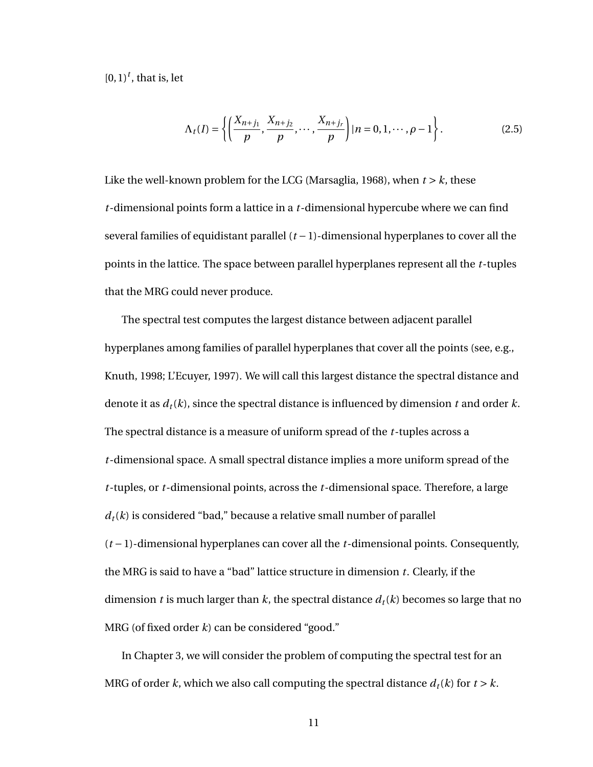$[0, 1)^t$ , that is, let

$$
\Lambda_t(I) = \left\{ \left( \frac{X_{n+j_1}}{p}, \frac{X_{n+j_2}}{p}, \cdots, \frac{X_{n+j_r}}{p} \right) | n = 0, 1, \cdots, \rho - 1 \right\}.
$$
 (2.5)

Like the well-known problem for the LCG (Marsaglia, 1968), when  $t > k$ , these *t*-dimensional points form a lattice in a *t*-dimensional hypercube where we can find several families of equidistant parallel (*t* −1)-dimensional hyperplanes to cover all the points in the lattice. The space between parallel hyperplanes represent all the *t*-tuples that the MRG could never produce.

The spectral test computes the largest distance between adjacent parallel hyperplanes among families of parallel hyperplanes that cover all the points (see, e.g., Knuth, 1998; L'Ecuyer, 1997). We will call this largest distance the spectral distance and denote it as *dt*(*k*), since the spectral distance is influenced by dimension *t* and order *k*. The spectral distance is a measure of uniform spread of the *t*-tuples across a *t*-dimensional space. A small spectral distance implies a more uniform spread of the *t*-tuples, or *t*-dimensional points, across the *t*-dimensional space. Therefore, a large  $d_t(k)$  is considered "bad," because a relative small number of parallel (*t* −1)-dimensional hyperplanes can cover all the *t*-dimensional points. Consequently, the MRG is said to have a "bad" lattice structure in dimension *t*. Clearly, if the dimension *t* is much larger than *k*, the spectral distance  $d_t(k)$  becomes so large that no MRG (of fixed order *k*) can be considered "good."

In Chapter [3,](#page-36-0) we will consider the problem of computing the spectral test for an MRG of order *k*, which we also call computing the spectral distance  $d_t(k)$  for  $t > k$ .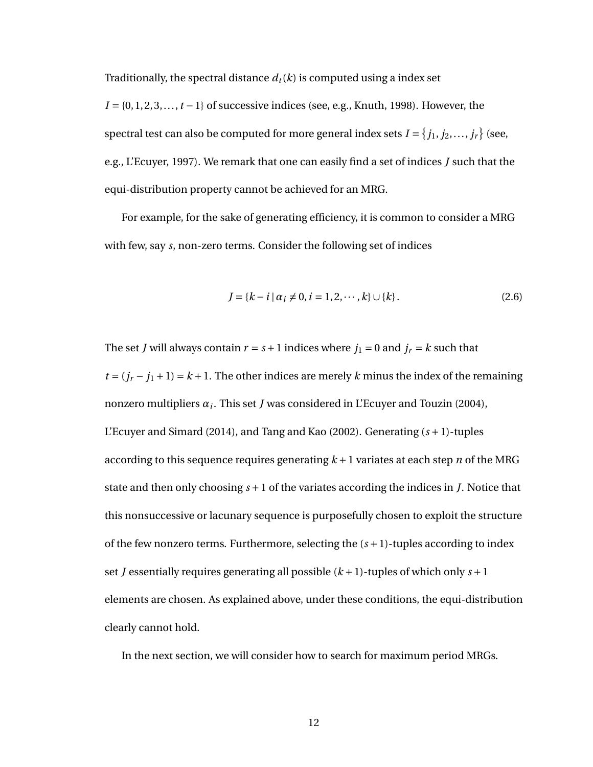Traditionally, the spectral distance  $d_t(k)$  is computed using a index set

*I* = {0, 1, 2, 3, ..., *t* − 1} of successive indices (see, e.g., Knuth, 1998). However, the spectral test can also be computed for more general index sets  $I$  =  $\{j_1, j_2, \ldots, j_r\}$  (see, e.g., L'Ecuyer, 1997). We remark that one can easily find a set of indices *J* such that the equi-distribution property cannot be achieved for an MRG.

For example, for the sake of generating efficiency, it is common to consider a MRG with few, say *s*, non-zero terms. Consider the following set of indices

$$
J = \{k - i \mid \alpha_i \neq 0, i = 1, 2, \cdots, k\} \cup \{k\}.
$$
 (2.6)

The set *J* will always contain  $r = s + 1$  indices where  $j_1 = 0$  and  $j_r = k$  such that  $t = (j_r - j_1 + 1) = k + 1$ . The other indices are merely *k* minus the index of the remaining nonzero multipliers *α<sup>i</sup>* . This set *J* was considered in L'Ecuyer and Touzin (2004), L'Ecuyer and Simard (2014), and Tang and Kao (2002). Generating (*s* +1)-tuples according to this sequence requires generating  $k + 1$  variates at each step *n* of the MRG state and then only choosing *s* +1 of the variates according the indices in *J*. Notice that this nonsuccessive or lacunary sequence is purposefully chosen to exploit the structure of the few nonzero terms. Furthermore, selecting the  $(s + 1)$ -tuples according to index set *J* essentially requires generating all possible (*k* +1)-tuples of which only *s* +1 elements are chosen. As explained above, under these conditions, the equi-distribution clearly cannot hold.

<span id="page-20-0"></span>In the next section, we will consider how to search for maximum period MRGs.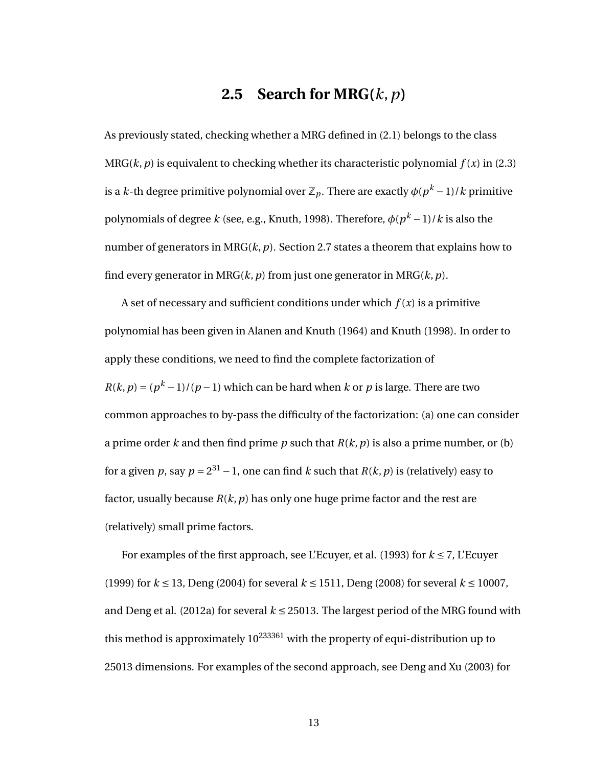## **2.5 Search for MRG(***k*,*p***)**

As previously stated, checking whether a MRG defined in [\(2.1\)](#page-15-1) belongs to the class MRG( $(k, p)$ ) is equivalent to checking whether its characteristic polynomial  $f(x)$  in [\(2.3\)](#page-16-1) is a *k*-th degree primitive polynomial over  $\mathbb{Z}_p.$  There are exactly  $\phi(p^k-1)/k$  primitive polynomials of degree *k* (see, e.g., Knuth, 1998). Therefore, *φ*(*p <sup>k</sup>* −1)/*k* is also the number of generators in MRG(*k*,*p*). Section [2.7](#page-26-0) states a theorem that explains how to find every generator in MRG( $k$ ,  $p$ ) from just one generator in MRG( $k$ ,  $p$ ).

A set of necessary and sufficient conditions under which  $f(x)$  is a primitive polynomial has been given in Alanen and Knuth (1964) and Knuth (1998). In order to apply these conditions, we need to find the complete factorization of  $R(k, p) = (p<sup>k</sup> - 1)/(p - 1)$  which can be hard when *k* or *p* is large. There are two common approaches to by-pass the difficulty of the factorization: (a) one can consider a prime order *k* and then find prime *p* such that  $R(k, p)$  is also a prime number, or (b) for a given  $p$ , say  $p = 2^{31} - 1$ , one can find  $k$  such that  $R(k, p)$  is (relatively) easy to factor, usually because  $R(k, p)$  has only one huge prime factor and the rest are (relatively) small prime factors.

For examples of the first approach, see L'Ecuyer, et al. (1993) for  $k \le 7$ , L'Ecuyer (1999) for *k* ≤ 13, Deng (2004) for several *k* ≤ 1511, Deng (2008) for several *k* ≤ 10007, and Deng et al. (2012a) for several  $k \le 25013$ . The largest period of the MRG found with this method is approximately  $10^{233361}$  with the property of equi-distribution up to 25013 dimensions. For examples of the second approach, see Deng and Xu (2003) for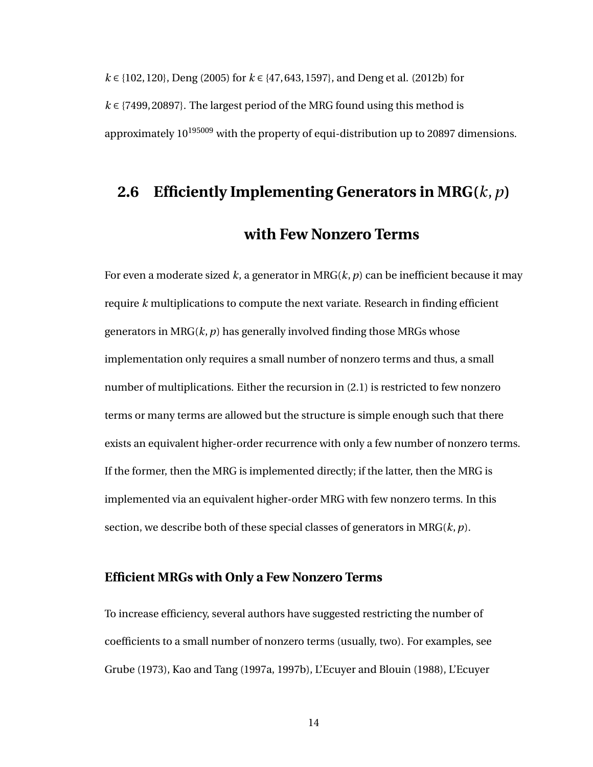*k* ∈ {102, 120}, Deng (2005) for *k* ∈ {47, 643, 1597}, and Deng et al. (2012b) for *k* ∈ {7499, 20897}. The largest period of the MRG found using this method is approximately  $10^{195009}$  with the property of equi-distribution up to 20897 dimensions.

# <span id="page-22-0"></span>**2.6 Efficiently Implementing Generators in MRG(***k*,*p***)**

## **with Few Nonzero Terms**

For even a moderate sized *k*, a generator in MRG(*k*,*p*) can be inefficient because it may require *k* multiplications to compute the next variate. Research in finding efficient generators in  $MRG(k, p)$  has generally involved finding those MRGs whose implementation only requires a small number of nonzero terms and thus, a small number of multiplications. Either the recursion in [\(2.1\)](#page-15-1) is restricted to few nonzero terms or many terms are allowed but the structure is simple enough such that there exists an equivalent higher-order recurrence with only a few number of nonzero terms. If the former, then the MRG is implemented directly; if the latter, then the MRG is implemented via an equivalent higher-order MRG with few nonzero terms. In this section, we describe both of these special classes of generators in MRG(*k*,*p*).

#### **Efficient MRGs with Only a Few Nonzero Terms**

To increase efficiency, several authors have suggested restricting the number of coefficients to a small number of nonzero terms (usually, two). For examples, see Grube (1973), Kao and Tang (1997a, 1997b), L'Ecuyer and Blouin (1988), L'Ecuyer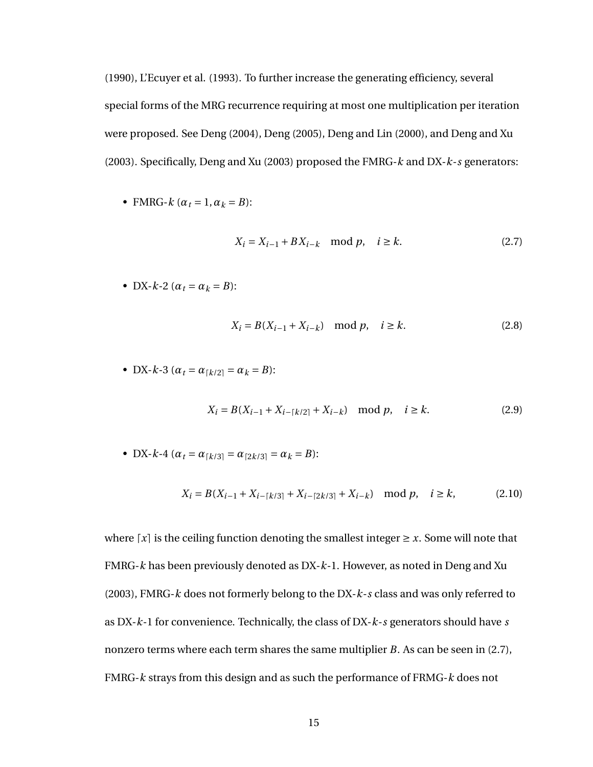(1990), L'Ecuyer et al. (1993). To further increase the generating efficiency, several special forms of the MRG recurrence requiring at most one multiplication per iteration were proposed. See Deng (2004), Deng (2005), Deng and Lin (2000), and Deng and Xu (2003). Specifically, Deng and Xu (2003) proposed the FMRG-*k* and DX-*k*-*s* generators:

• FMRG- $k$  ( $\alpha_t = 1, \alpha_k = B$ ):

<span id="page-23-0"></span>
$$
X_i = X_{i-1} + BX_{i-k} \mod p, \quad i \ge k. \tag{2.7}
$$

• DX- $k-2$  ( $\alpha_t = \alpha_k = B$ ):

<span id="page-23-1"></span>
$$
X_i = B(X_{i-1} + X_{i-k}) \mod p, \quad i \ge k.
$$
 (2.8)

• DX- $k-3$  ( $\alpha_t = \alpha_{k/2} = \alpha_k = B$ ):

<span id="page-23-2"></span>
$$
X_i = B(X_{i-1} + X_{i-[k/2]} + X_{i-k}) \mod p, \quad i \ge k.
$$
 (2.9)

• DX-k-4 
$$
(\alpha_t = \alpha_{\lceil k/3 \rceil} = \alpha_{\lceil 2k/3 \rceil} = \alpha_k = B)
$$
:

<span id="page-23-3"></span>
$$
X_i = B(X_{i-1} + X_{i-[k/3]} + X_{i-[2k/3]} + X_{i-k}) \mod p, \quad i \ge k,
$$
 (2.10)

where  $\lceil x \rceil$  is the ceiling function denoting the smallest integer  $\geq x$ . Some will note that FMRG-*k* has been previously denoted as DX-*k*-1. However, as noted in Deng and Xu (2003), FMRG-*k* does not formerly belong to the DX-*k*-*s* class and was only referred to as DX-*k*-1 for convenience. Technically, the class of DX-*k*-*s* generators should have *s* nonzero terms where each term shares the same multiplier *B*. As can be seen in [\(2.7\)](#page-23-0), FMRG-*k* strays from this design and as such the performance of FRMG-*k* does not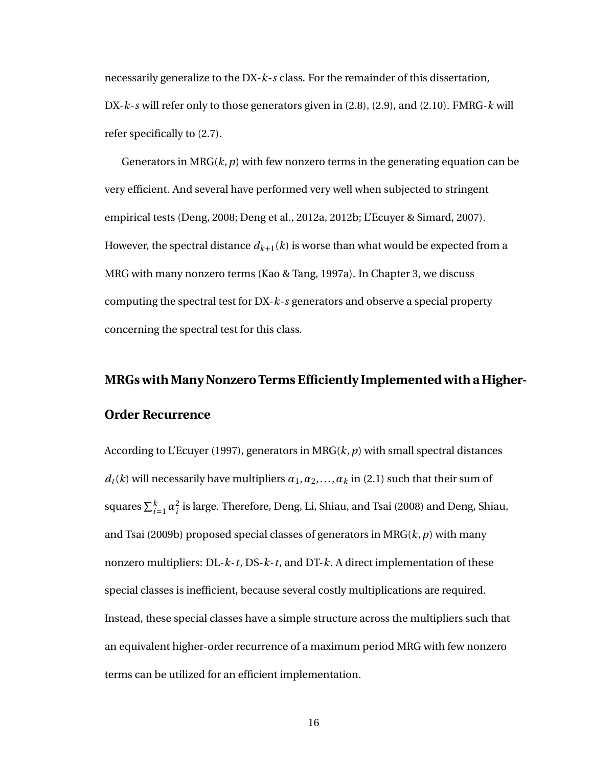necessarily generalize to the DX-*k*-*s* class. For the remainder of this dissertation, DX-*k*-*s* will refer only to those generators given in [\(2.8\)](#page-23-1), [\(2.9\)](#page-23-2), and [\(2.10\)](#page-23-3). FMRG-*k* will refer specifically to [\(2.7\)](#page-23-0).

Generators in  $MRG(k, p)$  with few nonzero terms in the generating equation can be very efficient. And several have performed very well when subjected to stringent empirical tests (Deng, 2008; Deng et al., 2012a, 2012b; L'Ecuyer & Simard, 2007). However, the spectral distance  $d_{k+1}(k)$  is worse than what would be expected from a MRG with many nonzero terms (Kao & Tang, 1997a). In Chapter [3,](#page-36-0) we discuss computing the spectral test for DX-*k*-*s* generators and observe a special property concerning the spectral test for this class.

# **MRGs with Many Nonzero Terms Efficiently Implemented with a Higher-Order Recurrence**

According to L'Ecuyer (1997), generators in MRG(*k*,*p*) with small spectral distances  $d_t(k)$  will necessarily have multipliers  $\alpha_1, \alpha_2, \ldots, \alpha_k$  in [\(2.1\)](#page-15-1) such that their sum of squares  $\sum_{i=1}^k \alpha_i^2$  $\frac{2}{i}$  is large. Therefore, Deng, Li, Shiau, and Tsai (2008) and Deng, Shiau, and Tsai (2009b) proposed special classes of generators in MRG(*k*,*p*) with many nonzero multipliers: DL-*k*-*t*, DS-*k*-*t*, and DT-*k*. A direct implementation of these special classes is inefficient, because several costly multiplications are required. Instead, these special classes have a simple structure across the multipliers such that an equivalent higher-order recurrence of a maximum period MRG with few nonzero terms can be utilized for an efficient implementation.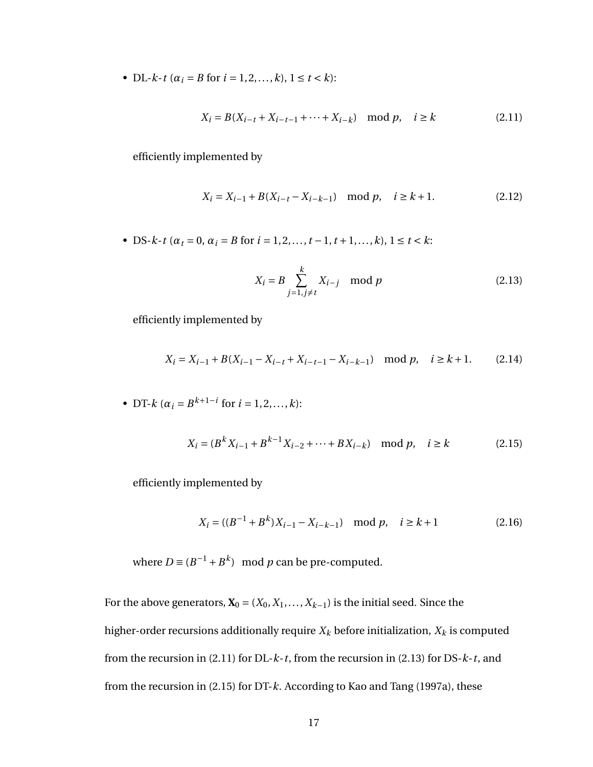• DL- $k$ -*t* ( $\alpha_i = B$  for  $i = 1, 2, ..., k$ ),  $1 \le t \le k$ ):

<span id="page-25-0"></span>
$$
X_i = B(X_{i-t} + X_{i-t-1} + \dots + X_{i-k}) \mod p, \quad i \ge k
$$
 (2.11)

efficiently implemented by

$$
X_i = X_{i-1} + B(X_{i-t} - X_{i-k-1}) \mod p, \quad i \ge k+1.
$$
 (2.12)

• DS- $k$ -*t* ( $\alpha_t = 0$ ,  $\alpha_i = B$  for  $i = 1, 2, ..., t - 1, t + 1, ..., k$ ),  $1 \le t < k$ :

<span id="page-25-1"></span>
$$
X_i = B \sum_{j=1, j \neq t}^{k} X_{i-j} \mod p
$$
 (2.13)

efficiently implemented by

$$
X_i = X_{i-1} + B(X_{i-1} - X_{i-t} + X_{i-t-1} - X_{i-k-1}) \mod p, \quad i \ge k+1.
$$
 (2.14)

• DT-k (
$$
\alpha_i = B^{k+1-i}
$$
 for  $i = 1, 2, ..., k$ ):

<span id="page-25-2"></span>
$$
X_i = (B^k X_{i-1} + B^{k-1} X_{i-2} + \dots + B X_{i-k}) \mod p, \quad i \ge k
$$
 (2.15)

efficiently implemented by

$$
X_i = ((B^{-1} + B^k)X_{i-1} - X_{i-k-1}) \mod p, \quad i \ge k+1
$$
 (2.16)

where  $D \equiv (B^{-1} + B^k)$  mod *p* can be pre-computed.

For the above generators,  $\mathbf{X}_0 = (X_0, X_1, \dots, X_{k-1})$  is the initial seed. Since the higher-order recursions additionally require  $X_k$  before initialization,  $X_k$  is computed from the recursion in [\(2.11\)](#page-25-0) for DL-*k*-*t*, from the recursion in [\(2.13\)](#page-25-1) for DS-*k*-*t*, and from the recursion in [\(2.15\)](#page-25-2) for DT-*k*. According to Kao and Tang (1997a), these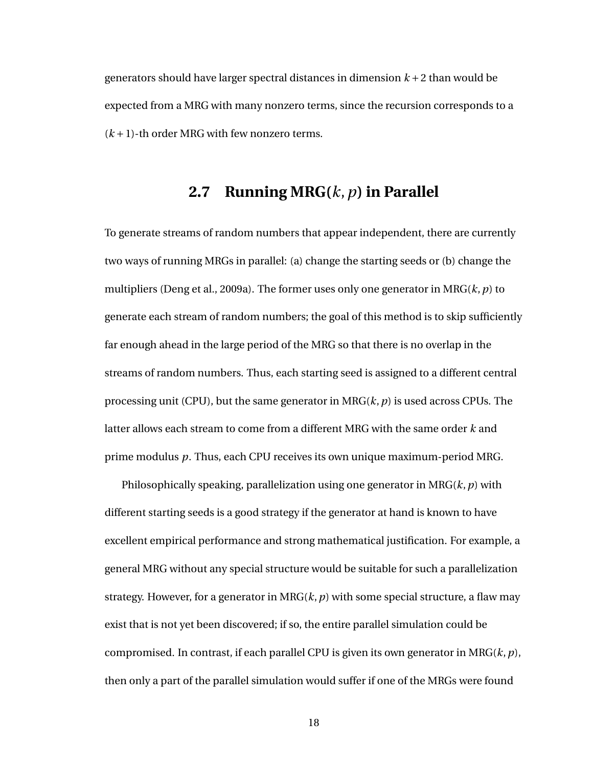<span id="page-26-0"></span>generators should have larger spectral distances in dimension  $k + 2$  than would be expected from a MRG with many nonzero terms, since the recursion corresponds to a  $(k+1)$ -th order MRG with few nonzero terms.

### **2.7 Running MRG(***k*,*p***) in Parallel**

To generate streams of random numbers that appear independent, there are currently two ways of running MRGs in parallel: (a) change the starting seeds or (b) change the multipliers (Deng et al., 2009a). The former uses only one generator in  $MRG(k, p)$  to generate each stream of random numbers; the goal of this method is to skip sufficiently far enough ahead in the large period of the MRG so that there is no overlap in the streams of random numbers. Thus, each starting seed is assigned to a different central processing unit (CPU), but the same generator in MRG(*k*,*p*) is used across CPUs. The latter allows each stream to come from a different MRG with the same order *k* and prime modulus *p*. Thus, each CPU receives its own unique maximum-period MRG.

Philosophically speaking, parallelization using one generator in MRG(*k*,*p*) with different starting seeds is a good strategy if the generator at hand is known to have excellent empirical performance and strong mathematical justification. For example, a general MRG without any special structure would be suitable for such a parallelization strategy. However, for a generator in MRG $(k, p)$  with some special structure, a flaw may exist that is not yet been discovered; if so, the entire parallel simulation could be compromised. In contrast, if each parallel CPU is given its own generator in MRG(*k*,*p*), then only a part of the parallel simulation would suffer if one of the MRGs were found

18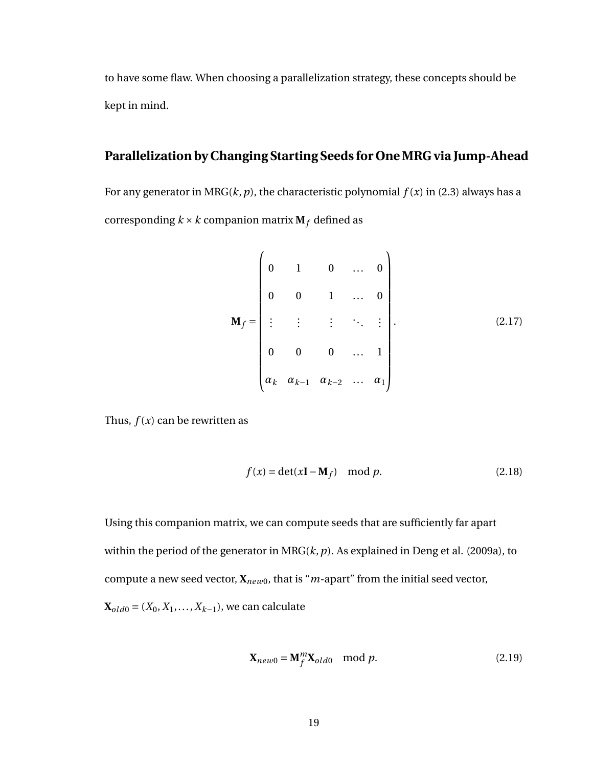to have some flaw. When choosing a parallelization strategy, these concepts should be kept in mind.

#### **Parallelization by Changing Starting Seeds for One MRG via Jump-Ahead**

For any generator in MRG( $k$ ,  $p$ ), the characteristic polynomial  $f(x)$  in [\(2.3\)](#page-16-1) always has a corresponding  $k \times k$  companion matrix  $M_f$  defined as

<span id="page-27-0"></span>
$$
\mathbf{M}_{f} = \begin{pmatrix} 0 & 1 & 0 & \dots & 0 \\ 0 & 0 & 1 & \dots & 0 \\ \vdots & \vdots & \vdots & \ddots & \vdots \\ 0 & 0 & 0 & \dots & 1 \\ \alpha_{k} & \alpha_{k-1} & \alpha_{k-2} & \dots & \alpha_{1} \end{pmatrix} .
$$
 (2.17)

Thus,  $f(x)$  can be rewritten as

$$
f(x) = \det(x\mathbf{I} - \mathbf{M}_f) \mod p.
$$
 (2.18)

Using this companion matrix, we can compute seeds that are sufficiently far apart within the period of the generator in MRG(*k*,*p*). As explained in Deng et al. (2009a), to compute a new seed vector,  $\mathbf{X}_{new0}$ , that is "*m*-apart" from the initial seed vector,  $X_{old0} = (X_0, X_1, \ldots, X_{k-1})$ , we can calculate

$$
\mathbf{X}_{new0} = \mathbf{M}_f^m \mathbf{X}_{old0} \mod p. \tag{2.19}
$$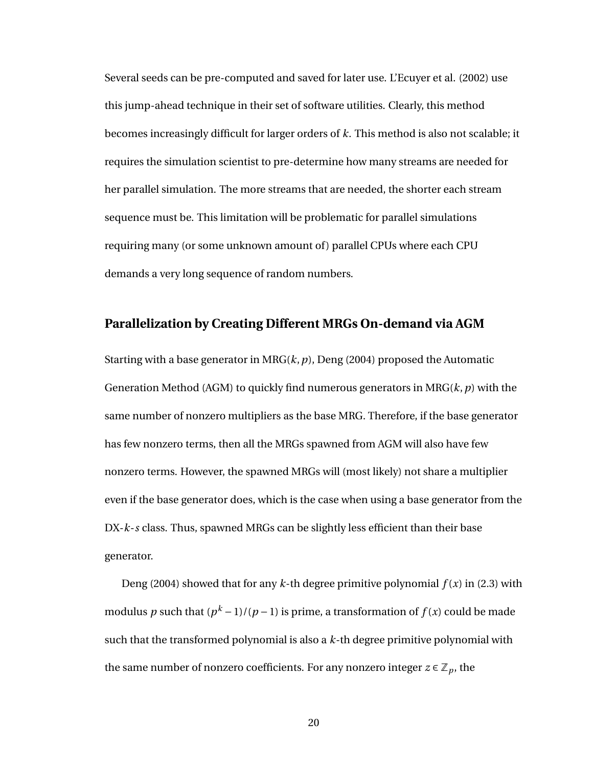Several seeds can be pre-computed and saved for later use. L'Ecuyer et al. (2002) use this jump-ahead technique in their set of software utilities. Clearly, this method becomes increasingly difficult for larger orders of *k*. This method is also not scalable; it requires the simulation scientist to pre-determine how many streams are needed for her parallel simulation. The more streams that are needed, the shorter each stream sequence must be. This limitation will be problematic for parallel simulations requiring many (or some unknown amount of) parallel CPUs where each CPU demands a very long sequence of random numbers.

#### **Parallelization by Creating Different MRGs On-demand via AGM**

Starting with a base generator in MRG(*k*,*p*), Deng (2004) proposed the Automatic Generation Method (AGM) to quickly find numerous generators in MRG(*k*,*p*) with the same number of nonzero multipliers as the base MRG. Therefore, if the base generator has few nonzero terms, then all the MRGs spawned from AGM will also have few nonzero terms. However, the spawned MRGs will (most likely) not share a multiplier even if the base generator does, which is the case when using a base generator from the DX-*k*-*s* class. Thus, spawned MRGs can be slightly less efficient than their base generator.

Deng (2004) showed that for any  $k$ -th degree primitive polynomial  $f(x)$  in [\(2.3\)](#page-16-1) with modulus  $p$  such that ( $p^k - 1$ )/( $p - 1$ ) is prime, a transformation of  $f(x)$  could be made such that the transformed polynomial is also a *k*-th degree primitive polynomial with the same number of nonzero coefficients. For any nonzero integer  $z \in \mathbb{Z}_p$ , the

20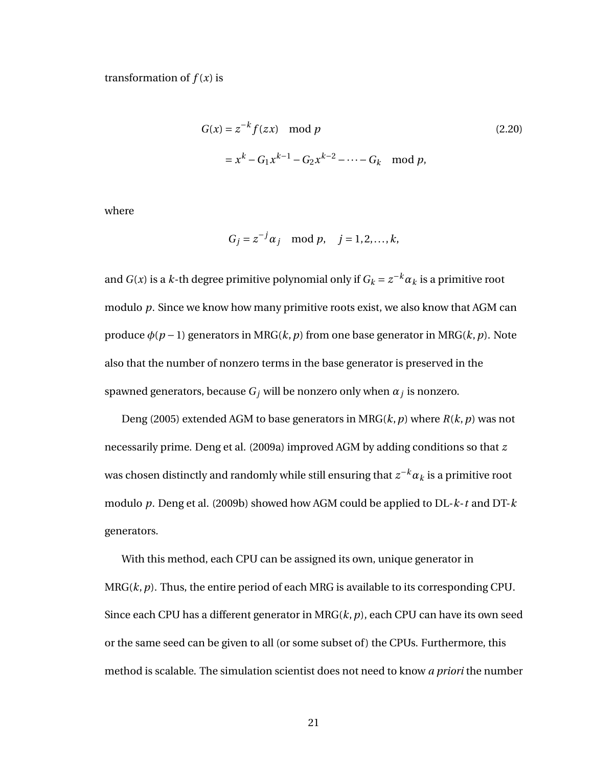transformation of  $f(x)$  is

$$
G(x) = z^{-k} f(zx) \mod p
$$
  
=  $x^{k} - G_1 x^{k-1} - G_2 x^{k-2} - \dots - G_k \mod p$ , (2.20)

where

$$
G_j = z^{-j} \alpha_j \mod p, \quad j = 1, 2, \dots, k,
$$

and  $G(x)$  is a  $k$ -th degree primitive polynomial only if  $G_k = z^{-k} \alpha_k$  is a primitive root modulo *p*. Since we know how many primitive roots exist, we also know that AGM can produce  $\phi(p-1)$  generators in MRG( $k, p$ ) from one base generator in MRG( $k, p$ ). Note also that the number of nonzero terms in the base generator is preserved in the spawned generators, because *G<sup>j</sup>* will be nonzero only when *α<sup>j</sup>* is nonzero.

Deng (2005) extended AGM to base generators in MRG(*k*,*p*) where *R*(*k*,*p*) was not necessarily prime. Deng et al. (2009a) improved AGM by adding conditions so that *z* was chosen distinctly and randomly while still ensuring that  $z^{-k}\alpha_k$  is a primitive root modulo *p*. Deng et al. (2009b) showed how AGM could be applied to DL-*k*-*t* and DT-*k* generators.

With this method, each CPU can be assigned its own, unique generator in MRG(*k*,*p*). Thus, the entire period of each MRG is available to its corresponding CPU. Since each CPU has a different generator in MRG(*k*,*p*), each CPU can have its own seed or the same seed can be given to all (or some subset of) the CPUs. Furthermore, this method is scalable. The simulation scientist does not need to know *a priori* the number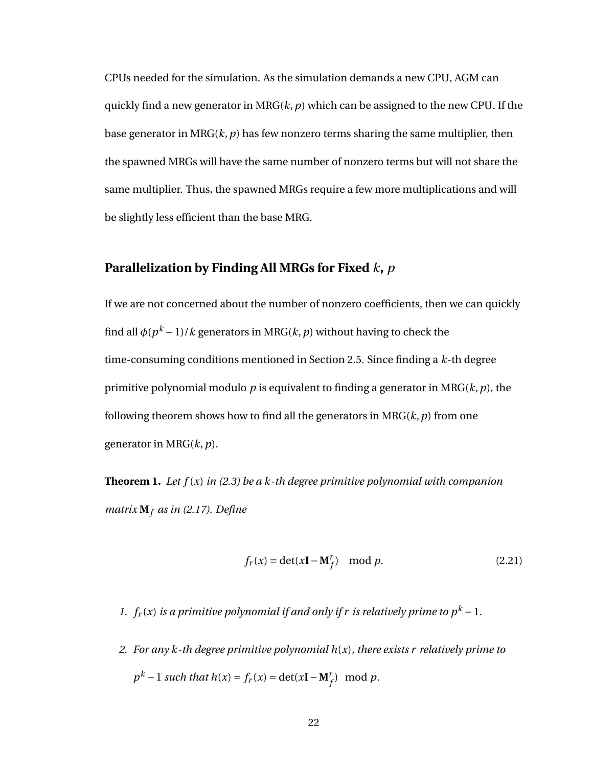CPUs needed for the simulation. As the simulation demands a new CPU, AGM can quickly find a new generator in MR $G(k, p)$  which can be assigned to the new CPU. If the base generator in MRG $(k, p)$  has few nonzero terms sharing the same multiplier, then the spawned MRGs will have the same number of nonzero terms but will not share the same multiplier. Thus, the spawned MRGs require a few more multiplications and will be slightly less efficient than the base MRG.

#### **Parallelization by Finding All MRGs for Fixed** *k***,** *p*

If we are not concerned about the number of nonzero coefficients, then we can quickly find all  $\phi(p^k-1)/k$  generators in MRG( $k,p$ ) without having to check the time-consuming conditions mentioned in Section [2.5.](#page-20-0) Since finding a *k*-th degree primitive polynomial modulo *p* is equivalent to finding a generator in MRG(*k*,*p*), the following theorem shows how to find all the generators in  $MRG(k, p)$  from one generator in MRG(*k*,*p*).

<span id="page-30-0"></span>**Theorem 1.** *Let f* (*x*) *in [\(2.3\)](#page-16-1) be a k-th degree primitive polynomial with companion matrix* **M***<sup>f</sup> as in [\(2.17\)](#page-27-0). Define*

$$
f_r(x) = \det(x\mathbf{I} - \mathbf{M}_f^r) \mod p. \tag{2.21}
$$

- *1.*  $f_r(x)$  *is a primitive polynomial if and only if r is relatively prime to*  $p^k 1$ *.*
- *2. For any k-th degree primitive polynomial h*(*x*)*, there exists r relatively prime to*  $p^k - 1$  *such that*  $h(x) = f_r(x) = \det(xI - M_f^r) \mod p$ .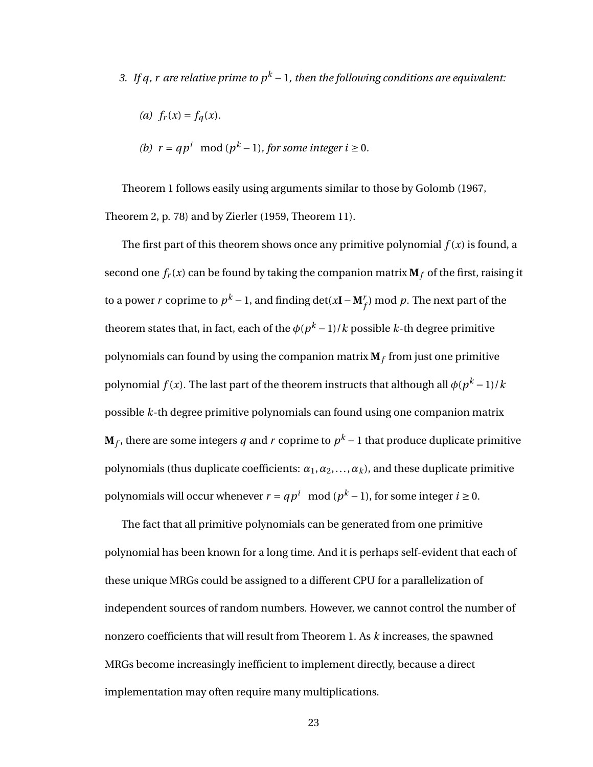*3.* If q, r are relative prime to  $p^k - 1$ , then the following conditions are equivalent:

(a) 
$$
f_r(x) = f_q(x)
$$
.

(b) 
$$
r = qp^i \mod (p^k - 1)
$$
, for some integer  $i \ge 0$ .

Theorem [1](#page-30-0) follows easily using arguments similar to those by Golomb (1967, Theorem 2, p. 78) and by Zierler (1959, Theorem 11).

The first part of this theorem shows once any primitive polynomial  $f(x)$  is found, a second one  $f_r(x)$  can be found by taking the companion matrix  $M_f$  of the first, raising it to a power  $r$  coprime to  $p^k - 1$ , and finding  $\det(x\mathbf{I} - \mathbf{M}_f^r)$  mod  $p$ . The next part of the theorem states that, in fact, each of the  $\phi(p^k-1)/k$  possible *k*-th degree primitive polynomials can found by using the companion matrix **M***<sup>f</sup>* from just one primitive polynomial  $f(x)$ . The last part of the theorem instructs that although all  $\phi(p^k-1)/k$ possible *k*-th degree primitive polynomials can found using one companion matrix  $\mathbf{M}_f$ , there are some integers  $q$  and  $r$  coprime to  $p^k-1$  that produce duplicate primitive polynomials (thus duplicate coefficients:  $\alpha_1, \alpha_2, \ldots, \alpha_k$ ), and these duplicate primitive polynomials will occur whenever *r* =  $qp^i \mod (p^k-1)$ , for some integer *i* ≥ 0.

The fact that all primitive polynomials can be generated from one primitive polynomial has been known for a long time. And it is perhaps self-evident that each of these unique MRGs could be assigned to a different CPU for a parallelization of independent sources of random numbers. However, we cannot control the number of nonzero coefficients that will result from Theorem [1.](#page-30-0) As *k* increases, the spawned MRGs become increasingly inefficient to implement directly, because a direct implementation may often require many multiplications.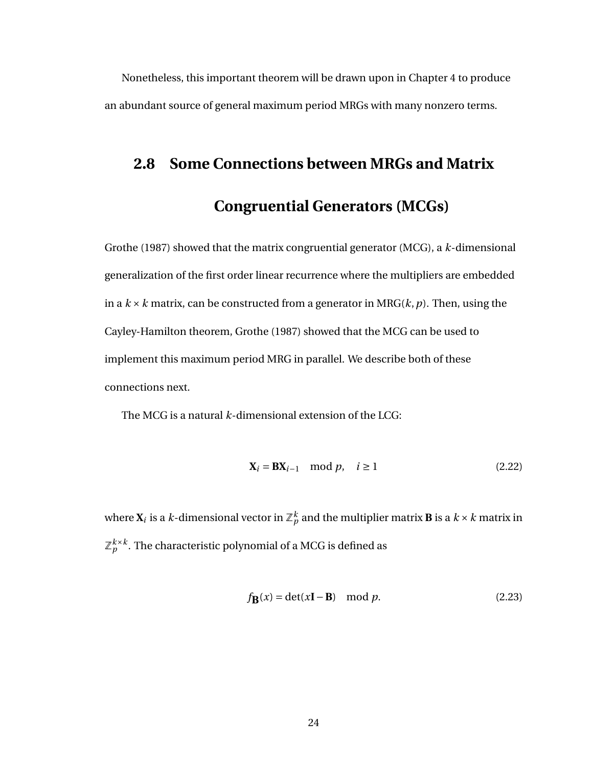<span id="page-32-0"></span>Nonetheless, this important theorem will be drawn upon in Chapter [4](#page-63-0) to produce an abundant source of general maximum period MRGs with many nonzero terms.

## **2.8 Some Connections between MRGs and Matrix**

## **Congruential Generators (MCGs)**

Grothe (1987) showed that the matrix congruential generator (MCG), a *k*-dimensional generalization of the first order linear recurrence where the multipliers are embedded in a  $k \times k$  matrix, can be constructed from a generator in MRG( $k$ ,  $p$ ). Then, using the Cayley-Hamilton theorem, Grothe (1987) showed that the MCG can be used to implement this maximum period MRG in parallel. We describe both of these connections next.

The MCG is a natural *k*-dimensional extension of the LCG:

<span id="page-32-1"></span>
$$
\mathbf{X}_{i} = \mathbf{B} \mathbf{X}_{i-1} \mod p, \quad i \ge 1
$$
\n(2.22)

where  $\mathbf{X}_i$  is a  $k$ -dimensional vector in  $\mathbb{Z}_p^k$  and the multiplier matrix  $\mathbf{B}$  is a  $k\times k$  matrix in  $\mathbb{Z}_p^{k\times k}.$  The characteristic polynomial of a MCG is defined as

$$
f_{\mathbf{B}}(x) = \det(x\mathbf{I} - \mathbf{B}) \mod p.
$$
 (2.23)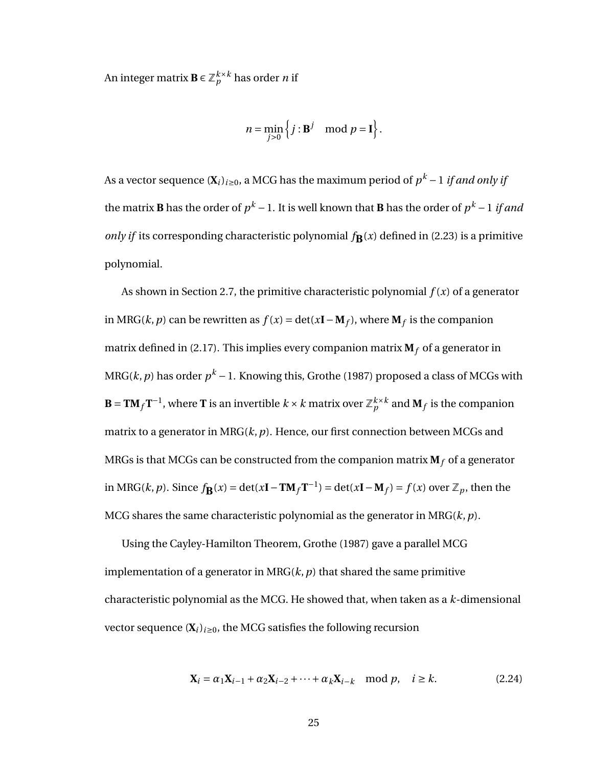An integer matrix  $\mathbf{B} \in \mathbb{Z}_p^{k \times k}$  has order  $n$  if

$$
n = \min_{j>0} \left\{ j : \mathbf{B}^j \mod p = \mathbf{I} \right\}.
$$

As a vector sequence ( $\mathbf{X}_i)_{i\geq 0}$ , a MCG has the maximum period of  $p^k$  – 1 *if and only if* the matrix **B** has the order of  $p^k-1.$  It is well known that **B** has the order of  $p^k-1$  *if and only if* its corresponding characteristic polynomial  $f_{\mathbf{B}}(x)$  defined in [\(2.23\)](#page-32-1) is a primitive polynomial.

As shown in Section [2.7,](#page-26-0) the primitive characteristic polynomial *f* (*x*) of a generator in MRG(*k*, *p*) can be rewritten as *f*(*x*) = det(*x***I**−**M***f*), where **M***f* is the companion matrix defined in [\(2.17\)](#page-27-0). This implies every companion matrix  $M_f$  of a generator in MRG(*k, p*) has order  $p^k - 1$ . Knowing this, Grothe (1987) proposed a class of MCGs with  $\mathbf{B} = \mathbf{T} \mathbf{M}_f \mathbf{T}^{-1}$ , where  $\mathbf{T}$  is an invertible  $k \times k$  matrix over  $\mathbb{Z}_p^{k \times k}$  and  $\mathbf{M}_f$  is the companion matrix to a generator in MRG(*k*,*p*). Hence, our first connection between MCGs and MRGs is that MCGs can be constructed from the companion matrix  $M_f$  of a generator in MRG(*k*, *p*). Since  $f_{\mathbf{B}}(x) = \det(x\mathbf{I} - \mathbf{T}\mathbf{M}_f\mathbf{T}^{-1}) = \det(x\mathbf{I} - \mathbf{M}_f) = f(x)$  over  $\mathbb{Z}_p$ , then the MCG shares the same characteristic polynomial as the generator in MRG(*k*,*p*).

Using the Cayley-Hamilton Theorem, Grothe (1987) gave a parallel MCG implementation of a generator in  $MRG(k, p)$  that shared the same primitive characteristic polynomial as the MCG. He showed that, when taken as a *k*-dimensional vector sequence  $(X_i)_{i \geq 0}$ , the MCG satisfies the following recursion

<span id="page-33-0"></span>
$$
\mathbf{X}_{i} = \alpha_{1}\mathbf{X}_{i-1} + \alpha_{2}\mathbf{X}_{i-2} + \dots + \alpha_{k}\mathbf{X}_{i-k} \mod p, \quad i \ge k.
$$
 (2.24)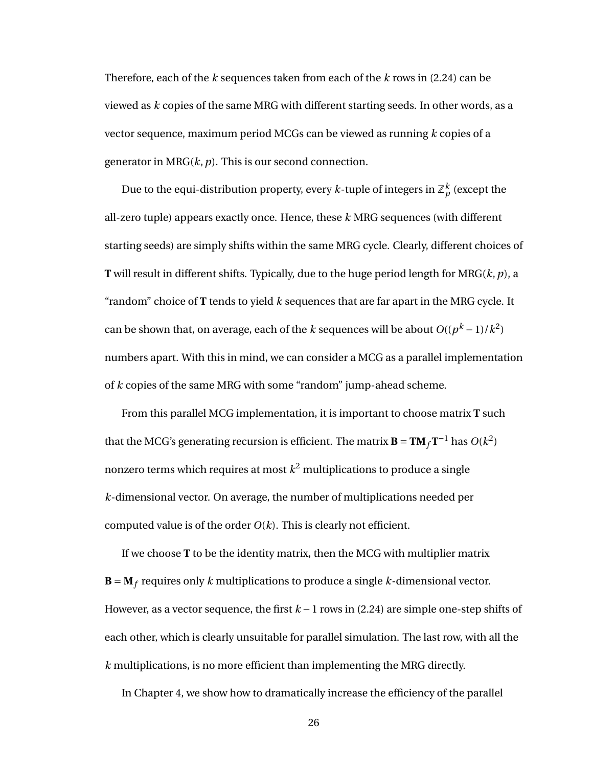Therefore, each of the *k* sequences taken from each of the *k* rows in [\(2.24\)](#page-33-0) can be viewed as *k* copies of the same MRG with different starting seeds. In other words, as a vector sequence, maximum period MCGs can be viewed as running *k* copies of a generator in MRG(*k*,*p*). This is our second connection.

Due to the equi-distribution property, every  $k$ -tuple of integers in  $\mathbb{Z}_p^k$  (except the all-zero tuple) appears exactly once. Hence, these *k* MRG sequences (with different starting seeds) are simply shifts within the same MRG cycle. Clearly, different choices of **T** will result in different shifts. Typically, due to the huge period length for MRG(*k*,*p*), a "random" choice of **T** tends to yield *k* sequences that are far apart in the MRG cycle. It can be shown that, on average, each of the *k* sequences will be about  $O((p^k-1)/k^2)$ numbers apart. With this in mind, we can consider a MCG as a parallel implementation of *k* copies of the same MRG with some "random" jump-ahead scheme.

From this parallel MCG implementation, it is important to choose matrix **T** such that the MCG's generating recursion is efficient. The matrix  $\mathbf{B} = \mathbf{T} \mathbf{M}_f \mathbf{T}^{-1}$  has  $O(k^2)$ nonzero terms which requires at most  $k^2$  multiplications to produce a single *k*-dimensional vector. On average, the number of multiplications needed per computed value is of the order  $O(k)$ . This is clearly not efficient.

If we choose **T** to be the identity matrix, then the MCG with multiplier matrix  **requires only** *k* **multiplications to produce a single** *k***-dimensional vector.** However, as a vector sequence, the first *k* −1 rows in [\(2.24\)](#page-33-0) are simple one-step shifts of each other, which is clearly unsuitable for parallel simulation. The last row, with all the *k* multiplications, is no more efficient than implementing the MRG directly.

In Chapter [4,](#page-63-0) we show how to dramatically increase the efficiency of the parallel

26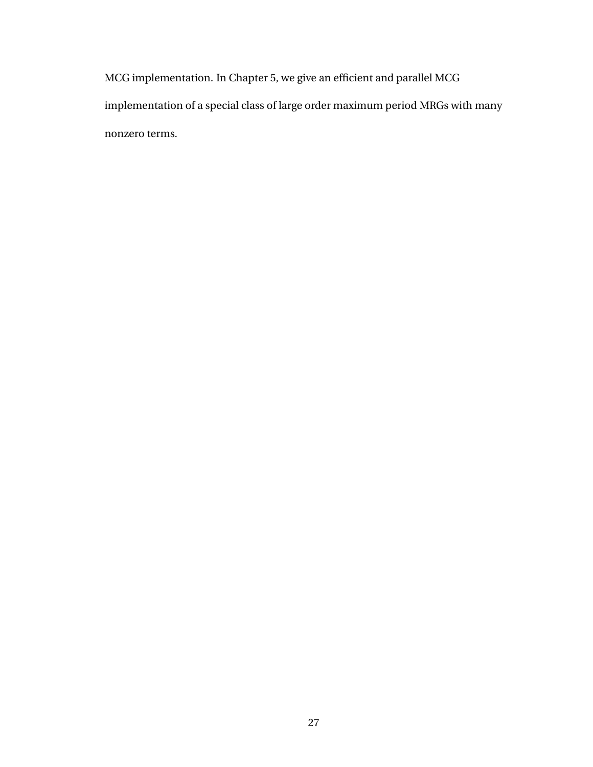MCG implementation. In Chapter [5,](#page-77-0) we give an efficient and parallel MCG implementation of a special class of large order maximum period MRGs with many nonzero terms.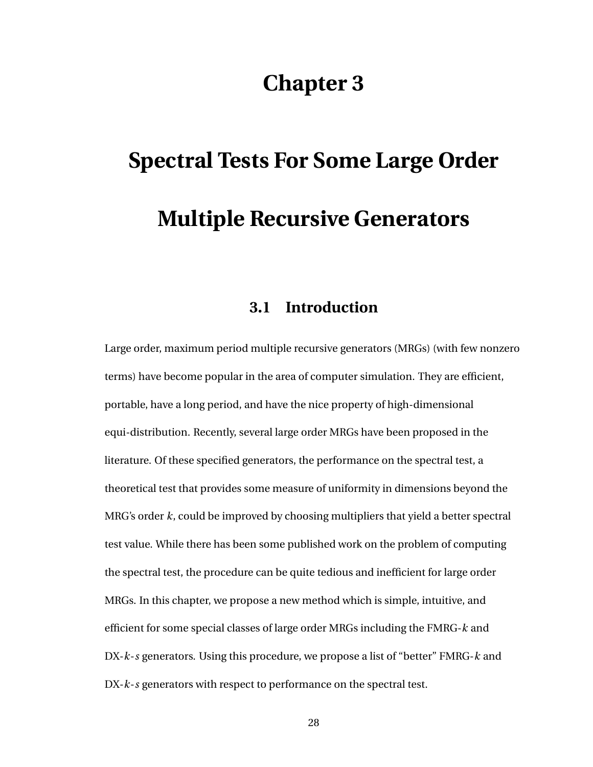# **Chapter 3**

# <span id="page-36-0"></span>**Spectral Tests For Some Large Order Multiple Recursive Generators**

# **3.1 Introduction**

Large order, maximum period multiple recursive generators (MRGs) (with few nonzero terms) have become popular in the area of computer simulation. They are efficient, portable, have a long period, and have the nice property of high-dimensional equi-distribution. Recently, several large order MRGs have been proposed in the literature. Of these specified generators, the performance on the spectral test, a theoretical test that provides some measure of uniformity in dimensions beyond the MRG's order *k*, could be improved by choosing multipliers that yield a better spectral test value. While there has been some published work on the problem of computing the spectral test, the procedure can be quite tedious and inefficient for large order MRGs. In this chapter, we propose a new method which is simple, intuitive, and efficient for some special classes of large order MRGs including the FMRG-*k* and DX-*k*-*s* generators. Using this procedure, we propose a list of "better" FMRG-*k* and DX-*k*-*s* generators with respect to performance on the spectral test.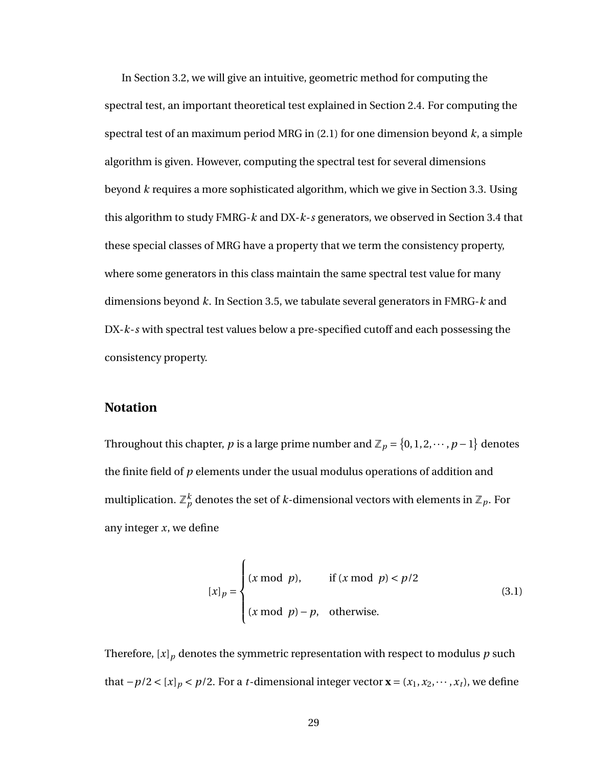In Section [3.2,](#page-38-0) we will give an intuitive, geometric method for computing the spectral test, an important theoretical test explained in Section [2.4.](#page-16-0) For computing the spectral test of an maximum period MRG in [\(2.1\)](#page-15-0) for one dimension beyond *k*, a simple algorithm is given. However, computing the spectral test for several dimensions beyond *k* requires a more sophisticated algorithm, which we give in Section [3.3.](#page-45-0) Using this algorithm to study FMRG-*k* and DX-*k*-*s* generators, we observed in Section [3.4](#page-51-0) that these special classes of MRG have a property that we term the consistency property, where some generators in this class maintain the same spectral test value for many dimensions beyond *k*. In Section [3.5,](#page-56-0) we tabulate several generators in FMRG-*k* and DX-*k*-*s* with spectral test values below a pre-specified cutoff and each possessing the consistency property.

#### **Notation**

Throughout this chapter, *p* is a large prime number and  $\mathbb{Z}_p = \{0, 1, 2, \dots, p - 1\}$  denotes the finite field of *p* elements under the usual modulus operations of addition and multiplication.  $\mathbb{Z}_p^k$  denotes the set of  $k$ -dimensional vectors with elements in  $\mathbb{Z}_p.$  For any integer *x*, we define

$$
[x]_p = \begin{cases} (x \bmod p), & \text{if } (x \bmod p) < p/2\\ (x \bmod p) - p, & \text{otherwise.} \end{cases} \tag{3.1}
$$

Therefore,  $[x]_p$  denotes the symmetric representation with respect to modulus  $p$  such that  $-p/2 < [x]_p < p/2$ . For a *t*-dimensional integer vector **x** = ( $x_1, x_2, \dots, x_t$ ), we define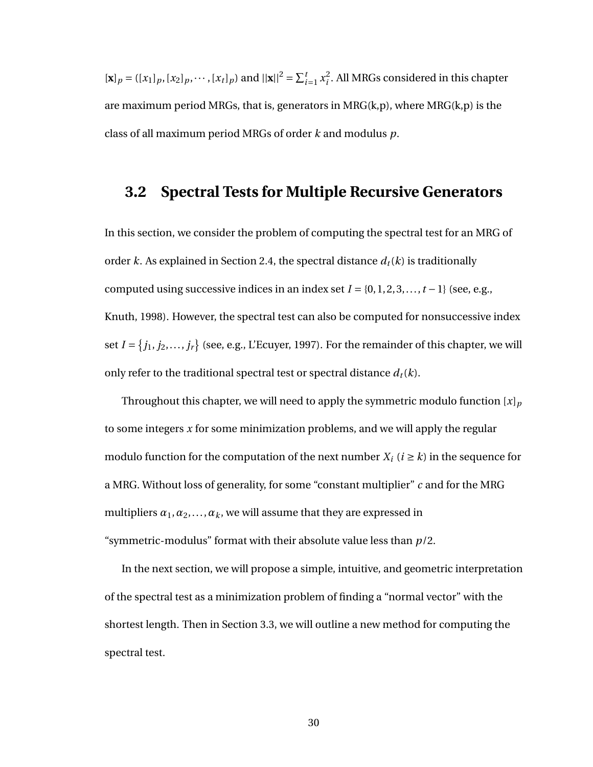$[\mathbf{x}]_p = ([x_1]_p, [x_2]_p, \cdots, [x_t]_p) \text{ and } ||\mathbf{x}||^2 = \sum_{i=1}^t x_i^2$  $\frac{2}{i}$ . All MRGs considered in this chapter are maximum period MRGs, that is, generators in MRG(k,p), where MRG(k,p) is the class of all maximum period MRGs of order *k* and modulus *p*.

### <span id="page-38-0"></span>**3.2 Spectral Tests for Multiple Recursive Generators**

In this section, we consider the problem of computing the spectral test for an MRG of order *k*. As explained in Section [2.4,](#page-16-0) the spectral distance  $d_t(k)$  is traditionally computed using successive indices in an index set  $I = \{0, 1, 2, 3, \ldots, t-1\}$  (see, e.g., Knuth, 1998). However, the spectral test can also be computed for nonsuccessive index set  $I = \{j_1, j_2, \ldots, j_r\}$  (see, e.g., L'Ecuyer, 1997). For the remainder of this chapter, we will only refer to the traditional spectral test or spectral distance  $d_t(k)$ .

Throughout this chapter, we will need to apply the symmetric modulo function  $[x]_p$ to some integers *x* for some minimization problems, and we will apply the regular modulo function for the computation of the next number  $X_i$  ( $i \geq k$ ) in the sequence for a MRG. Without loss of generality, for some "constant multiplier" *c* and for the MRG multipliers  $\alpha_1, \alpha_2, \ldots, \alpha_k$ , we will assume that they are expressed in "symmetric-modulus" format with their absolute value less than *p*/2.

In the next section, we will propose a simple, intuitive, and geometric interpretation of the spectral test as a minimization problem of finding a "normal vector" with the shortest length. Then in Section [3.3,](#page-45-0) we will outline a new method for computing the spectral test.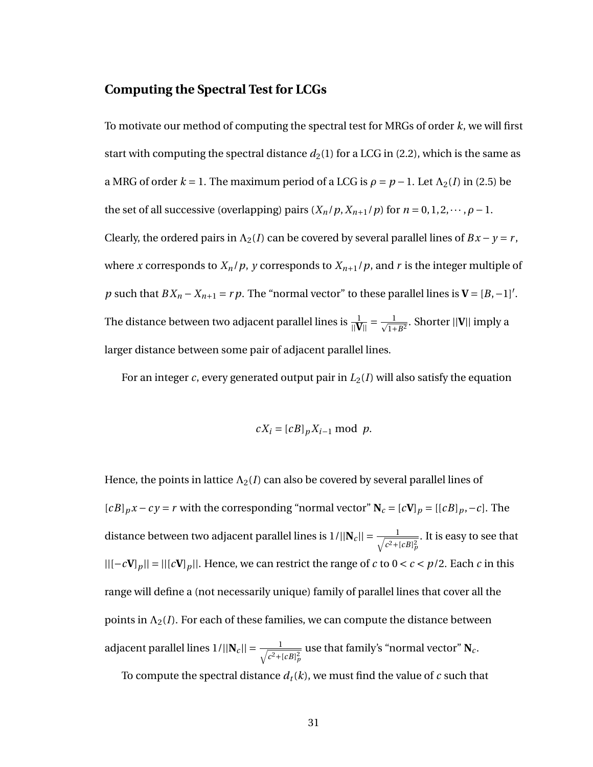#### **Computing the Spectral Test for LCGs**

To motivate our method of computing the spectral test for MRGs of order *k*, we will first start with computing the spectral distance  $d_2(1)$  for a LCG in [\(2.2\)](#page-16-1), which is the same as a MRG of order  $k = 1$ . The maximum period of a LCG is  $\rho = p - 1$ . Let  $\Lambda_2(I)$  in [\(2.5\)](#page-19-0) be the set of all successive (overlapping) pairs  $(X_n/p, X_{n+1}/p)$  for  $n = 0, 1, 2, \dots, \rho - 1$ . Clearly, the ordered pairs in  $\Lambda_2(I)$  can be covered by several parallel lines of  $Bx - y = r$ , where *x* corresponds to  $X_n/p$ , *y* corresponds to  $X_{n+1}/p$ , and *r* is the integer multiple of *p* such that  $BX_n - X_{n+1} = rp$ . The "normal vector" to these parallel lines is  $V = [B, -1]$ '. The distance between two adjacent parallel lines is  $\frac{1}{\|\mathbf{V}\|} = \frac{1}{\sqrt{1+B^2}}$ . Shorter  $||\mathbf{V}||$  imply a larger distance between some pair of adjacent parallel lines.

For an integer *c*, every generated output pair in  $L_2(I)$  will also satisfy the equation

$$
cX_i = [cB]_p X_{i-1} \bmod p.
$$

Hence, the points in lattice  $\Lambda_2(I)$  can also be covered by several parallel lines of  $[cB]_p x - cy = r$  with the corresponding "normal vector"  $N_c = [cV]_p = [[cB]_p, -c]$ . The distance between two adjacent parallel lines is  $1/||\mathbf{N}_c|| = \frac{1}{\sqrt{c^2+1}}$  $c^2 + [cB]_p^2$ . It is easy to see that ||[−*c***V**]*p*|| = ||[*c***V**]*p*||. Hence, we can restrict the range of *c* to 0 < *c* < *p*/2. Each *c* in this range will define a (not necessarily unique) family of parallel lines that cover all the points in  $\Lambda_2(I)$ . For each of these families, we can compute the distance between adjacent parallel lines  $1/||\mathbf{N}_c|| = \frac{1}{\sqrt{c^2+1}}$  $c^2 + [cB]_p^2$ use that family's "normal vector" **N***<sup>c</sup>* . To compute the spectral distance  $d_t(k)$ , we must find the value of  $c$  such that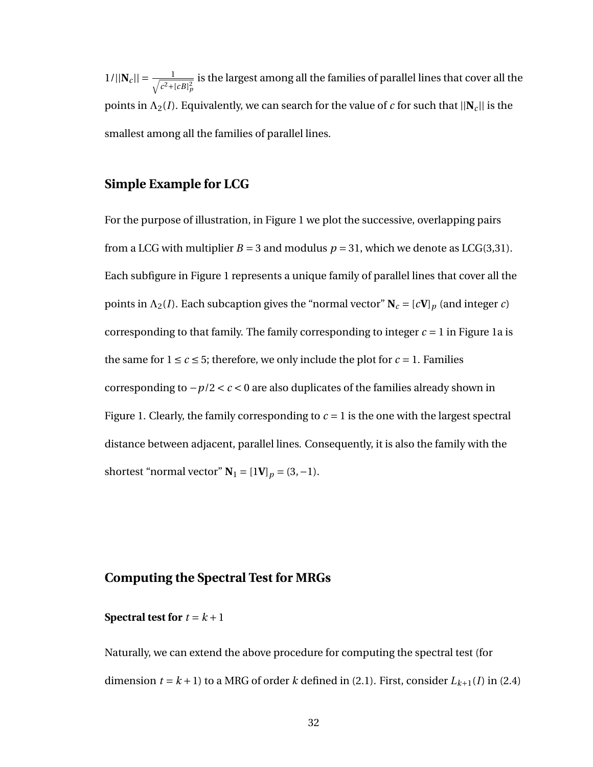$1/||\mathbf{N}_c|| = \frac{1}{\sqrt{c^2+1}}$  $c^2 + [cB]_p^2$ is the largest among all the families of parallel lines that cover all the points in  $\Lambda_2(I)$ . Equivalently, we can search for the value of *c* for such that  $||N_c||$  is the smallest among all the families of parallel lines.

#### **Simple Example for LCG**

For the purpose of illustration, in Figure [1](#page-41-0) we plot the successive, overlapping pairs from a LCG with multiplier  $B = 3$  and modulus  $p = 31$ , which we denote as LCG(3,31). Each subfigure in Figure [1](#page-41-0) represents a unique family of parallel lines that cover all the points in  $\Lambda_2(I)$ . Each subcaption gives the "normal vector"  $N_c = [cV]_p$  (and integer *c*) corresponding to that family. The family corresponding to integer  $c = 1$  in Figure [1a](#page-41-0) is the same for  $1 \leq c \leq 5$ ; therefore, we only include the plot for  $c = 1$ . Families corresponding to −*p*/2 < *c* < 0 are also duplicates of the families already shown in Figure [1.](#page-41-0) Clearly, the family corresponding to  $c = 1$  is the one with the largest spectral distance between adjacent, parallel lines. Consequently, it is also the family with the shortest "normal vector"  $N_1 = [1V]_p = (3, -1)$ .

#### **Computing the Spectral Test for MRGs**

#### **Spectral test for**  $t = k + 1$

Naturally, we can extend the above procedure for computing the spectral test (for dimension  $t = k + 1$ ) to a MRG of order *k* defined in [\(2.1\)](#page-15-0). First, consider  $L_{k+1}(I)$  in [\(2.4\)](#page-18-0)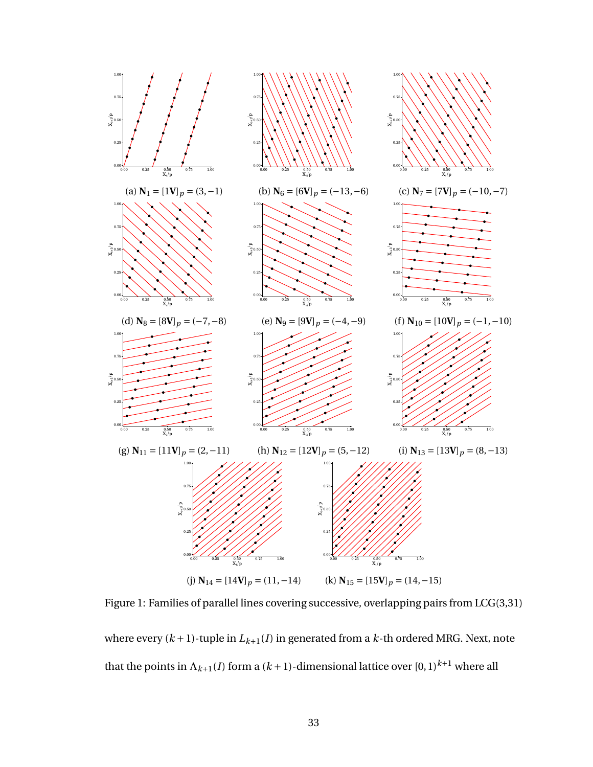<span id="page-41-0"></span>

Figure 1: Families of parallel lines covering successive, overlapping pairs from LCG(3,31) where every  $(k + 1)$ -tuple in  $L_{k+1}(I)$  in generated from a  $k$ -th ordered MRG. Next, note that the points in  $\Lambda_{k+1}(I)$  form a  $(k+1)$ -dimensional lattice over  $[0,1)^{k+1}$  where all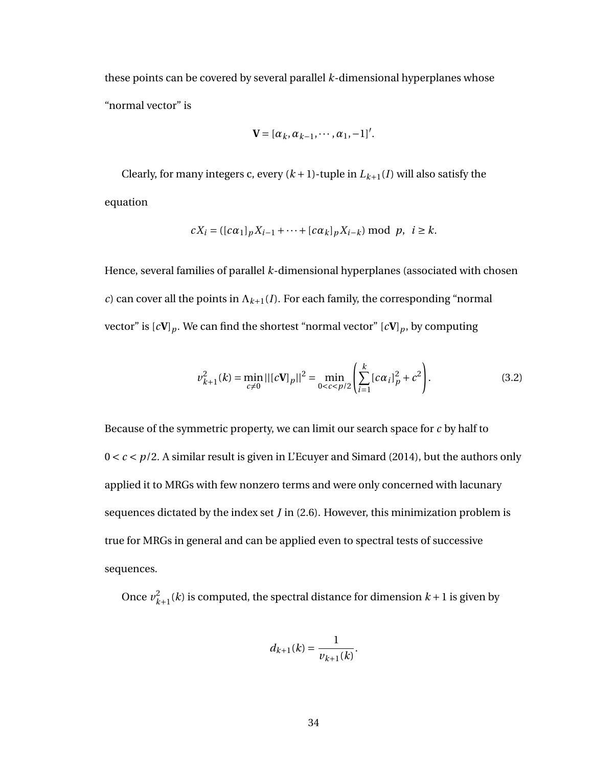these points can be covered by several parallel *k*-dimensional hyperplanes whose "normal vector" is

<span id="page-42-0"></span>
$$
\mathbf{V}=[\alpha_k,\alpha_{k-1},\cdots,\alpha_1,-1]'
$$

Clearly, for many integers c, every  $(k + 1)$ -tuple in  $L_{k+1}(I)$  will also satisfy the equation

$$
cX_i = ([c\alpha_1]_p X_{i-1} + \dots + [c\alpha_k]_p X_{i-k}) \bmod p, \ \ i \ge k.
$$

Hence, several families of parallel *k*-dimensional hyperplanes (associated with chosen *c*) can cover all the points in  $\Lambda_{k+1}(I)$ . For each family, the corresponding "normal" vector" is  $[cV]_p$ . We can find the shortest "normal vector"  $[cV]_p$ , by computing

$$
\nu_{k+1}^2(k) = \min_{c \neq 0} ||[c\mathbf{V}]_p||^2 = \min_{0 < c < p/2} \left( \sum_{i=1}^k [c\alpha_i]_p^2 + c^2 \right). \tag{3.2}
$$

Because of the symmetric property, we can limit our search space for *c* by half to 0 < *c* < *p*/2. A similar result is given in L'Ecuyer and Simard (2014), but the authors only applied it to MRGs with few nonzero terms and were only concerned with lacunary sequences dictated by the index set *J* in [\(2.6\)](#page-20-0). However, this minimization problem is true for MRGs in general and can be applied even to spectral tests of successive sequences.

Once  $v_{k+1}^2(k)$  is computed, the spectral distance for dimension  $k+1$  is given by

$$
d_{k+1}(k) = \frac{1}{\nu_{k+1}(k)}.
$$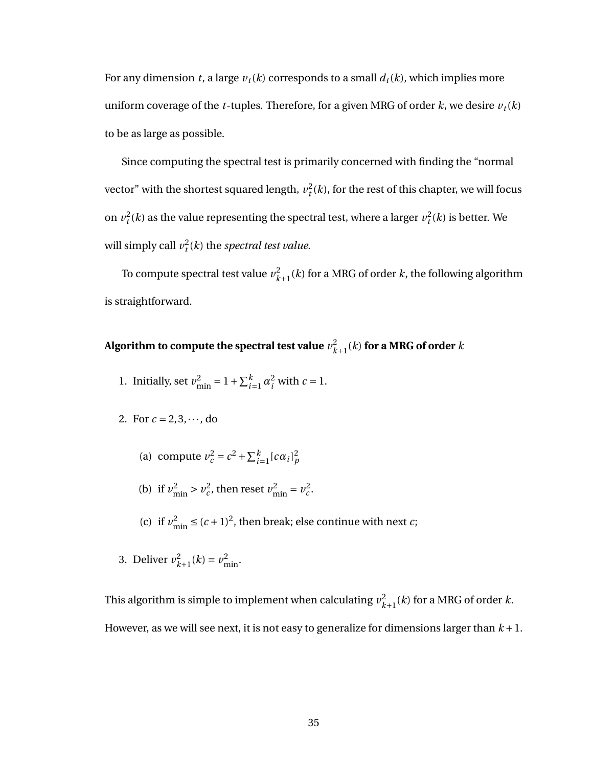For any dimension *t*, a large  $v_t(k)$  corresponds to a small  $d_t(k)$ , which implies more uniform coverage of the *t*-tuples. Therefore, for a given MRG of order  $k$ , we desire  $v_t(k)$ to be as large as possible.

Since computing the spectral test is primarily concerned with finding the "normal vector" with the shortest squared length,  $v_t^2(k)$ , for the rest of this chapter, we will focus on  $v_t^2(k)$  as the value representing the spectral test, where a larger  $v_t^2(k)$  is better. We will simply call  $v_t^2(k)$  the *spectral test value*.

To compute spectral test value  $v_{k+1}^2(k)$  for a MRG of order  $k$ , the following algorithm is straightforward.

# Algorithm to compute the spectral test value  $v_{k+1}^2(k)$  for a MRG of order  $k$

- 1. Initially, set  $v_{\text{min}}^2 = 1 + \sum_{i=1}^k \alpha_i^2$  with  $c = 1$ .
- 2. For  $c = 2, 3, \dots$ , do
	- (a) compute  $v_c^2 = c^2 + \sum_{i=1}^k [c\alpha_i]_p^2$
	- (b) if  $v_{\text{min}}^2 > v_c^2$ , then reset  $v_{\text{min}}^2 = v_c^2$ .
	- (c) if  $v_{\text{min}}^2 \le (c+1)^2$ , then break; else continue with next *c*;
- 3. Deliver  $v_{k+1}^2(k) = v_{\text{min}}^2$ .

This algorithm is simple to implement when calculating  $v_{k+1}^2(k)$  for a MRG of order  $k$ . However, as we will see next, it is not easy to generalize for dimensions larger than  $k+1$ .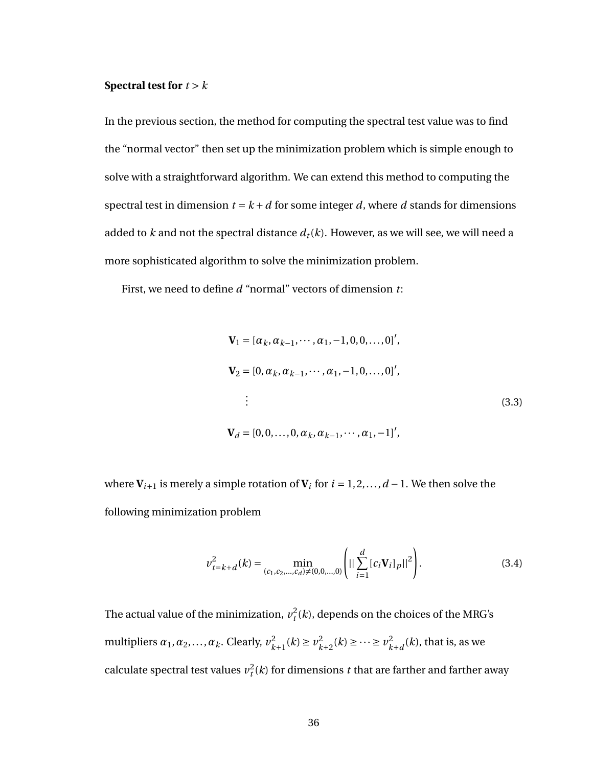#### **Spectral test for** *t* > *k*

In the previous section, the method for computing the spectral test value was to find the "normal vector" then set up the minimization problem which is simple enough to solve with a straightforward algorithm. We can extend this method to computing the spectral test in dimension  $t = k + d$  for some integer *d*, where *d* stands for dimensions added to  $k$  and not the spectral distance  $d_t(k)$ . However, as we will see, we will need a more sophisticated algorithm to solve the minimization problem.

First, we need to define *d* "normal" vectors of dimension *t*:

<span id="page-44-0"></span>
$$
\mathbf{V}_1 = [\alpha_k, \alpha_{k-1}, \cdots, \alpha_1, -1, 0, 0, \dots, 0]',
$$
  
\n
$$
\mathbf{V}_2 = [0, \alpha_k, \alpha_{k-1}, \cdots, \alpha_1, -1, 0, \dots, 0]',
$$
  
\n
$$
\vdots
$$
  
\n
$$
\mathbf{V}_d = [0, 0, \dots, 0, \alpha_k, \alpha_{k-1}, \cdots, \alpha_1, -1]',
$$
  
\n(3.3)

where  $V_{i+1}$  is merely a simple rotation of  $V_i$  for  $i = 1, 2, ..., d - 1$ . We then solve the following minimization problem

<span id="page-44-1"></span>
$$
\nu_{t=k+d}^2(k) = \min_{(c_1, c_2, \dots, c_d) \neq (0, 0, \dots, 0)} \left( \left| \left| \sum_{i=1}^d [c_i \mathbf{V}_i]_p \right| \right|^2 \right). \tag{3.4}
$$

The actual value of the minimization,  $v_t^2(k)$ , depends on the choices of the MRG's multipliers  $\alpha_1, \alpha_2, ..., \alpha_k$ . Clearly,  $v_{k+1}^2(k) \ge v_{k+2}^2(k) \ge ... \ge v_{k+d}^2(k)$ , that is, as we calculate spectral test values  $v_t^2(k)$  for dimensions *t* that are farther and farther away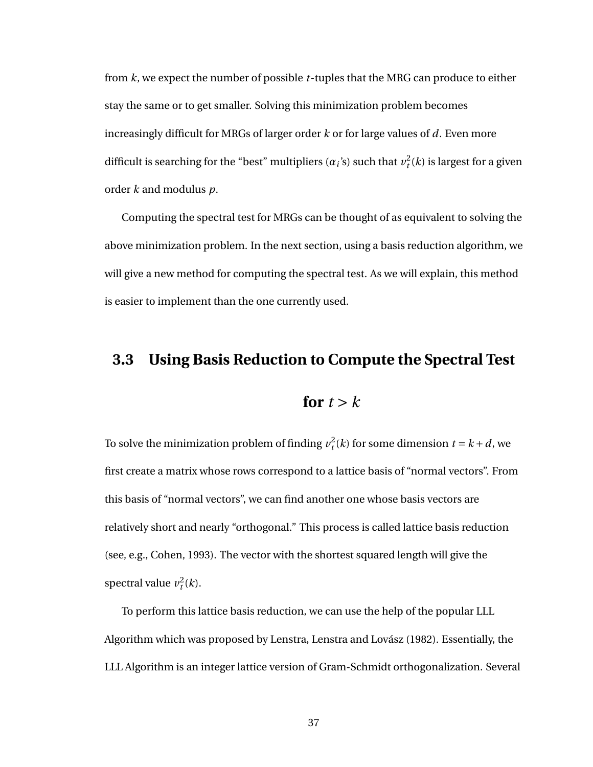from *k*, we expect the number of possible *t*-tuples that the MRG can produce to either stay the same or to get smaller. Solving this minimization problem becomes increasingly difficult for MRGs of larger order *k* or for large values of *d*. Even more difficult is searching for the "best" multipliers  $(a_i)$  such that  $v_t^2(k)$  is largest for a given order *k* and modulus *p*.

Computing the spectral test for MRGs can be thought of as equivalent to solving the above minimization problem. In the next section, using a basis reduction algorithm, we will give a new method for computing the spectral test. As we will explain, this method is easier to implement than the one currently used.

# <span id="page-45-0"></span>**3.3 Using Basis Reduction to Compute the Spectral Test**

# for  $t > k$

To solve the minimization problem of finding  $v_t^2(k)$  for some dimension  $t = k + d$ , we first create a matrix whose rows correspond to a lattice basis of "normal vectors". From this basis of "normal vectors", we can find another one whose basis vectors are relatively short and nearly "orthogonal." This process is called lattice basis reduction (see, e.g., Cohen, 1993). The vector with the shortest squared length will give the spectral value  $v_t^2(k)$ .

To perform this lattice basis reduction, we can use the help of the popular LLL Algorithm which was proposed by Lenstra, Lenstra and Lovász (1982). Essentially, the LLL Algorithm is an integer lattice version of Gram-Schmidt orthogonalization. Several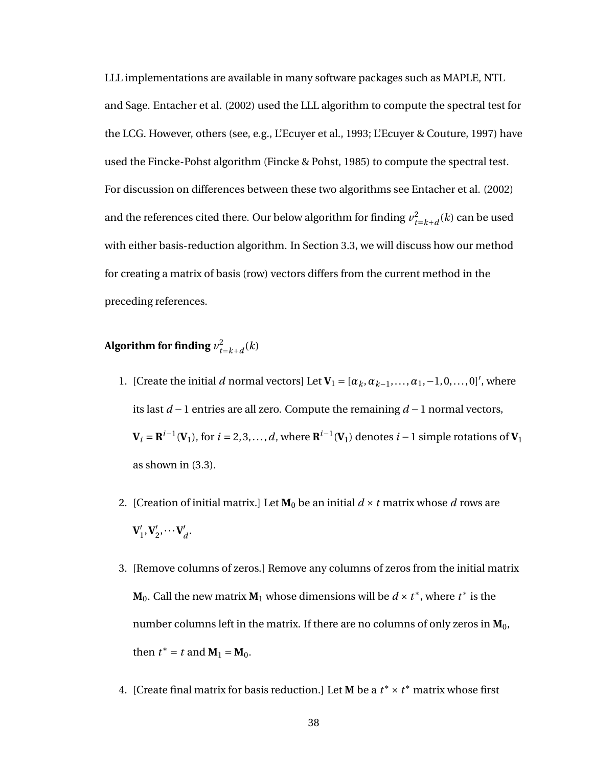LLL implementations are available in many software packages such as MAPLE, NTL and Sage. Entacher et al. (2002) used the LLL algorithm to compute the spectral test for the LCG. However, others (see, e.g., L'Ecuyer et al., 1993; L'Ecuyer & Couture, 1997) have used the Fincke-Pohst algorithm (Fincke & Pohst, 1985) to compute the spectral test. For discussion on differences between these two algorithms see Entacher et al. (2002) and the references cited there. Our below algorithm for finding  $v_{t=k+d}^2(k)$  can be used with either basis-reduction algorithm. In Section [3.3,](#page-47-0) we will discuss how our method for creating a matrix of basis (row) vectors differs from the current method in the preceding references.

# Algorithm for finding  $v_{t=k+d}^2(k)$

- 1. [Create the initial *d* normal vectors] Let  $V_1 = [\alpha_k, \alpha_{k-1}, \ldots, \alpha_1, -1, 0, \ldots, 0]^T$ , where its last *d* −1 entries are all zero. Compute the remaining *d* −1 normal vectors,  $\mathbf{V}_i = \mathbf{R}^{i-1}(\mathbf{V}_1)$ , for  $i = 2, 3, ..., d$ , where  $\mathbf{R}^{i-1}(\mathbf{V}_1)$  denotes  $i-1$  simple rotations of  $\mathbf{V}_1$ as shown in [\(3.3\)](#page-44-0).
- 2. [Creation of initial matrix.] Let  $M_0$  be an initial  $d \times t$  matrix whose  $d$  rows are  $V_1'$  $'_{1}$ **, V**<sub>2</sub>  $v_2', \cdots$ **V**<sup> $\prime$ </sup> *d* .
- 3. [Remove columns of zeros.] Remove any columns of zeros from the initial matrix  $M_0$ . Call the new matrix  $M_1$  whose dimensions will be  $d \times t^*$  , where  $t^*$  is the number columns left in the matrix. If there are no columns of only zeros in  $M_0$ , then  $t^* = t$  and  $M_1 = M_0$ .
- 4. [Create final matrix for basis reduction.] Let **M** be a  $t^* \times t^*$  matrix whose first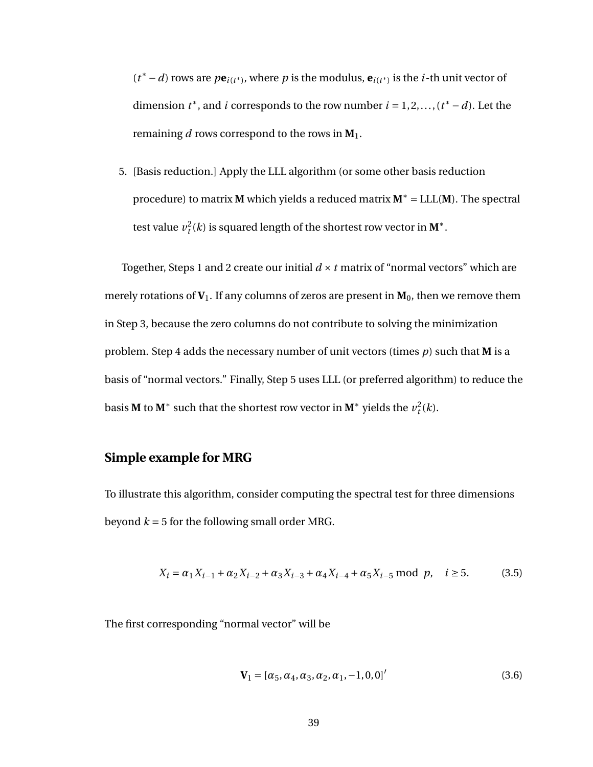$(t^* - d)$  rows are  $pe_{i(t^*)}$ , where  $p$  is the modulus,  $e_{i(t^*)}$  is the *i*-th unit vector of dimension  $t^*$ , and *i* corresponds to the row number  $i = 1, 2, ..., (t^* - d)$ . Let the remaining *d* rows correspond to the rows in  $M_1$ .

5. [Basis reduction.] Apply the LLL algorithm (or some other basis reduction procedure) to matrix **M** which yields a reduced matrix **M**<sup>∗</sup> = LLL(**M**). The spectral test value  $v_t^2(k)$  is squared length of the shortest row vector in  $\mathbf{M}^* .$ 

Together, Steps 1 and 2 create our initial  $d \times t$  matrix of "normal vectors" which are merely rotations of  $V_1$ . If any columns of zeros are present in  $M_0$ , then we remove them in Step 3, because the zero columns do not contribute to solving the minimization problem. Step 4 adds the necessary number of unit vectors (times *p*) such that **M** is a basis of "normal vectors." Finally, Step 5 uses LLL (or preferred algorithm) to reduce the basis **M** to **M**<sup>∗</sup> such that the shortest row vector in **M**<sup>∗</sup> yields the  $v_t^2(k)$ .

#### **Simple example for MRG**

To illustrate this algorithm, consider computing the spectral test for three dimensions beyond  $k = 5$  for the following small order MRG.

$$
X_i = \alpha_1 X_{i-1} + \alpha_2 X_{i-2} + \alpha_3 X_{i-3} + \alpha_4 X_{i-4} + \alpha_5 X_{i-5} \text{ mod } p, \quad i \ge 5.
$$
 (3.5)

The first corresponding "normal vector" will be

<span id="page-47-0"></span>
$$
\mathbf{V}_1 = [\alpha_5, \alpha_4, \alpha_3, \alpha_2, \alpha_1, -1, 0, 0]'
$$
\n(3.6)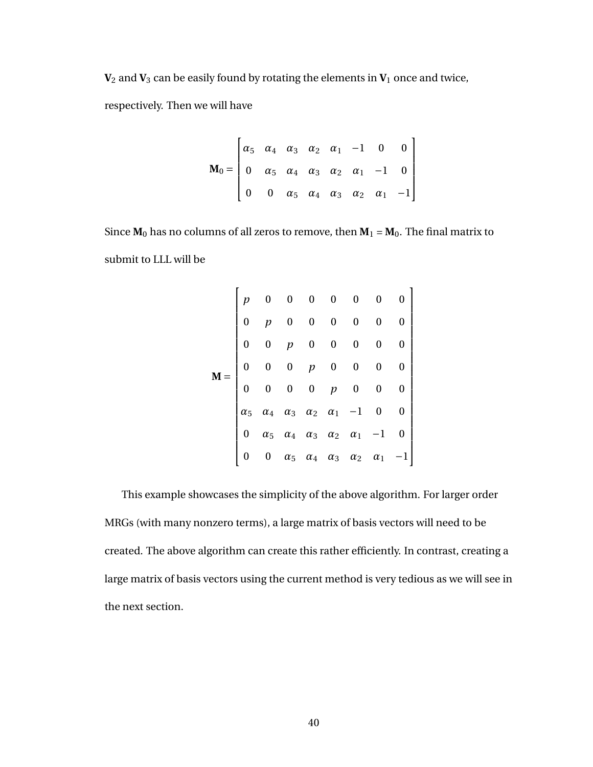$V_2$  and  $V_3$  can be easily found by rotating the elements in  $V_1$  once and twice,

respectively. Then we will have

$$
\mathbf{M}_0 = \begin{bmatrix} \alpha_5 & \alpha_4 & \alpha_3 & \alpha_2 & \alpha_1 & -1 & 0 & 0 \\ 0 & \alpha_5 & \alpha_4 & \alpha_3 & \alpha_2 & \alpha_1 & -1 & 0 \\ 0 & 0 & \alpha_5 & \alpha_4 & \alpha_3 & \alpha_2 & \alpha_1 & -1 \end{bmatrix}
$$

Since  $M_0$  has no columns of all zeros to remove, then  $M_1 = M_0$ . The final matrix to submit to LLL will be

**M** = *p* 0 0 0 0 0 0 0 0 *p* 0 0 0 0 0 0 0 0 *p* 0 0 0 0 0 0 0 0 *p* 0 0 0 0 0 0 0 0 *p* 0 0 0 *α*<sup>5</sup> *α*<sup>4</sup> *α*<sup>3</sup> *α*<sup>2</sup> *α*<sup>1</sup> −1 0 0 0 *α*<sup>5</sup> *α*<sup>4</sup> *α*<sup>3</sup> *α*<sup>2</sup> *α*<sup>1</sup> −1 0 0 0 *α*<sup>5</sup> *α*<sup>4</sup> *α*<sup>3</sup> *α*<sup>2</sup> *α*<sup>1</sup> −1 

This example showcases the simplicity of the above algorithm. For larger order MRGs (with many nonzero terms), a large matrix of basis vectors will need to be created. The above algorithm can create this rather efficiently. In contrast, creating a large matrix of basis vectors using the current method is very tedious as we will see in the next section.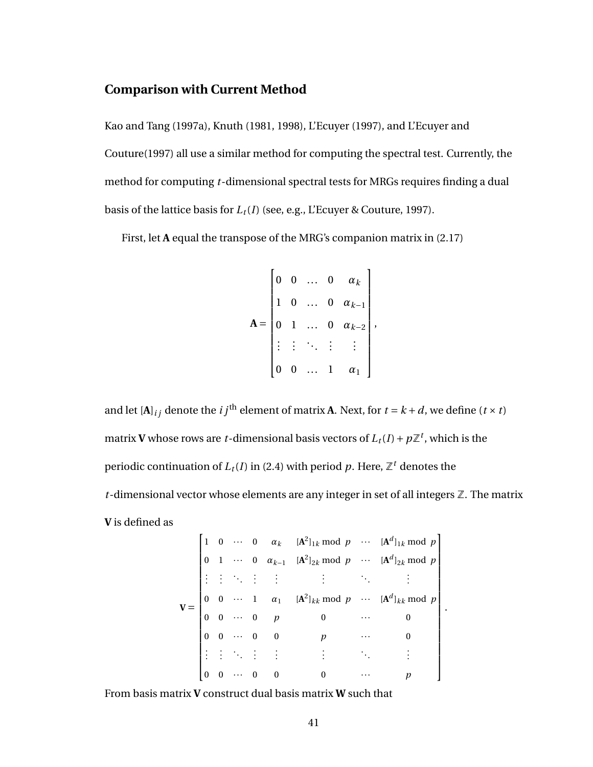#### **Comparison with Current Method**

Kao and Tang (1997a), Knuth (1981, 1998), L'Ecuyer (1997), and L'Ecuyer and Couture(1997) all use a similar method for computing the spectral test. Currently, the method for computing *t*-dimensional spectral tests for MRGs requires finding a dual basis of the lattice basis for  $L_t(I)$  (see, e.g., L'Ecuyer & Couture, 1997).

First, let **A** equal the transpose of the MRG's companion matrix in [\(2.17\)](#page-27-0)

$$
\mathbf{A} = \begin{bmatrix} 0 & 0 & \dots & 0 & \alpha_k \\ 1 & 0 & \dots & 0 & \alpha_{k-1} \\ 0 & 1 & \dots & 0 & \alpha_{k-2} \\ \vdots & \vdots & \ddots & \vdots & \vdots \\ 0 & 0 & \dots & 1 & \alpha_1 \end{bmatrix},
$$

and let  $[A]$ <sup>*i*</sup> *j* denote the *i j*<sup>th</sup> element of matrix **A**. Next, for  $t = k + d$ , we define  $(t \times t)$ matrix **V** whose rows are *t*-dimensional basis vectors of  $L_t(I) + p\mathbb{Z}^t$ , which is the periodic continuation of  $L_t(I)$  in [\(2.4\)](#page-18-0) with period  $p$ . Here,  $\mathbb{Z}^t$  denotes the  $t$ -dimensional vector whose elements are any integer in set of all integers  $\mathbb Z$ . The matrix **V** is defined as

$$
\mathbf{V} = \begin{bmatrix} 1 & 0 & \cdots & 0 & \alpha_k & [\mathbf{A}^2]_{1k} \bmod p & \cdots & [\mathbf{A}^d]_{1k} \bmod p \\ 0 & 1 & \cdots & 0 & \alpha_{k-1} & [\mathbf{A}^2]_{2k} \bmod p & \cdots & [\mathbf{A}^d]_{2k} \bmod p \\ \vdots & \vdots & \ddots & \vdots & \vdots & \vdots & \ddots & \vdots \\ 0 & 0 & \cdots & 1 & \alpha_1 & [\mathbf{A}^2]_{kk} \bmod p & \cdots & [\mathbf{A}^d]_{kk} \bmod p \\ 0 & 0 & \cdots & 0 & p & 0 & \cdots & 0 \\ 0 & 0 & \cdots & 0 & 0 & p & \cdots & 0 \\ \vdots & \vdots & \ddots & \vdots & \vdots & \vdots & \ddots & \vdots \\ 0 & 0 & \cdots & 0 & 0 & 0 & \cdots & p \end{bmatrix}
$$

.

From basis matrix **V** construct dual basis matrix **W** such that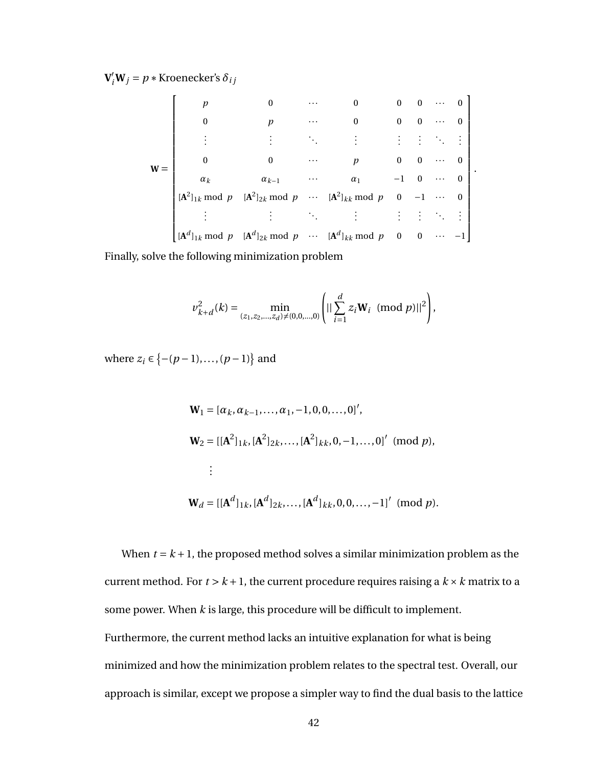$V'_i W_j = p *$  Kroenecker's  $\delta_{ij}$ 

$$
\mathbf{W} = \begin{bmatrix} p & 0 & \cdots & 0 & 0 & 0 & \cdots & 0 \\ 0 & p & \cdots & 0 & 0 & 0 & \cdots & 0 \\ \vdots & \vdots & \ddots & \vdots & \vdots & \vdots & \ddots & \vdots \\ 0 & 0 & \cdots & p & 0 & 0 & \cdots & 0 \\ \alpha_k & \alpha_{k-1} & \cdots & \alpha_1 & -1 & 0 & \cdots & 0 \\ [A^2]_{1k} \bmod p & [A^2]_{2k} \bmod p & \cdots & [A^2]_{kk} \bmod p & 0 & -1 & \cdots & 0 \\ \vdots & \vdots & \vdots & \ddots & \vdots & \vdots & \vdots & \ddots & \vdots \\ [A^d]_{1k} \bmod p & [A^d]_{2k} \bmod p & \cdots & [A^d]_{kk} \bmod p & 0 & 0 & \cdots & -1 \end{bmatrix}.
$$

Finally, solve the following minimization problem

$$
v_{k+d}^{2}(k) = \min_{(z_{1}, z_{2}, \ldots, z_{d}) \neq (0, 0, \ldots, 0)} \left( \left| \left| \sum_{i=1}^{d} z_{i} \mathbf{W}_{i} \right| (\text{mod } p) \right| \right|^{2} \right),
$$

where  $z_i \in \{-(p-1), ..., (p-1)\}$  and

$$
\mathbf{W}_1 = [\alpha_k, \alpha_{k-1}, \dots, \alpha_1, -1, 0, 0, \dots, 0]',
$$
\n
$$
\mathbf{W}_2 = [[\mathbf{A}^2]_{1k}, [\mathbf{A}^2]_{2k}, \dots, [\mathbf{A}^2]_{kk}, 0, -1, \dots, 0]'
$$
 (mod  $p$ ),\n
$$
\vdots
$$
\n
$$
\mathbf{W}_d = [[\mathbf{A}^d]_{1k}, [\mathbf{A}^d]_{2k}, \dots, [\mathbf{A}^d]_{kk}, 0, 0, \dots, -1]'
$$
 (mod  $p$ ).

When  $t = k + 1$ , the proposed method solves a similar minimization problem as the current method. For  $t > k + 1$ , the current procedure requires raising a  $k \times k$  matrix to a some power. When *k* is large, this procedure will be difficult to implement. Furthermore, the current method lacks an intuitive explanation for what is being minimized and how the minimization problem relates to the spectral test. Overall, our approach is similar, except we propose a simpler way to find the dual basis to the lattice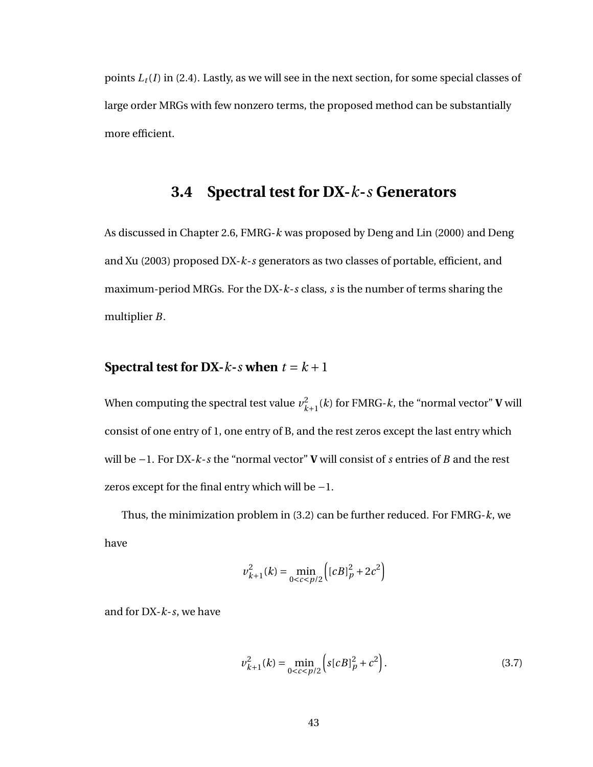<span id="page-51-0"></span>points  $L_t(I)$  in [\(2.4\)](#page-18-0). Lastly, as we will see in the next section, for some special classes of large order MRGs with few nonzero terms, the proposed method can be substantially more efficient.

# **3.4 Spectral test for DX-***k***-***s* **Generators**

As discussed in Chapter [2.6,](#page-22-0) FMRG-*k* was proposed by Deng and Lin (2000) and Deng and Xu (2003) proposed DX-*k*-*s* generators as two classes of portable, efficient, and maximum-period MRGs. For the DX-*k*-*s* class, *s* is the number of terms sharing the multiplier *B*.

#### **Spectral test for DX-***k*-*s* **when**  $t = k + 1$

When computing the spectral test value  $v_{k+1}^2(k)$  for FMRG-*k*, the "normal vector" **V** will consist of one entry of 1, one entry of B, and the rest zeros except the last entry which will be −1. For DX-*k*-*s* the "normal vector" **V** will consist of *s* entries of *B* and the rest zeros except for the final entry which will be −1.

Thus, the minimization problem in [\(3.2\)](#page-42-0) can be further reduced. For FMRG-*k*, we have

<span id="page-51-1"></span>
$$
v_{k+1}^{2}(k) = \min_{0 < c < p/2} \left( [cB]_{p}^{2} + 2c^{2} \right)
$$

and for DX-*k*-*s*, we have

$$
\nu_{k+1}^2(k) = \min_{0 < c < p/2} \left( s[cB]_p^2 + c^2 \right). \tag{3.7}
$$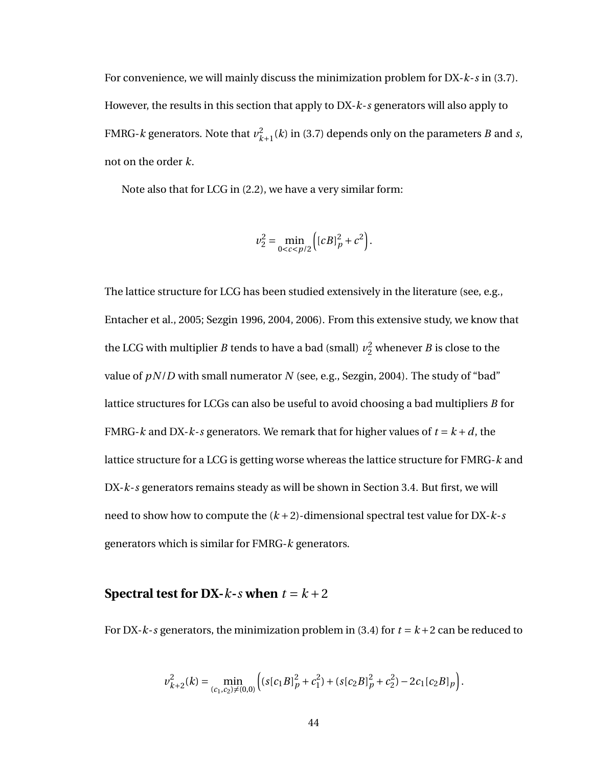For convenience, we will mainly discuss the minimization problem for DX-*k*-*s* in [\(3.7\)](#page-51-1). However, the results in this section that apply to DX-*k*-*s* generators will also apply to FMRG-*k* generators. Note that  $v_{k+1}^2(k)$  in [\(3.7\)](#page-51-1) depends only on the parameters *B* and *s*, not on the order *k*.

Note also that for LCG in [\(2.2\)](#page-16-1), we have a very similar form:

$$
v_2^2 = \min_{0 < c < p/2} \left( [cB]_p^2 + c^2 \right).
$$

The lattice structure for LCG has been studied extensively in the literature (see, e.g., Entacher et al., 2005; Sezgin 1996, 2004, 2006). From this extensive study, we know that the LCG with multiplier *B* tends to have a bad (small)  $v_2^2$  whenever *B* is close to the value of *pN*/*D* with small numerator *N* (see, e.g., Sezgin, 2004). The study of "bad" lattice structures for LCGs can also be useful to avoid choosing a bad multipliers *B* for FMRG-*k* and DX-*k*-*s* generators. We remark that for higher values of  $t = k + d$ , the lattice structure for a LCG is getting worse whereas the lattice structure for FMRG-*k* and DX-*k*-*s* generators remains steady as will be shown in Section [3.4.](#page-51-1) But first, we will need to show how to compute the (*k* +2)-dimensional spectral test value for DX-*k*-*s* generators which is similar for FMRG-*k* generators.

#### **Spectral test for DX-** $k$ - $s$  when  $t = k + 2$

For DX- $k$ -*s* generators, the minimization problem in [\(3.4\)](#page-44-1) for  $t = k + 2$  can be reduced to

$$
v_{k+2}^2(k) = \min_{(c_1, c_2) \neq (0, 0)} \Big( \left( s[c_1B]_p^2 + c_1^2 \right) + \left( s[c_2B]_p^2 + c_2^2 \right) - 2c_1[c_2B]_p \Big).
$$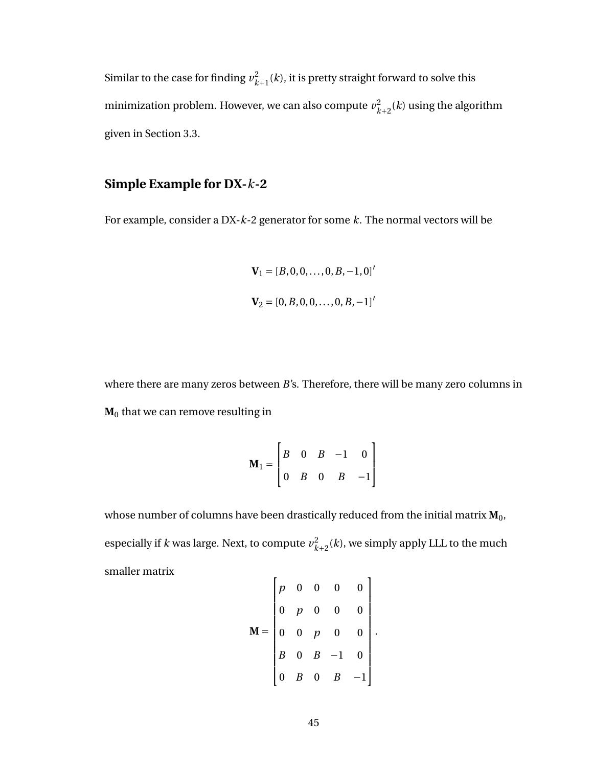Similar to the case for finding  $v_{k+1}^2(k)$ , it is pretty straight forward to solve this minimization problem. However, we can also compute  $v_{k+2}^2(k)$  using the algorithm given in Section [3.3.](#page-45-0)

#### **Simple Example for DX-***k***-2**

For example, consider a DX-*k*-2 generator for some *k*. The normal vectors will be

$$
\mathbf{V}_1 = [B, 0, 0, \dots, 0, B, -1, 0]'
$$
  

$$
\mathbf{V}_2 = [0, B, 0, 0, \dots, 0, B, -1]'
$$

where there are many zeros between *B*'s. Therefore, there will be many zero columns in **M**<sup>0</sup> that we can remove resulting in

$$
\mathbf{M}_1 = \begin{bmatrix} B & 0 & B & -1 & 0 \\ 0 & B & 0 & B & -1 \end{bmatrix}
$$

whose number of columns have been drastically reduced from the initial matrix  $M_0$ , especially if *k* was large. Next, to compute  $v_{k+2}^2(k)$ , we simply apply LLL to the much smaller matrix  $\mathbf{r}$  $\mathbf{I}$ 

$$
\mathbf{M} = \begin{bmatrix} p & 0 & 0 & 0 & 0 \\ 0 & p & 0 & 0 & 0 \\ 0 & 0 & p & 0 & 0 \\ B & 0 & B & -1 & 0 \\ 0 & B & 0 & B & -1 \end{bmatrix}.
$$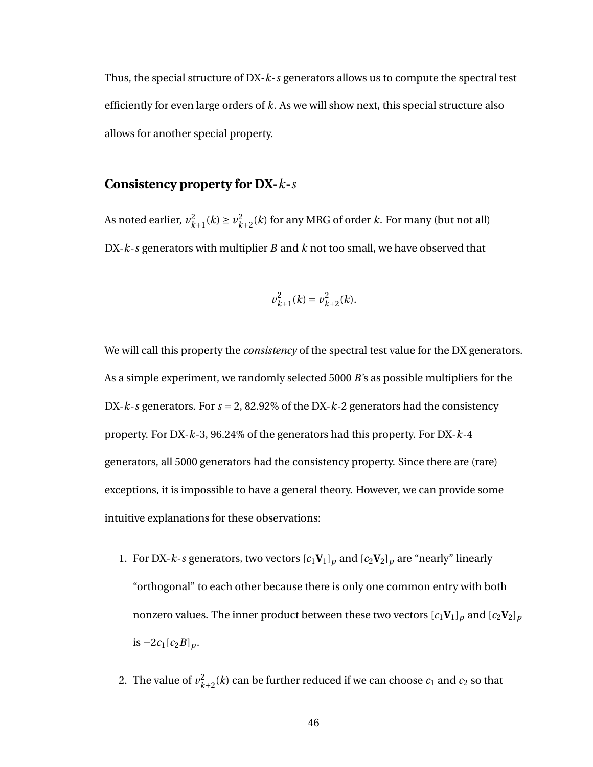Thus, the special structure of DX-*k*-*s* generators allows us to compute the spectral test efficiently for even large orders of *k*. As we will show next, this special structure also allows for another special property.

#### **Consistency property for DX-***k***-***s*

As noted earlier,  $v_{k+1}^2(k) \ge v_{k+2}^2(k)$  for any MRG of order *k*. For many (but not all) DX-*k*-*s* generators with multiplier *B* and *k* not too small, we have observed that

$$
v_{k+1}^2(k) = v_{k+2}^2(k).
$$

We will call this property the *consistency* of the spectral test value for the DX generators. As a simple experiment, we randomly selected 5000 *B*'s as possible multipliers for the DX- $k$ -*s* generators. For  $s = 2$ , 82.92% of the DX- $k$ -2 generators had the consistency property. For DX-*k*-3, 96.24% of the generators had this property. For DX-*k*-4 generators, all 5000 generators had the consistency property. Since there are (rare) exceptions, it is impossible to have a general theory. However, we can provide some intuitive explanations for these observations:

- 1. For DX-*k*-*s* generators, two vectors  $[c_1V_1]_p$  and  $[c_2V_2]_p$  are "nearly" linearly "orthogonal" to each other because there is only one common entry with both nonzero values. The inner product between these two vectors  $[c_1V_1]_p$  and  $[c_2V_2]_p$  $i$ s −2 $c_1[c_2B]_p$ .
- 2. The value of  $v_{k+2}^2(k)$  can be further reduced if we can choose  $c_1$  and  $c_2$  so that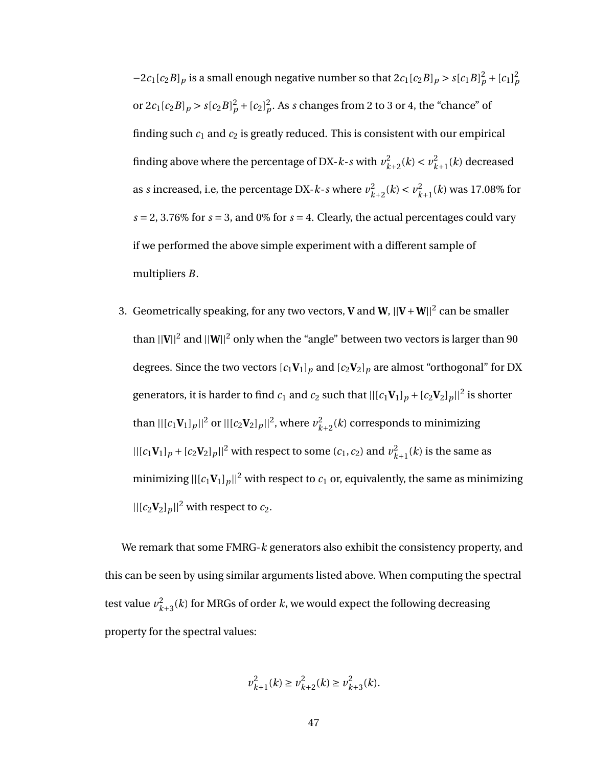$-2c_1[c_2B]_p$  is a small enough negative number so that  $2c_1[c_2B]_p > s[c_1B]_p^2 + [c_1]_p^2$ or  $2c_1[c_2B]_p > s[c_2B]_p^2 + [c_2]_p^2$ . As *s* changes from 2 to 3 or 4, the "chance" of finding such  $c_1$  and  $c_2$  is greatly reduced. This is consistent with our empirical finding above where the percentage of DX-*k*-*s* with  $v_{k+2}^2(k) < v_{k+1}^2(k)$  decreased as *s* increased, i.e, the percentage DX-*k*-*s* where  $v_{k+2}^2(k) < v_{k+1}^2(k)$  was 17.08% for  $s = 2, 3.76\%$  for  $s = 3$ , and 0% for  $s = 4$ . Clearly, the actual percentages could vary if we performed the above simple experiment with a different sample of multipliers *B*.

3. Geometrically speaking, for any two vectors, **V** and **W**,  $||\mathbf{V}+\mathbf{W}||^2$  can be smaller than  $||{\bf V}||^2$  and  $||{\bf W}||^2$  only when the "angle" between two vectors is larger than 90 degrees. Since the two vectors  $[c_1V_1]_p$  and  $[c_2V_2]_p$  are almost "orthogonal" for DX generators, it is harder to find  $c_1$  and  $c_2$  such that  $||(c_1 \mathbf{V}_1)_p + (c_2 \mathbf{V}_2)_p||^2$  is shorter than  $||[c_1 \mathbf{V}_1]_p||^2$  or  $||[c_2 \mathbf{V}_2]_p||^2$ , where  $v_{k+2}^2(k)$  corresponds to minimizing  $||[(c_1 \mathbf{V}_1]_p + (c_2 \mathbf{V}_2)_p||^2$  with respect to some  $(c_1, c_2)$  and  $v_{k+1}^2(k)$  is the same as minimizing  $\frac{|c_1 V_1|_p|^2}{\sqrt{2}}$  with respect to  $c_1$  or, equivalently, the same as minimizing  $||[c_2 \mathbf{V}_2]_p||^2$  with respect to  $c_2$ .

We remark that some FMRG-*k* generators also exhibit the consistency property, and this can be seen by using similar arguments listed above. When computing the spectral test value  $v_{k+3}^2(k)$  for MRGs of order  $k$ , we would expect the following decreasing property for the spectral values:

$$
\nu_{k+1}^2(k) \ge \nu_{k+2}^2(k) \ge \nu_{k+3}^2(k).
$$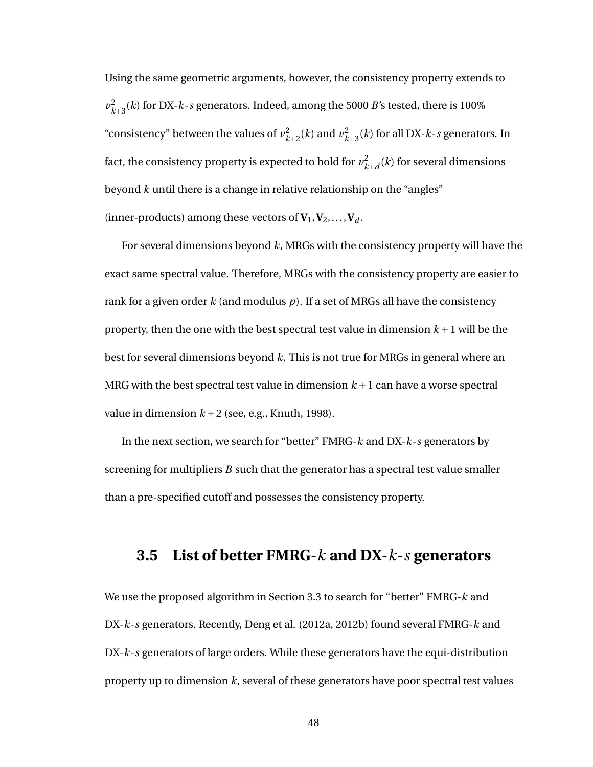Using the same geometric arguments, however, the consistency property extends to  $v_{k+3}^2(k)$  for DX-*k*-*s* generators. Indeed, among the 5000 *B*'s tested, there is 100% "consistency" between the values of  $v_{k+2}^2(k)$  and  $v_{k+3}^2(k)$  for all DX-*k*-*s* generators. In fact, the consistency property is expected to hold for  $v^2_{k+d}(k)$  for several dimensions beyond *k* until there is a change in relative relationship on the "angles" (inner-products) among these vectors of  $V_1, V_2, \ldots, V_d$ .

For several dimensions beyond *k*, MRGs with the consistency property will have the exact same spectral value. Therefore, MRGs with the consistency property are easier to rank for a given order *k* (and modulus *p*). If a set of MRGs all have the consistency property, then the one with the best spectral test value in dimension  $k + 1$  will be the best for several dimensions beyond *k*. This is not true for MRGs in general where an MRG with the best spectral test value in dimension  $k+1$  can have a worse spectral value in dimension  $k+2$  (see, e.g., Knuth, 1998).

In the next section, we search for "better" FMRG-*k* and DX-*k*-*s* generators by screening for multipliers *B* such that the generator has a spectral test value smaller than a pre-specified cutoff and possesses the consistency property.

#### <span id="page-56-0"></span>**3.5 List of better FMRG-***k* **and DX-***k***-***s* **generators**

We use the proposed algorithm in Section [3.3](#page-45-0) to search for "better" FMRG-*k* and DX-*k*-*s* generators. Recently, Deng et al. (2012a, 2012b) found several FMRG-*k* and DX-*k*-*s* generators of large orders. While these generators have the equi-distribution property up to dimension *k*, several of these generators have poor spectral test values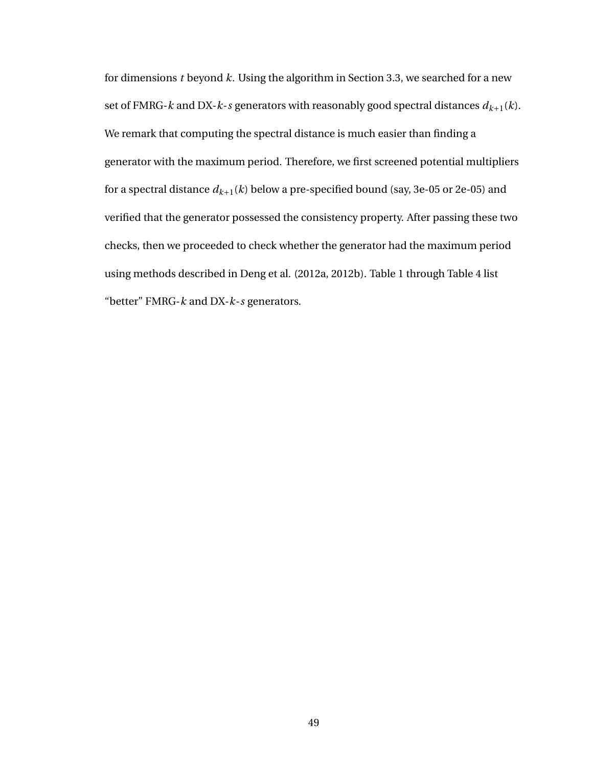for dimensions *t* beyond *k*. Using the algorithm in Section [3.3,](#page-45-0) we searched for a new set of FMRG- $k$  and DX- $k$ -*s* generators with reasonably good spectral distances  $d_{k+1}(k)$ . We remark that computing the spectral distance is much easier than finding a generator with the maximum period. Therefore, we first screened potential multipliers for a spectral distance  $d_{k+1}(k)$  below a pre-specified bound (say, 3e-05 or 2e-05) and verified that the generator possessed the consistency property. After passing these two checks, then we proceeded to check whether the generator had the maximum period using methods described in Deng et al. (2012a, 2012b). Table [1](#page-58-0) through Table [4](#page-61-0) list "better" FMRG-*k* and DX-*k*-*s* generators.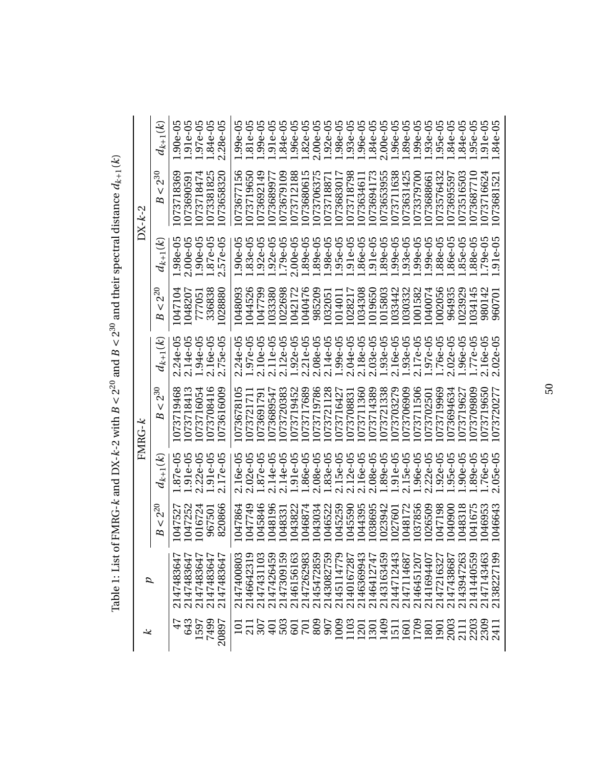<span id="page-58-0"></span>

| ≈                   | ₽          |                     |                                        | FMRG-k              |                                     |                    |                                         | $DX-k-2$           |                 |
|---------------------|------------|---------------------|----------------------------------------|---------------------|-------------------------------------|--------------------|-----------------------------------------|--------------------|-----------------|
|                     |            | $-2^{20}$<br>V<br>B | $d_{k+1}(k)$                           | $-2^{30}$<br>٧<br>B | $d_{k+1}(k)$                        | $2^{20}$<br>ν<br>B | $d_{k+1}(k)$                            | $2^{30}$<br>ν<br>B | $d_{k+1}(k)$    |
| 47                  | 214748364  | 1047527             | $1.87e-05$                             | 1073719468          | $2.24e-05$                          | 1047104            | $.98e-05$<br>$\overline{\phantom{0}}$   | 1073718369         | $1.90e-05$      |
| 643                 | 214748364  | 1047252             | $.91e-0.5$<br>$\overline{\phantom{0}}$ | 073718413           | $2.14e-05$                          | 1048207            | $2.00e-05$                              | 107369059          | $1.91e-05$      |
| 1597                | 214748364  | 016724              | $.22e-05$<br>$\sim$                    | 1073716054          | 1.94e-05                            | 777051             | $.90e - 05$<br>$\overline{\phantom{0}}$ | 4<br>107371847     | 1.97e-05        |
| 7499<br>20897       | 2147483647 | 967501              | $.91e-05$                              | 1073708416          | $2.16e-05$                          | 336838             | .87e-05<br>$\overline{\phantom{0}}$     | 5<br>107338182     | 1.84e-05        |
|                     | 2147483647 | 820866              | $.17e-05$<br>$\mathbf{c}$              | 1073616009          | <b>5e-05</b><br>Г.<br>$\sim$        | 1028880            | 57e-05<br>$\sim$                        | 1073658320         | $-28e-05$<br>۲Ö |
| 101                 | 2147400803 | 1047864             | $2.16e-05$                             | 1073678105          | $24e-05$<br>$\overline{\mathbf{C}}$ | 1048093            | $.90e - 05$                             | 1073677156         | $.99e - 05$     |
| 211                 | 2146642319 | 1047749             | $2.02e-05$                             | 07372171            | $1.97e-05$                          | 044526             | $.83e-05$                               | 1073719650         | $.81e-05$       |
|                     | 2147431103 | 1045846             | $1.87e-05$                             | 107369179           | $2.10e-05$                          | 047799             | $.92e - 05$                             | 1073692149         | $.99e-05$       |
| 401                 | 2147426459 | 1048196             | 2.14e-05                               | 1073689547          | $2.11e-05$                          | 1033380            | $.92e-05$                               | 1073689977         | 1.91e-05        |
| 503                 | 2147309159 | 1048331             | 2.14e-05                               | 1073720383          | $12e-05$<br>$\mathbf{a}$            | 1022698            | $.79e-05$                               | 1073679109         | $.84e-05$       |
| 601                 | 2146156163 | 1043822             | $.91e-05$                              | 073719452           | $1.92e-05$                          | 042172             | $.00e - 05$<br>$\overline{\mathsf{N}}$  | 1073712188         | $.96e-05$       |
| <b>Z01</b>          | 2147262983 | 1046874             | .86e-05                                | 1073717689          | $2.21e-05$                          | 040476             | .89e-05<br>89e-05                       | 1073680615         | $.82e-05$       |
| 809                 | 2145472859 | 1043034             | $.08e-05$<br>$\sim$                    | 1073719786          | $2.08e-05$                          | 985209             |                                         | ഥ<br>107370637     | $2.00e-05$      |
| 907                 | 2143082759 | 1046522             | 1.83e-05                               | 1073721128          | 2.14e-05                            | 1032051            | .98e-05                                 | 107371887          | 1.92e-05        |
| 1009                | 2145114779 | 1045259             | 2.15e-05                               | 1073716427          | 1.99e-05                            | 1014011            | $.95e - 05$                             | 107368301          | $.98e-05$       |
|                     | 2140167287 | 1045590             | $2.12e-05$                             | 073708831           | $2.04e-05$                          | 1028217            | 91e-05                                  | 1073718798         | $93e-05$        |
| $\frac{1103}{1301}$ | 2146369943 | 1044395             | 2.16e-05                               | 073711360           | $2.18e-05$                          | 1034308            | .86e-05                                 | 1073634611         | 96e-05          |
|                     | 2146412747 | 1038695             | $2.08e-05$                             | 1073714389          | $2.03e-05$                          | 1019650            | .91e-05<br>89e-05                       | 1073694173         | $.84e-05$       |
| 1409                | 2143163459 | 1023942             | $.89e-05$                              | 073721338           | $1.93e-05$                          | 1015803            |                                         | 1073653955         | $2.00e-05$      |
| 1511                | 2144712443 | 1027601             | $.91e-05$                              | 1073703279          | $2.16e-05$                          | 1033442            | $.99e - 05$                             | 1073711638         | $.96e - 05$     |
| 1601                | 2147114687 | 1048172             | $.15e-05$<br>$\sim$                    | 073706909           | 1.93e-05                            | 1030332            | $.93e - 05$                             | 1073631425         | $.89e-05$       |
| 1709                | 2146451207 | 1037856             | .96e-05                                | 073711506           | $2.17e-05$                          | 1001582            | $99e - 05$                              | 073379700          | $.99e - 05$     |
| 1801                | 2141694407 | 1026509             | $.22e-05$                              | 073702501           | 1.97e-05                            | 1040074            | $.99e-05$                               | 107368866          | $.93e-05$       |
| 1901                | 2147216327 | 1047198             | $.92e - 05$                            | 1073719969          | 1.76e-05                            | 1002056            | 88e-05                                  | 1073576432         | $.95e-05$       |
| 2003                | 2147438687 | 1040900             | 95e-05                                 | 073694634           | $02e-05$                            | 964935             | 86e-05                                  | 1073695597         | .84e-05         |
| 2111                | 2143947263 | 1048318             | $.90e - 0.5$                           | 073719627           | 1.96e-05                            | 1023929            | $.85e-05$                               | 1073516503         | $.84e-05$       |
| 2203                | 2141440559 | 1041675             | 89e-05                                 | 073709809           | $1.77e-05$                          | 1034145            | 88e-05                                  | 073687710          | $.95e-05$       |
| 2309                | 2147143463 | 1046953             | $.76e-0.5$                             | 073719650           | $2.16e-05$                          | 980142             | $79e-05$                                | 073716624          | $91e-05$        |
| 241                 | 2138227199 | 1046643             | $.05e-05$<br>$\sim$                    | 1073720277          | $2.02e-05$                          | 960701             | $.91e-0.5$                              | 1073681521         | .84e-05         |

Table 1: List of FMRG-k and DX-k-2 with  $B < 2^{20}$  and  $B < 2^{30}$  and their spectral distance  $d_{k+1}(k)$ Table 1: List of FMRG-*k* and DX-*k*-2 with  $B < 2^{20}$  and  $B < 2^{30}$  and their spectral distance  $d_{k+1}(k)$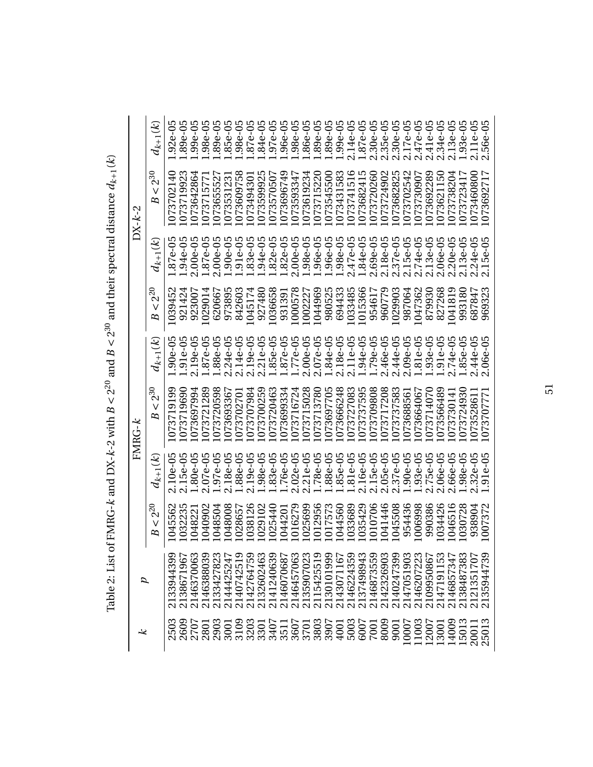| ⊻     |            |                         |                     | $FMRG-K$                |                            |                              |                                  | $DX - k - 2$            |              |
|-------|------------|-------------------------|---------------------|-------------------------|----------------------------|------------------------------|----------------------------------|-------------------------|--------------|
|       |            | $2^{20}$<br>$\vee$<br>B | $d_{k+1}(k)$        | $2^{30}$<br>$\vee$<br>B | $d_{k+1}(k)$               | $2^{\overline{2}}$<br>٧<br>B | $d_{k+1}(k)$                     | $2^{30}$<br>$\vee$<br>B | $d_{k+1}(k)$ |
| 2503  | 2133944399 | 1045562                 | $2.10e-05$          | 1073719199              | $1.90e-05$                 | 1039452                      | $1.87e-05$                       | 1073702140              | $1.92e-05$   |
| 2609  | 213867196  | 1032235                 | $2.15e-05$          | 1073719690              | $1.91e-05$                 | 921424                       | 1.94e-05                         | 1073719923              | $1.89e-05$   |
| 2707  | 2146370063 | 1048221                 | $1.80e-05$          | 1073697994              | $2.19e-05$                 | 923007                       | $2.00e-05$                       | 1073642864              | $1.99e-05$   |
| 2801  | 2146388039 | 1040902                 | $.07e-05$<br>$\sim$ | 1073721289              | $1.87e-05$                 | 1029014                      | 1.87e-05                         | 107371577               | $1.98e-05$   |
| 2903  | 2133427823 | 1048504                 | $1.97e-05$          | 1073720598              | $1.88e-05$                 | 620667                       | $2.00e-05$                       | 1073655527              | $.89e-05$    |
| 3001  | 2144425247 | 1048008                 | $2.18e-05$          | 1073693367              | $2.24e-05$                 | 973895                       | $.90e - 05$                      | 107353123               | $.85e-05$    |
| 3109  | 2140742519 | 1028657                 | 1.88e-05            | 1073702701              | $2.14e-05$                 | 842603                       | $.91e - 05$                      | 1073609758              | $.98e - 05$  |
| 3203  | 2142764759 | 1038126                 | $.19e-05$<br>$\sim$ | 1073707984              | $2.19e-05$                 | 1045174                      | $.83e-05$                        | 1073494301              | $.87e-05$    |
| 3301  | 2132602463 | 1029102                 | $.98e-05$           | 1073700259              | $2.21e-05$<br>$\mathbf{C}$ | 927480                       | $.94e-05$                        | 1073599925              | $.84e-05$    |
| 3407  | 2141240639 | 1025440                 | $.83e-0.5$          | 1073720463              | $1.85e-05$                 | 1036658                      | $.82e-05$                        | 1073570507              | $.97e-05$    |
| 3511  | 2146070687 | 1044201                 | $.76e-05$           | 1073699334              | $1.87e-05$                 | 931391                       | $.82e - 05$                      | 1073696749              | $.96e - 05$  |
| 3607  | 2146457063 | 1016279                 | $.02e-05$<br>$\sim$ | 1073716724              | $1.77e-05$                 | 1000578                      | $2.00e-05$                       | 1073593347              | $.98e - 05$  |
| 3701  | 2135907023 | 1025699                 | $21e-05$<br>C       | 1073715028              | $2.00e-05$                 | 1002227                      | $.98e - 05$                      | 1073619234              | $.86e - 05$  |
| 3803  | 2115425519 | 1012956                 | $.78e-0.5$          | 1073713780              | $2.07e-05$                 | 1044969                      | $.96e - 05$                      | 1073715220              | $.89e-05$    |
| 3907  | 2130101999 | 1017573                 | $.88e-05$           | 1073697705              | 1.84e-05                   | 980525                       | .96e-05                          | 1073545500              | $1.89e - 05$ |
| 4001  | 2143071167 | 1044560                 | $.85e-05$           | 1073666248              | $2.18e-05$                 | 694433                       | $.98e - 05$                      | 1073431583              | 1.99e-05     |
| 5003  | 2146224359 | 1033689                 | $.81e - 05$         | 1073727083              | $2.11e-05$                 | 1033485                      | $.47e - 05$<br>$\mathbf{\Omega}$ | 1073741516              | $2.14e-05$   |
| 6007  | 2137498943 | 1035429                 | 2.16e-05            | 1073737595              | 1.94e-05                   | 1015366                      | 1.84e-05                         | 1073682415              | 1.87e-05     |
| 7001  | 2146873559 | 1010706                 | 2.15e-05            | 1073709808              | $1.79e-05$                 | 954617                       | $2.69e - 05$                     | 1073720260              | $2.30e-05$   |
| 8009  | 2142326903 | 1041446                 | $.05e-05$<br>Ć      | 1073717208              | $2.46e-05$                 | 960779                       | 2.18e-05                         | 1073724902              | $2.35e-05$   |
| 9001  | 2140247399 | 1045508                 | $.37e-05$           | 073737583               | 2.44e-05                   | 1029903                      | $2.37e-05$                       | 1073682825              | $2.30e - 05$ |
| 0007  | 2147051903 | 954436                  | $.90e-05$           | 1073688561              | $2.09e-05$                 | 987064                       | $2.15e-05$                       | 1073702542              | $2.17e-05$   |
| .1003 | 2146207223 | 1006998                 | $93e-05$            | 1073664067              | 1.81e-05                   | 1047362                      | 2.74e-05                         | 1073730907              | 2.47e-05     |
| 12007 | 2109950867 | 990386                  | $2.75e-05$          | 073714070               | $.93e-05$                  | 879930                       | $2.13e-05$                       | 1073692289              | 2.41e-05     |
| 3001  | 2147191153 | 1034426                 | $06e-05$<br>c       | 1073566489              | $1.91e-05$                 | 827268                       | $.06e - 05$                      | 1073621150              | 2.34e-05     |
| 14009 | 2146857347 | 1046516                 | 66e-05              | 1073730141              | 2.74e-05                   | 1041819                      | $.20e-0.5$                       | 1073738204              | 13e-05       |
| 15013 | 2138487383 | 1030728                 | $98e-05$            | 1073724930              | $1.85e-05$                 | 993180                       | $2.13e-05$                       | 1073723417              | 1.93e-05     |
| 20011 | 212135170  | 938904                  | $.32e-05$           | 1073528611              | 2.44e-05                   | 687847                       | $2.24e-05$                       | 073460800               | $2.11e-05$   |
| 25013 | 2135944739 | 1007372                 | 1.91e-05            | 1073707771              | $2.06e-05$                 | 969323                       | $2.15e-05$                       | 1073692717              | 2.56e-05     |

Table 2: List of FMRG- $k$  and DX- $k$ -2 with  $B < 2^{20}$  and  $B < 2^{30}$  and their spectral distance  $d_{k+1}(k)$ Table 2: List of FMRG-*k* and DX-*k*-2 with  $B < 2^{20}$  and  $B < 2^{30}$  and their spectral distance  $d_{k+1}(k)$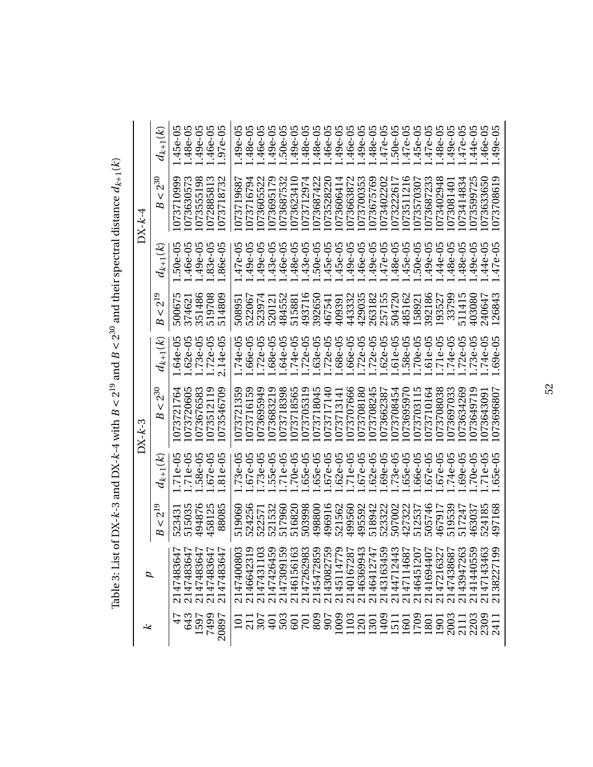|                                                                                                                                                                                                                               |          | $d_{k+1}(k)$             | $1.45e-05$ | 1.48e-05             | 1.49e-05   | 1.46e-05                               | 1.97e-05   | $1.49e-05$       | 1.48e-05       | 1.46e-05                  | 1.49e-05        | 1.50e-05                       | 1.49e-05       | 1.48e-05                     | 1.48e-05   | 1.46e-05       | 1.49e-05   | 1.46e-05   | 1.49e-05                                             | 1.48e-05               | 1.47e-05   | $1.50e-05$ | $1.47e-05$ | 1.45e-05    | 1.47e-05   | 1.48e-05          | $1.49e-05$ | l.47e-05       | 1.44e-05   | $1.46e - 05$        | 1.49e-05   |
|-------------------------------------------------------------------------------------------------------------------------------------------------------------------------------------------------------------------------------|----------|--------------------------|------------|----------------------|------------|----------------------------------------|------------|------------------|----------------|---------------------------|-----------------|--------------------------------|----------------|------------------------------|------------|----------------|------------|------------|------------------------------------------------------|------------------------|------------|------------|------------|-------------|------------|-------------------|------------|----------------|------------|---------------------|------------|
| with construction of the continuum of the control of the control of the control of the control of the control of the control of the control of the control of the control of the control of the control of the control of the | $DX-k-4$ | $2^{30}$<br>$\vee$<br>B  | 1073710999 | ∞<br>107363057       | 1073555198 | ∞<br>107288581                         | 1073718732 | 1073719687       | 1073716794     | 1073605522                | တ<br>107369517  | $\mathbf{\Omega}$<br>107368753 | 1073623410     | 1073712974                   | 1073687422 | 1073528220     | 1073606414 | 107366387  | 1073700353                                           | 1073675769             | 1073402202 | 107322261  | 1073511216 | 107357030   | 1073687233 | 1073402948        | 107308140  | 1073414834     | 107359972  | 1073633650          | 1073708619 |
|                                                                                                                                                                                                                               |          | $d_{k+1}(k)$             | $.50e-05$  | 1.46e-05             | 1.49e-05   | 1.83e-05                               | $-36e-05$  | $1.47e-05$       | 1.49e-05       | 1.49e-05                  | 1.43e-05        | 1.46e-05                       | 1.48e-05       | 1.43e-05                     | 1.50e-05   | 1.45e-05       | 1.45e-05   | $.49e-05$  | $.46e-05$                                            | 1.49e-05               | 1.47e-05   | 1.48e-05   | $.45e-05$  | $1.50e-05$  | 1.49e-05   | 1.44e-05          | 1.48e-05   | $.48e-05$      | $.49e-05$  | $.44e-05$           | $.47e-05$  |
|                                                                                                                                                                                                                               |          | $2^{19}$<br>$\vee$<br>B  | ഥ<br>50067 | 374621               | 351486     | 519708                                 | 514809     | 508951           | 522067         | 523974                    | 520121          | 484552                         | 515881         | 493716                       | 392650     | 467541         | 409391     | 443332     | 429035                                               | 263182<br>257155       |            | 504720     | 485162     | 158921      | 392186     | 193527            | 33799      | 511415         | 403080     | 240647              | 126843     |
| $\sim$ $\sim$ $\sim$ $\sim$                                                                                                                                                                                                   |          | $d_{k+1}(k)$             | $.64e-05$  | $1.62e-05$           | 1.73e-05   | $1.72e-05$                             | $2.14e-05$ | L.74e-05         | $1.66e-05$     | $1.72e-05$                | L.68e-05        | L.64e-05                       | 1.74e-05       | $1.72e-05$                   | 1.63e-05   | $1.72e-05$     | $1.68e-05$ | $.66e-05$  | $1.72e-05$                                           | $1.72e-05$             | $1.62e-05$ | 1.61e-05   | $.58e-05$  | $.70e-05$   | 1.61e-05   | $1.71e-05$        | $1.74e-05$ | $.72e-05$      | $.73e-05$  | $.74e-05$           | $.69e-05$  |
| ן<br>י                                                                                                                                                                                                                        | $DX-k-3$ | $-2^{30}$<br>$\vee$<br>B | 1073721764 | 1073720605           | 1073676583 | 1073512119                             | 1073546709 | 1073721359       | 1073716159     | 1073695949                | 1073683219      | 1073718398                     | 1073718565     | 1073705319                   | 1073718045 | 1073717140     | 1073713141 | 1073707666 | 1073708180                                           | 1073708245             | 1073662387 | 1073708454 | 1073695970 | 1073703115  | 1073710164 | 1073708038        | 1073697033 | 1073634269     | 1073649719 | 1073643091          | 1073696807 |
| $\frac{1}{2}$                                                                                                                                                                                                                 |          | $d_{k+1}(k)$             | $.71e-05$  | $1.71e-05$           | $.58e-05$  | $.67e-05$                              | $.81e-05$  | $1.73e-05$       | ഥ<br>$1.67e-0$ | $.73e-05$                 | $.55e-0.$       | $1.71e-05$                     | m<br>$1.70e-0$ | ഥ<br>$.65e-0$                | $.65e-05$  | $.67e-05$      | $.62e-05$  | $.71e-05$  | $.67e-05$                                            | $.62e-05$              | $.69e-05$  | $.73e-0.5$ | $.65e-05$  | $.66e - 05$ | $.67e-05$  | $.67e-05$         | $.74e-05$  | $.69e-05$      | $.70e-0.5$ | $.71e-05$           | $.65e-05$  |
|                                                                                                                                                                                                                               |          | $2^{19}$<br>$\vee$<br>B  | 52343      | 515035               | 494876     | 458125                                 | 88085      | 519060           | 524256         | 522571                    | 521532          | 517960                         | 516820         | 503998                       | 498800     | 496916         | 521562     | 499560     | 495592                                               | 518942                 | 523322     | 507002     | 427322     | 512537      | 505746     | 467917            | 519539     | 517247         | 463037     | 524185              | 497168     |
| י<br>נו<br>ייה ה                                                                                                                                                                                                              |          |                          | 21474836   | 47<br>77<br>21474836 |            | 2147483647<br>2147483647<br>2147483647 |            | 03<br>21474008   | 21466423       | $\frac{9}{2}$<br>21474311 | 888<br>21474264 | 21473091                       | 21461561       | 83<br>214726298<br>214547285 | BS.        | 59<br>21430827 | 21451147   |            | 2145114779<br>2140167287<br>2146369943<br>2146412747 | 214641274<br>214316345 | 59         | 21447124   | 21471146   | 21464512    | 21416944   | 22223<br>21472163 | 21474386   | 38<br>21439472 | 21414405   | 214714346           | 89         |
|                                                                                                                                                                                                                               | ぺ        |                          | 47         | 643                  | 1597       | 7499                                   | 20897      | $\overline{101}$ | 211            |                           |                 |                                |                | <b>433558</b>                |            | 907            | 1009       | 1103       | 1201                                                 | 1301                   | 1409       | 1511       | 1601       | 1709        | 1801       | <b>1901</b>       | 2003       |                |            | 211<br>2203<br>2411 |            |

Table 3: List of DX-k-3 and DX-k-4 with  $B < 2^{19}$  and  $B < 2^{30}$  and their spectral distance  $d_{k+1}(k)$ Table 3: List of DX-*k*-3 and DX-*k*-4 with  $B < 2^{19}$  and  $B < 2^{30}$  and their spectral distance  $d_{k+1}(k)$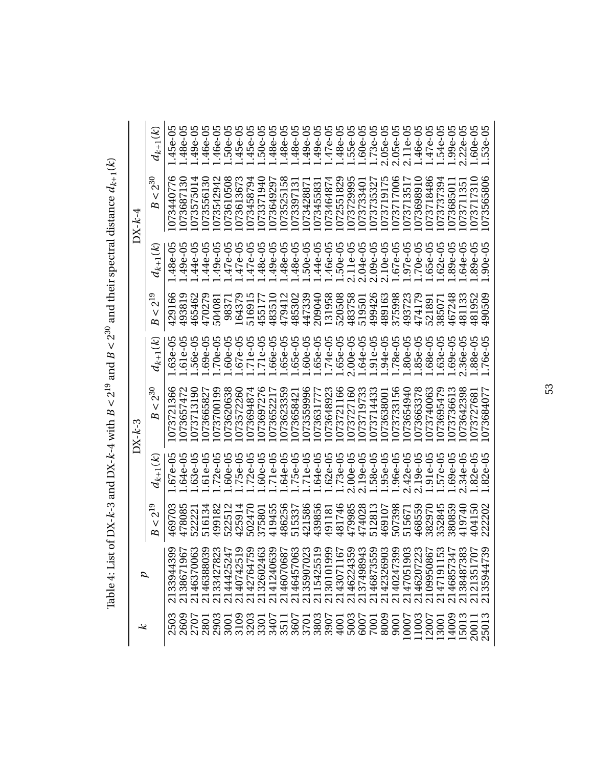|                                                                                                                                                                                                                                                                |                          |                        | $DX-k-3$                     |              |                          |              | $DX - k - 4$             |              |
|----------------------------------------------------------------------------------------------------------------------------------------------------------------------------------------------------------------------------------------------------------------|--------------------------|------------------------|------------------------------|--------------|--------------------------|--------------|--------------------------|--------------|
|                                                                                                                                                                                                                                                                | $\sim\!2^{19}$<br>B      | $d_{k+1}(\mathcal{K})$ | $2^{30}$<br>$\vee$<br>B      | $d_{k+1}(k)$ | $-2^{19}$<br>$\vee$<br>B | $d_{k+1}(k)$ | $-2^{30}$<br>$\vee$<br>B | $d_{k+1}(k)$ |
| $\begin{smallmatrix} 2133944399\\ 138671967\\ 16570063\\ 2146370063\\ 214425247\\ 214425247\\ 214425247\\ 214427647\\ 214637063\\ 214442524\\ 214074251\\ 214127647\\ 21407063\\ 214127647\\ 21407063\\ 21412405\\ 21412405\\ 21413907023\\ 2141390701\\ 2141$ | 469703                   | $.67e-05$              | 1073721366                   | $.63e-05$    | 429166                   | $.48e-05$    | 1073440776               | $.45e-05$    |
|                                                                                                                                                                                                                                                                | 478085                   | $.64e-05$              | $\mathbf{\sim}$<br>107365747 | $.61e-05$    | 493819                   | $.49e-05$    | 1073687130               | $.48e-05$    |
|                                                                                                                                                                                                                                                                | 52222                    | $.63e-05$              | 1073713190                   | 56e-05       | 465462                   | $.44e-05$    | 4<br>107357501           | $.49e-05$    |
|                                                                                                                                                                                                                                                                | 516134                   | $.61e-05$              | 1073665827                   | $.69e - 05$  | 470279                   | $.44e-05$    | 1073556130               | $.46e-05$    |
|                                                                                                                                                                                                                                                                | 499182                   | $.72e-05$              | 1073700199                   | $.70e-05$    | 504081                   | $.49e-05$    | 1073542942               | $.46e-05$    |
|                                                                                                                                                                                                                                                                | $\mathbf{\sim}$<br>52251 | .60e-05<br>.75e-05     | 1073620638                   | $.60e-05$    | 9837                     | $.47e-05$    | 1073610508               | $.50e-05$    |
|                                                                                                                                                                                                                                                                | 425914                   |                        | 1073572260                   | $.67e - 05$  | 164379                   | $.47e-05$    | 1073613673               | $.45e-05$    |
|                                                                                                                                                                                                                                                                | 502470                   | $.72e-05$              | 1073694874                   | $.71e-05$    | 516915                   | $.47e-05$    | 1073458794               | $.45e-05$    |
|                                                                                                                                                                                                                                                                | 375801                   | $.60e-05$              | 1073697276                   | $.71e-05$    | 455177                   | $.48e-05$    | 1073371940               | 1.50e-05     |
|                                                                                                                                                                                                                                                                | 419455                   | $.71e-05$              | 1073652217                   | $.66e-05$    | 483510                   | $.49e-05$    | 1073649297               | $.48e-05$    |
|                                                                                                                                                                                                                                                                | 486256                   | $.64e-05$              | 1073623359                   | $.65e-05$    | 479412                   | $.48e-05$    | 1073525158               | $.48e-05$    |
|                                                                                                                                                                                                                                                                | 515337                   | $.75e-0.5$             | 1073658421                   | $.65e-05$    | 485302                   | $.48e-05$    | 1073397131               | $.48e-05$    |
|                                                                                                                                                                                                                                                                | 421586                   | $.71e-0.5$             | 1073559996                   | $.60e-05$    | 447339                   | $.50e - 05$  | 1073428871               | $.49e-05$    |
|                                                                                                                                                                                                                                                                | 439856                   | $.64e-05$              | 1073631777                   | $.65e-05$    | 209040                   | $.44e-05$    | 1073455831               | $.49e-05$    |
|                                                                                                                                                                                                                                                                | 491181                   | $.62e - 05$            | 1073648923                   | 1.74e-05     | 131958                   | $.46e-05$    | 1073464874               | $.47e-05$    |
|                                                                                                                                                                                                                                                                | 481746                   | $.73e-0.5$             | 1073721166                   | 1.65e-05     | 520508                   | 1.50e-05     | 1072551829               | $.48e-05$    |
|                                                                                                                                                                                                                                                                | 479985                   | $2.00e-05$             | 1073727160                   | $2.00e-05$   | 483758                   | $2.11e-05$   | 1073729995               | $.55e-05$    |
|                                                                                                                                                                                                                                                                | 474028                   | 2.19e-05               | 1073719733                   | 1.64e-05     | 519501                   | $2.04e-05$   | 1073733401               | 1.60e-05     |
|                                                                                                                                                                                                                                                                | 512813                   | .58e-05                | 1073714433                   | $.91e-05$    | 499426                   | $2.09e-05$   | 1073735327               | 1.73e-05     |
|                                                                                                                                                                                                                                                                | 469107                   | $.95e-05$              | 1073638001                   | $.94e - 05$  | 489163                   | $2.10e-05$   | 1073719175               | $2.05e-05$   |
|                                                                                                                                                                                                                                                                | 507398                   | 1.96e-05               | 1073733156                   | $.78e-05$    | 375998                   | $.67e-05$    | 1073717006               | $2.05e-05$   |
|                                                                                                                                                                                                                                                                | 515671                   | $2.42e-05$             | 1073654940                   | $.80e-05$    | 493723                   | $.97e - 05$  | 1073713517               | $2.11e-05$   |
|                                                                                                                                                                                                                                                                | 468559                   | $.19e-05$<br>$\sim$    | 1073663378                   | $.85e-05$    | 474179                   | $.70e-05$    | 1073698910               | $.46e-05$    |
|                                                                                                                                                                                                                                                                | 382970                   | $.91e-0.5$             | 1073740063                   | $.68e-05$    | 521891                   | $.65e-05$    | 1073718486               | $.47e-05$    |
|                                                                                                                                                                                                                                                                | 352845                   | $.57e-05$              | 1073695479                   | $.63e-05$    | 38507                    | $.62e-05$    | 1073737394               | 1.54e-05     |
|                                                                                                                                                                                                                                                                | 380859                   | $.69e-05$              | 1073736613                   | 1.69e-05     | 467248                   | $.89e-05$    | 107368501                | 1.99e-05     |
|                                                                                                                                                                                                                                                                | 419740                   | $.34e-05$<br>C         | 073642398                    | 2.36e-05     | ∞<br>48113               | $.64e-05$    | 1073711351               | $2.22e-05$   |
|                                                                                                                                                                                                                                                                | 404150                   | $.82e - 05$            | 1073727681                   | $.88e - 05$  | 481952                   | $.89e-05$    | 1073717310               | 1.60e-05     |
|                                                                                                                                                                                                                                                                | 222202                   | $.82e - 05$            | 1073684077                   | 1.76e-05     | 490509                   | $.90e - 05$  | 1073565806               | $.53e-05$    |

<span id="page-61-0"></span>Table 4: List of DX-k-3 and DX-k-4 with  $B < 2^{19}$  and  $B < 2^{30}$  and their spectral distance  $d_{k+1}(k)$ Table 4: List of DX-*k*-3 and DX-*k-*4 with  $B < 2^{19}$  and  $B < 2^{30}$  and their spectral distance  $d_{k+1}(k)$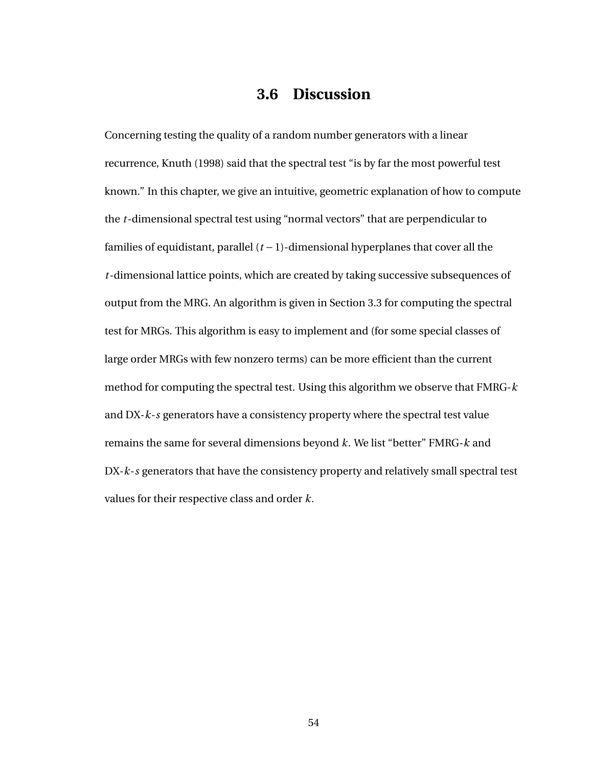# **3.6 Discussion**

Concerning testing the quality of a random number generators with a linear recurrence, Knuth (1998) said that the spectral test "is by far the most powerful test known." In this chapter, we give an intuitive, geometric explanation of how to compute the *t*-dimensional spectral test using "normal vectors" that are perpendicular to families of equidistant, parallel (*t* −1)-dimensional hyperplanes that cover all the *t*-dimensional lattice points, which are created by taking successive subsequences of output from the MRG. An algorithm is given in Section [3.3](#page-45-0) for computing the spectral test for MRGs. This algorithm is easy to implement and (for some special classes of large order MRGs with few nonzero terms) can be more efficient than the current method for computing the spectral test. Using this algorithm we observe that FMRG-*k* and DX-*k*-*s* generators have a consistency property where the spectral test value remains the same for several dimensions beyond *k*. We list "better" FMRG-*k* and DX-*k*-*s* generators that have the consistency property and relatively small spectral test values for their respective class and order *k*.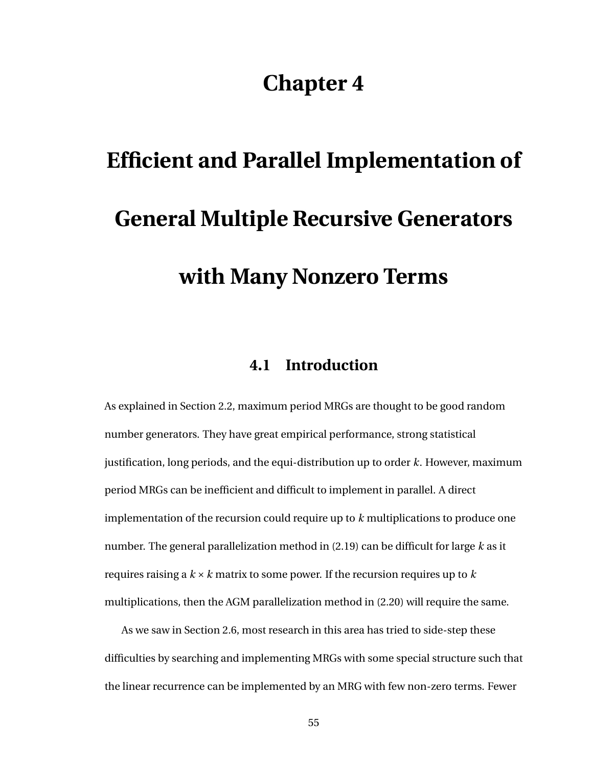# **Chapter 4**

# **Efficient and Parallel Implementation of General Multiple Recursive Generators with Many Nonzero Terms**

# **4.1 Introduction**

As explained in Section [2.2,](#page-13-0) maximum period MRGs are thought to be good random number generators. They have great empirical performance, strong statistical justification, long periods, and the equi-distribution up to order *k*. However, maximum period MRGs can be inefficient and difficult to implement in parallel. A direct implementation of the recursion could require up to *k* multiplications to produce one number. The general parallelization method in [\(2.19\)](#page-27-1) can be difficult for large *k* as it requires raising a *k* ×*k* matrix to some power. If the recursion requires up to *k* multiplications, then the AGM parallelization method in [\(2.20\)](#page-29-0) will require the same.

As we saw in Section [2.6,](#page-22-0) most research in this area has tried to side-step these difficulties by searching and implementing MRGs with some special structure such that the linear recurrence can be implemented by an MRG with few non-zero terms. Fewer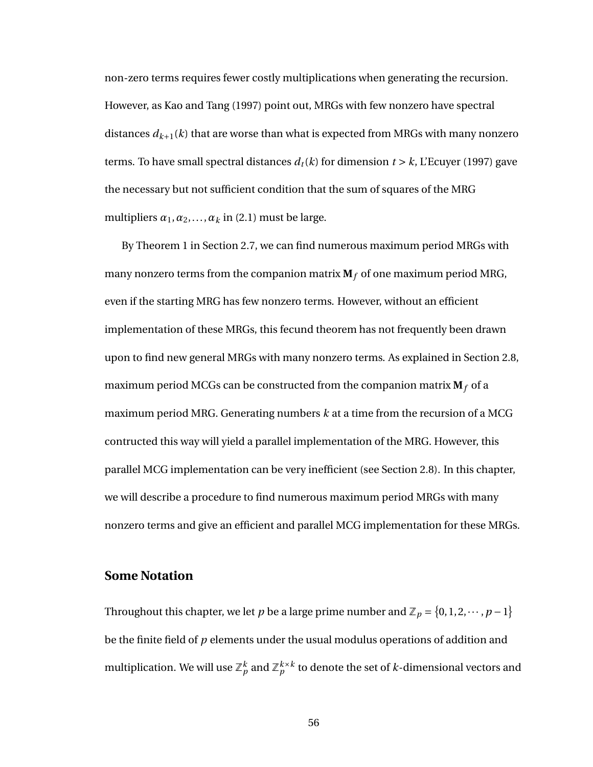non-zero terms requires fewer costly multiplications when generating the recursion. However, as Kao and Tang (1997) point out, MRGs with few nonzero have spectral distances  $d_{k+1}(k)$  that are worse than what is expected from MRGs with many nonzero terms. To have small spectral distances  $d_t(k)$  for dimension  $t > k$ , L'Ecuyer (1997) gave the necessary but not sufficient condition that the sum of squares of the MRG multipliers  $\alpha_1, \alpha_2, \ldots, \alpha_k$  in [\(2.1\)](#page-15-0) must be large.

By Theorem [1](#page-30-0) in Section [2.7,](#page-26-0) we can find numerous maximum period MRGs with many nonzero terms from the companion matrix  $M_f$  of one maximum period MRG, even if the starting MRG has few nonzero terms. However, without an efficient implementation of these MRGs, this fecund theorem has not frequently been drawn upon to find new general MRGs with many nonzero terms. As explained in Section [2.8,](#page-32-0) maximum period MCGs can be constructed from the companion matrix  $M_f$  of a maximum period MRG. Generating numbers *k* at a time from the recursion of a MCG contructed this way will yield a parallel implementation of the MRG. However, this parallel MCG implementation can be very inefficient (see Section [2.8\)](#page-32-0). In this chapter, we will describe a procedure to find numerous maximum period MRGs with many nonzero terms and give an efficient and parallel MCG implementation for these MRGs.

#### **Some Notation**

Throughout this chapter, we let *p* be a large prime number and  $\mathbb{Z}_p = \{0, 1, 2, \dots, p-1\}$ be the finite field of *p* elements under the usual modulus operations of addition and multiplication. We will use  $\mathbb{Z}_p^k$  and  $\mathbb{Z}_p^{k\times k}$  to denote the set of  $k$ -dimensional vectors and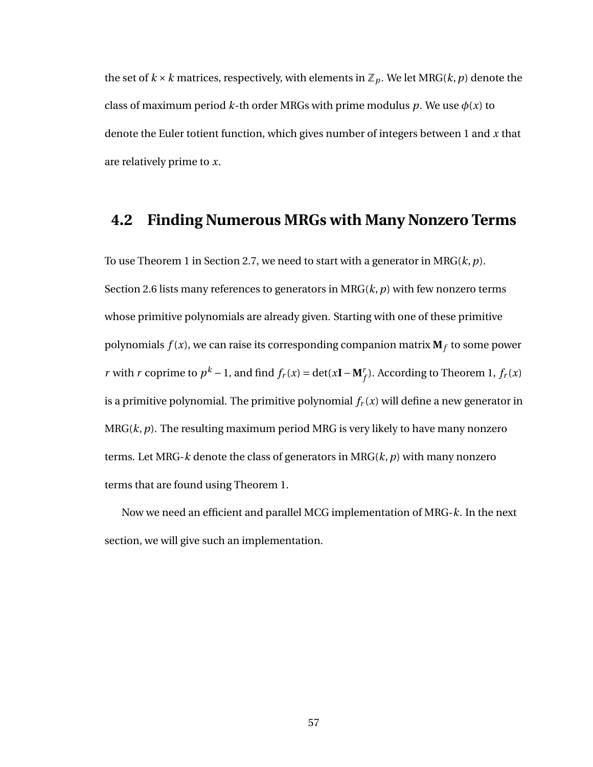the set of  $k \times k$  matrices, respectively, with elements in  $\mathbb{Z}_p$ . We let MRG( $k, p$ ) denote the class of maximum period  $k$ -th order MRGs with prime modulus  $p$ . We use  $\phi(x)$  to denote the Euler totient function, which gives number of integers between 1 and *x* that are relatively prime to *x*.

### **4.2 Finding Numerous MRGs with Many Nonzero Terms**

To use Theorem [1](#page-30-0) in Section [2.7,](#page-26-0) we need to start with a generator in MRG(*k*,*p*). Section [2.6](#page-22-0) lists many references to generators in MRG(*k*,*p*) with few nonzero terms whose primitive polynomials are already given. Starting with one of these primitive polynomials *f* (*x*), we can raise its corresponding companion matrix **M***<sup>f</sup>* to some power *r* with *r* coprime to  $p^k - 1$ , and find  $f_r(x) = \det(x\mathbf{I} - \mathbf{M}_f^r)$ . According to Theorem [1,](#page-30-0)  $f_r(x)$ is a primitive polynomial. The primitive polynomial  $f_r(x)$  will define a new generator in MRG(*k*,*p*). The resulting maximum period MRG is very likely to have many nonzero terms. Let MRG-*k* denote the class of generators in MRG(*k*,*p*) with many nonzero terms that are found using Theorem [1.](#page-30-0)

Now we need an efficient and parallel MCG implementation of MRG-*k*. In the next section, we will give such an implementation.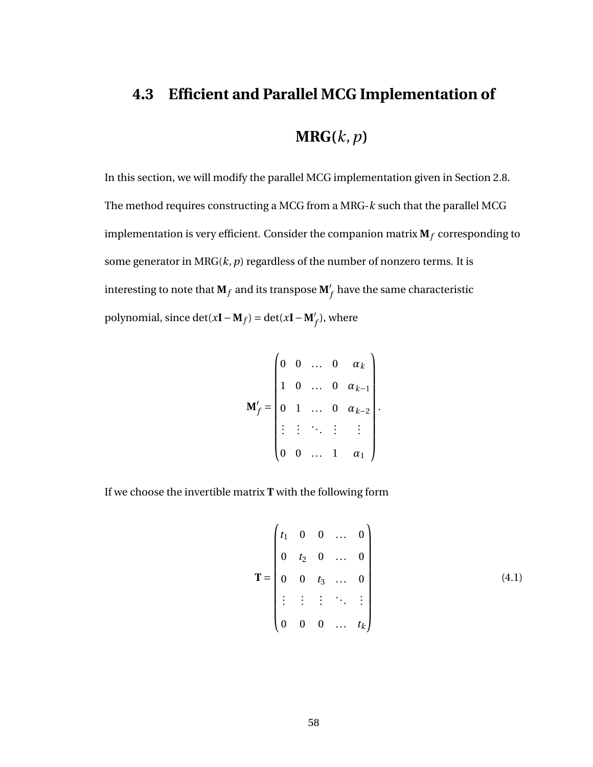# **4.3 Efficient and Parallel MCG Implementation of MRG(***k*,*p***)**

In this section, we will modify the parallel MCG implementation given in Section [2.8.](#page-32-0) The method requires constructing a MCG from a MRG-*k* such that the parallel MCG implementation is very efficient. Consider the companion matrix  $M_f$  corresponding to some generator in  $MRG(k, p)$  regardless of the number of nonzero terms. It is interesting to note that  $\mathbf{M}_f$  and its transpose  $\mathbf{M}'_f$  have the same characteristic polynomial, since  $\det(x\mathbf{I} - \mathbf{M}_f) = \det(x\mathbf{I} - \mathbf{M}'_f)$ , where

$$
\mathbf{M}'_f = \begin{pmatrix} 0 & 0 & \dots & 0 & \alpha_k \\ 1 & 0 & \dots & 0 & \alpha_{k-1} \\ 0 & 1 & \dots & 0 & \alpha_{k-2} \\ \vdots & \vdots & \ddots & \vdots & \vdots \\ 0 & 0 & \dots & 1 & \alpha_1 \end{pmatrix}.
$$

If we choose the invertible matrix **T** with the following form

<span id="page-66-0"></span>
$$
\mathbf{T} = \begin{pmatrix} t_1 & 0 & 0 & \dots & 0 \\ 0 & t_2 & 0 & \dots & 0 \\ 0 & 0 & t_3 & \dots & 0 \\ \vdots & \vdots & \vdots & \ddots & \vdots \\ 0 & 0 & 0 & \dots & t_k \end{pmatrix}
$$
(4.1)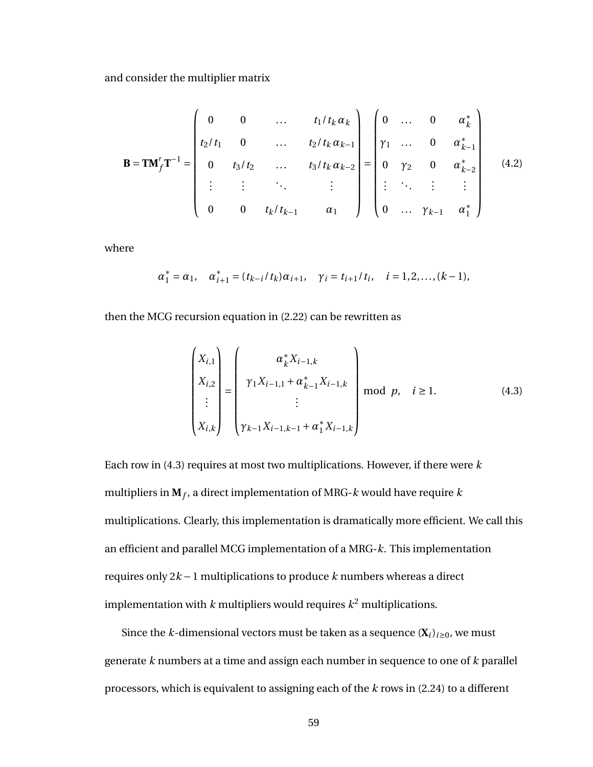and consider the multiplier matrix

<span id="page-67-1"></span>
$$
\mathbf{B} = \mathbf{T} \mathbf{M}'_f \mathbf{T}^{-1} = \begin{pmatrix} 0 & 0 & \dots & t_1/t_k \alpha_k \\ t_2/t_1 & 0 & \dots & t_2/t_k \alpha_{k-1} \\ 0 & t_3/t_2 & \dots & t_3/t_k \alpha_{k-2} \\ \vdots & \vdots & \ddots & \vdots \\ 0 & 0 & t_k/t_{k-1} & \alpha_1 \end{pmatrix} = \begin{pmatrix} 0 & \dots & 0 & \alpha_k^* \\ \gamma_1 & \dots & 0 & \alpha_{k-1}^* \\ 0 & \gamma_2 & 0 & \alpha_{k-2}^* \\ \vdots & \ddots & \vdots & \vdots \\ 0 & \dots & \gamma_{k-1} & \alpha_1^* \end{pmatrix}
$$
(4.2)

where

$$
\alpha_1^* = \alpha_1, \quad \alpha_{i+1}^* = (t_{k-i}/t_k)\alpha_{i+1}, \quad \gamma_i = t_{i+1}/t_i, \quad i = 1, 2, \ldots, (k-1),
$$

then the MCG recursion equation in [\(2.22\)](#page-32-1) can be rewritten as

<span id="page-67-0"></span>
$$
\begin{pmatrix} X_{i,1} \\ X_{i,2} \\ \vdots \\ X_{i,k} \end{pmatrix} = \begin{pmatrix} \alpha_k^* X_{i-1,k} \\ \gamma_1 X_{i-1,1} + \alpha_{k-1}^* X_{i-1,k} \\ \vdots \\ \gamma_{k-1} X_{i-1,k-1} + \alpha_1^* X_{i-1,k} \end{pmatrix} \mod p, \quad i \ge 1.
$$
 (4.3)

Each row in [\(4.3\)](#page-67-0) requires at most two multiplications. However, if there were *k* multipliers in **M***<sup>f</sup>* , a direct implementation of MRG-*k* would have require *k* multiplications. Clearly, this implementation is dramatically more efficient. We call this an efficient and parallel MCG implementation of a MRG-*k*. This implementation requires only 2*k* −1 multiplications to produce *k* numbers whereas a direct implementation with *k* multipliers would requires *k* <sup>2</sup> multiplications.

Since the *k*-dimensional vectors must be taken as a sequence  $(X_i)_{i\geq 0}$ , we must generate *k* numbers at a time and assign each number in sequence to one of *k* parallel processors, which is equivalent to assigning each of the *k* rows in [\(2.24\)](#page-33-0) to a different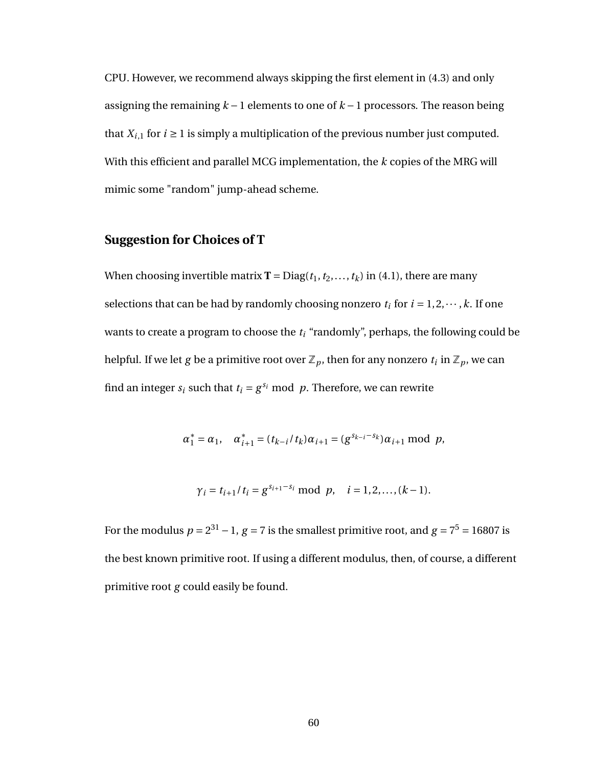CPU. However, we recommend always skipping the first element in [\(4.3\)](#page-67-0) and only assigning the remaining *k* −1 elements to one of *k* −1 processors. The reason being that  $X_{i,1}$  for  $i \ge 1$  is simply a multiplication of the previous number just computed. With this efficient and parallel MCG implementation, the *k* copies of the MRG will mimic some "random" jump-ahead scheme.

#### **Suggestion for Choices of T**

When choosing invertible matrix **T** = Diag( $t_1, t_2, ..., t_k$ ) in [\(4.1\)](#page-66-0), there are many selections that can be had by randomly choosing nonzero  $t_i$  for  $i = 1, 2, \dots, k$ . If one wants to create a program to choose the *t<sup>i</sup>* "randomly", perhaps, the following could be helpful. If we let  $g$  be a primitive root over  $\mathbb{Z}_p$ , then for any nonzero  $t_i$  in  $\mathbb{Z}_p$ , we can find an integer  $s_i$  such that  $t_i = g^{s_i} \mod p$ . Therefore, we can rewrite

$$
\alpha_1^* = \alpha_1, \quad \alpha_{i+1}^* = (t_{k-i}/t_k)\alpha_{i+1} = (g^{s_{k-i}-s_k})\alpha_{i+1} \mod p,
$$

$$
\gamma_i = t_{i+1}/t_i = g^{s_{i+1}-s_i} \mod p, \quad i = 1, 2, ..., (k-1).
$$

For the modulus  $p = 2^{31} - 1$ ,  $g = 7$  is the smallest primitive root, and  $g = 7^5 = 16807$  is the best known primitive root. If using a different modulus, then, of course, a different primitive root *g* could easily be found.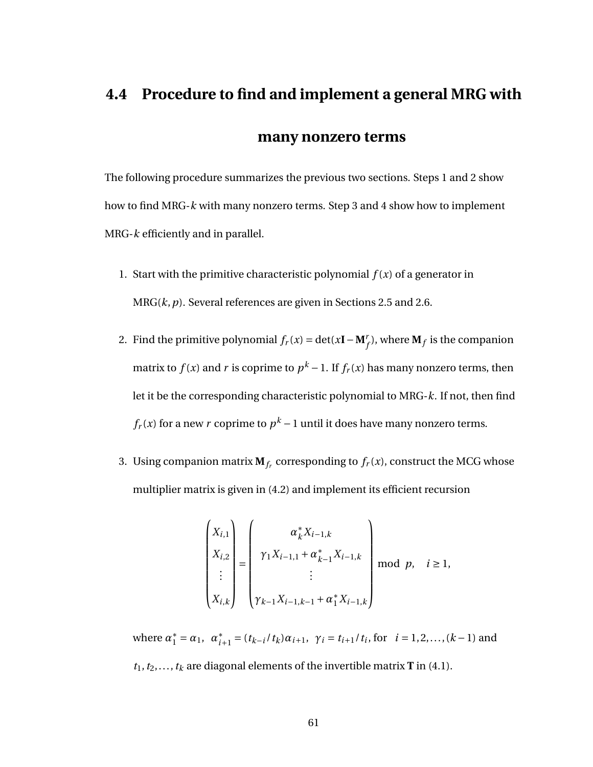# **4.4 Procedure to find and implement a general MRG with many nonzero terms**

The following procedure summarizes the previous two sections. Steps 1 and 2 show how to find MRG-*k* with many nonzero terms. Step 3 and 4 show how to implement MRG-*k* efficiently and in parallel.

- 1. Start with the primitive characteristic polynomial  $f(x)$  of a generator in MRG(*k*,*p*). Several references are given in Sections [2.5](#page-20-1) and [2.6.](#page-22-0)
- 2. Find the primitive polynomial  $f_r(x) = \det(x\mathbf{I} \mathbf{M}_f^r)$ , where  $\mathbf{M}_f$  is the companion matrix to  $f(x)$  and  $r$  is coprime to  $p^k-1.$  If  $f_r(x)$  has many nonzero terms, then let it be the corresponding characteristic polynomial to MRG-*k*. If not, then find  $f_r(x)$  for a new  $r$  coprime to  $p^k-1$  until it does have many nonzero terms.
- 3. Using companion matrix  $\mathbf{M}_{f_r}$  corresponding to  $f_r(x)$ , construct the MCG whose multiplier matrix is given in [\(4.2\)](#page-67-1) and implement its efficient recursion

$$
\begin{pmatrix} X_{i,1} \\ X_{i,2} \\ \vdots \\ X_{i,k} \end{pmatrix} = \begin{pmatrix} \alpha_k^* X_{i-1,k} \\ \gamma_1 X_{i-1,1} + \alpha_{k-1}^* X_{i-1,k} \\ \vdots \\ \gamma_{k-1} X_{i-1,k-1} + \alpha_1^* X_{i-1,k} \end{pmatrix} \mod p, \quad i \ge 1,
$$

where  $\alpha_1^* = \alpha_1$ ,  $\alpha_i^*$  $\gamma_{i+1}^* = (t_{k-i}/t_k)\alpha_{i+1}, \gamma_i = t_{i+1}/t_i$ , for  $i = 1, 2, ..., (k-1)$  and  $t_1, t_2, \ldots, t_k$  are diagonal elements of the invertible matrix **T** in [\(4.1\)](#page-66-0).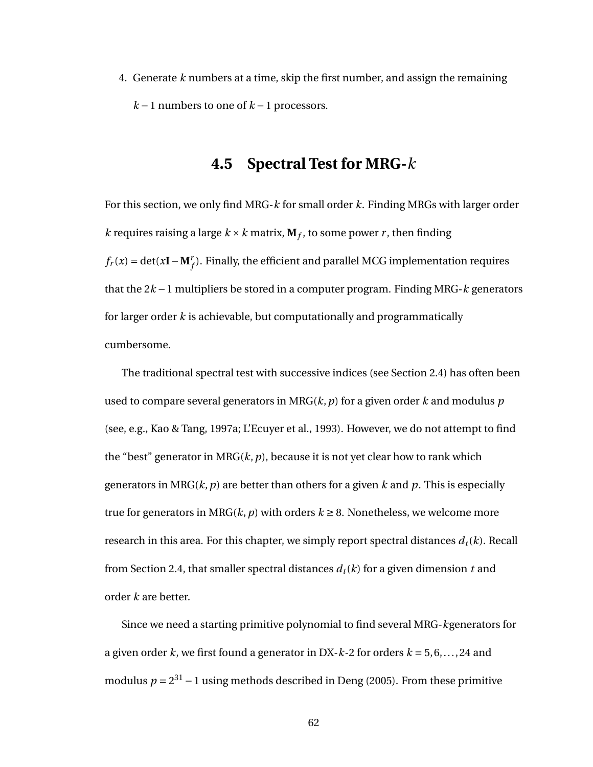4. Generate *k* numbers at a time, skip the first number, and assign the remaining *k* −1 numbers to one of *k* −1 processors.

# **4.5 Spectral Test for MRG-***k*

For this section, we only find MRG-*k* for small order *k*. Finding MRGs with larger order *k* requires raising a large  $k \times k$  matrix,  $M_f$ , to some power *r*, then finding  $f_r(x) = \det(x\mathbf{I} - \mathbf{M}_f^r)$ . Finally, the efficient and parallel MCG implementation requires that the 2*k* −1 multipliers be stored in a computer program. Finding MRG-*k* generators for larger order *k* is achievable, but computationally and programmatically cumbersome.

The traditional spectral test with successive indices (see Section [2.4\)](#page-16-0) has often been used to compare several generators in MRG(*k*,*p*) for a given order *k* and modulus *p* (see, e.g., Kao & Tang, 1997a; L'Ecuyer et al., 1993). However, we do not attempt to find the "best" generator in  $MRG(k, p)$ , because it is not yet clear how to rank which generators in MRG(*k*,*p*) are better than others for a given *k* and *p*. This is especially true for generators in MRG( $k$ ,  $p$ ) with orders  $k \geq 8$ . Nonetheless, we welcome more research in this area. For this chapter, we simply report spectral distances  $d_t(k)$ . Recall from Section [2.4,](#page-16-0) that smaller spectral distances  $d_t(k)$  for a given dimension t and order *k* are better.

Since we need a starting primitive polynomial to find several MRG-*k*generators for a given order *k*, we first found a generator in DX-*k*-2 for orders *k* = 5, 6,..., 24 and modulus  $p = 2^{31} - 1$  using methods described in Deng (2005). From these primitive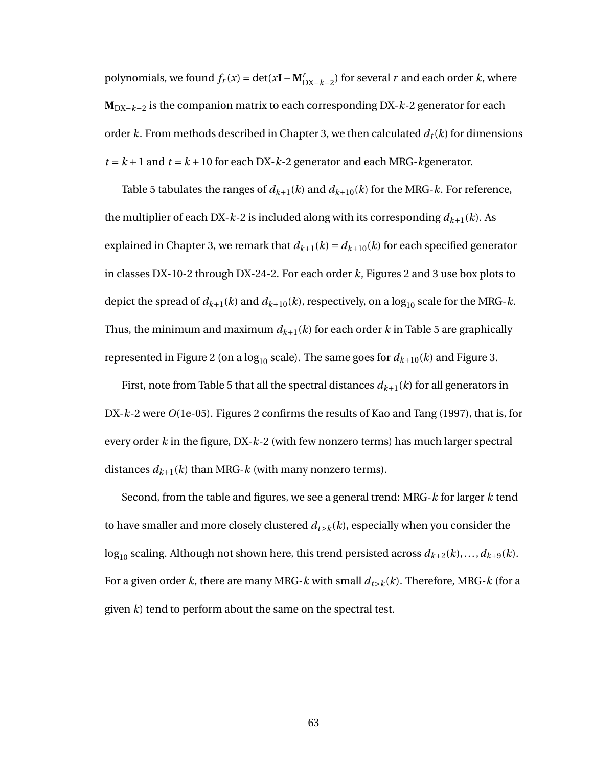polynomials, we found  $f_r(x) = \det(x\mathbf{I} - \mathbf{M}_{\text{DX}-k-2}^r)$  for several *r* and each order *k*, where **M**DX−*k*−<sup>2</sup> is the companion matrix to each corresponding DX-*k*-2 generator for each order *k*. From methods described in Chapter [3,](#page-36-0) we then calculated  $d_t(k)$  for dimensions  $t = k + 1$  and  $t = k + 10$  for each DX- $k$ -2 generator and each MRG- $k$ generator.

Table [5](#page-72-0) tabulates the ranges of  $d_{k+1}(k)$  and  $d_{k+10}(k)$  for the MRG- $k$ . For reference, the multiplier of each DX- $k$ -2 is included along with its corresponding  $d_{k+1}(k)$ . As explained in Chapter [3,](#page-36-0) we remark that  $d_{k+1}(k) = d_{k+10}(k)$  for each specified generator in classes DX-10-2 through DX-24-2. For each order *k*, Figures [2](#page-73-0) and [3](#page-74-0) use box plots to depict the spread of  $d_{k+1}(k)$  and  $d_{k+10}(k)$ , respectively, on a  $\log_{10}$  scale for the MRG-*k*. Thus, the minimum and maximum  $d_{k+1}(k)$  for each order  $k$  in Table [5](#page-72-0) are graphically represented in Figure [2](#page-73-0) (on a  $log_{10}$  scale). The same goes for  $d_{k+10}(k)$  and Figure [3.](#page-74-0)

First, note from Table [5](#page-72-0) that all the spectral distances  $d_{k+1}(k)$  for all generators in DX-*k*-2 were *O*(1e-05). Figures [2](#page-73-0) confirms the results of Kao and Tang (1997), that is, for every order *k* in the figure, DX-*k*-2 (with few nonzero terms) has much larger spectral distances  $d_{k+1}(k)$  than MRG- $k$  (with many nonzero terms).

Second, from the table and figures, we see a general trend: MRG-*k* for larger *k* tend to have smaller and more closely clustered  $d_{t\geq k}(k)$ , especially when you consider the  $\log_{10}$  scaling. Although not shown here, this trend persisted across  $d_{k+2}(k),...,d_{k+9}(k)$ . For a given order *k*, there are many MRG-*k* with small  $d_{t\geq k}(k)$ . Therefore, MRG-*k* (for a given *k*) tend to perform about the same on the spectral test.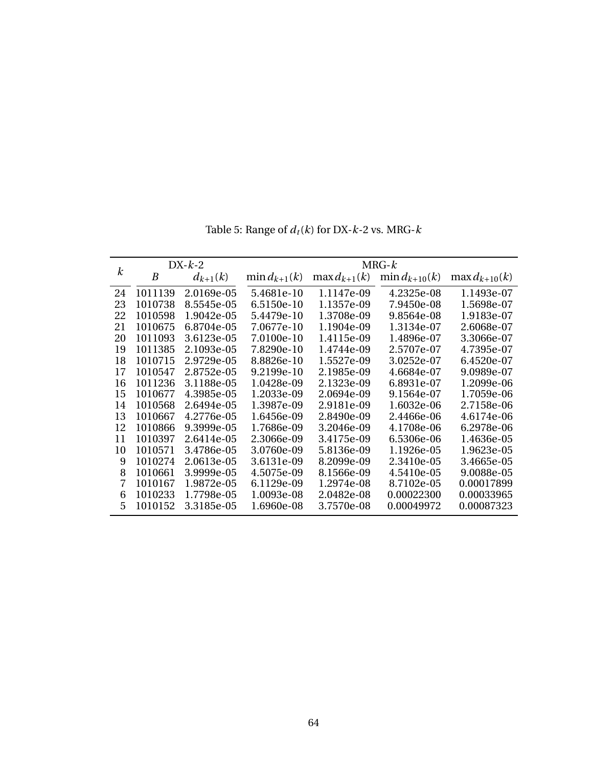|                  | $DX-k-2$ |              | $MRG-k$           |                   |                    |                    |  |  |  |
|------------------|----------|--------------|-------------------|-------------------|--------------------|--------------------|--|--|--|
| $\boldsymbol{k}$ | B        | $d_{k+1}(k)$ | $\min d_{k+1}(k)$ | $\max d_{k+1}(k)$ | $\min d_{k+10}(k)$ | $\max d_{k+10}(k)$ |  |  |  |
| 24               | 1011139  | 2.0169e-05   | 5.4681e-10        | 1.1147e-09        | 4.2325e-08         | 1.1493e-07         |  |  |  |
| 23               | 1010738  | 8.5545e-05   | 6.5150e-10        | 1.1357e-09        | 7.9450e-08         | 1.5698e-07         |  |  |  |
| 22               | 1010598  | 1.9042e-05   | 5.4479e-10        | 1.3708e-09        | 9.8564e-08         | 1.9183e-07         |  |  |  |
| 21               | 1010675  | 6.8704e-05   | 7.0677e-10        | 1.1904e-09        | 1.3134e-07         | 2.6068e-07         |  |  |  |
| 20               | 1011093  | 3.6123e-05   | 7.0100e-10        | 1.4115e-09        | 1.4896e-07         | 3.3066e-07         |  |  |  |
| 19               | 1011385  | 2.1093e-05   | 7.8290e-10        | 1.4744e-09        | 2.5707e-07         | 4.7395e-07         |  |  |  |
| 18               | 1010715  | 2.9729e-05   | 8.8826e-10        | 1.5527e-09        | 3.0252e-07         | 6.4520e-07         |  |  |  |
| 17               | 1010547  | 2.8752e-05   | $9.2199e-10$      | 2.1985e-09        | 4.6684e-07         | 9.0989e-07         |  |  |  |
| 16               | 1011236  | 3.1188e-05   | 1.0428e-09        | 2.1323e-09        | 6.8931e-07         | 1.2099e-06         |  |  |  |
| 15               | 1010677  | 4.3985e-05   | 1.2033e-09        | 2.0694e-09        | 9.1564e-07         | 1.7059e-06         |  |  |  |
| 14               | 1010568  | 2.6494e-05   | 1.3987e-09        | 2.9181e-09        | 1.6032e-06         | 2.7158e-06         |  |  |  |
| 13               | 1010667  | 4.2776e-05   | 1.6456e-09        | 2.8490e-09        | 2.4466e-06         | 4.6174e-06         |  |  |  |
| 12               | 1010866  | 9.3999e-05   | 1.7686e-09        | 3.2046e-09        | 4.1708e-06         | 6.2978e-06         |  |  |  |
| 11               | 1010397  | 2.6414e-05   | 2.3066e-09        | 3.4175e-09        | 6.5306e-06         | 1.4636e-05         |  |  |  |
| 10               | 1010571  | 3.4786e-05   | 3.0760e-09        | 5.8136e-09        | 1.1926e-05         | 1.9623e-05         |  |  |  |
| 9                | 1010274  | 2.0613e-05   | 3.6131e-09        | 8.2099e-09        | 2.3410e-05         | 3.4665e-05         |  |  |  |
| 8                | 1010661  | 3.9999e-05   | 4.5075e-09        | 8.1566e-09        | 4.5410e-05         | 9.0088e-05         |  |  |  |
| 7                | 1010167  | 1.9872e-05   | 6.1129e-09        | 1.2974e-08        | 8.7102e-05         | 0.00017899         |  |  |  |
| 6                | 1010233  | 1.7798e-05   | 1.0093e-08        | 2.0482e-08        | 0.00022300         | 0.00033965         |  |  |  |
| 5                | 1010152  | 3.3185e-05   | 1.6960e-08        | 3.7570e-08        | 0.00049972         | 0.00087323         |  |  |  |

Table 5: Range of  $d_t(k)$  for DX- $k$ -2 vs. MRG- $k$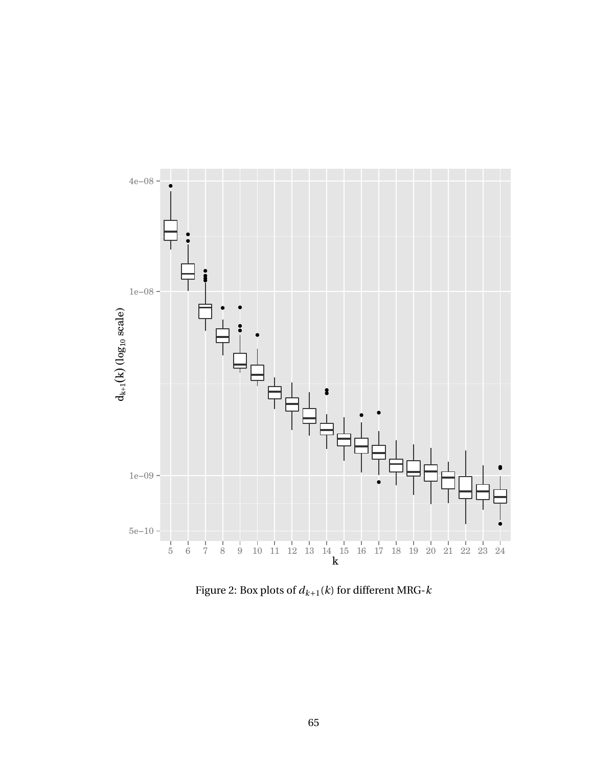

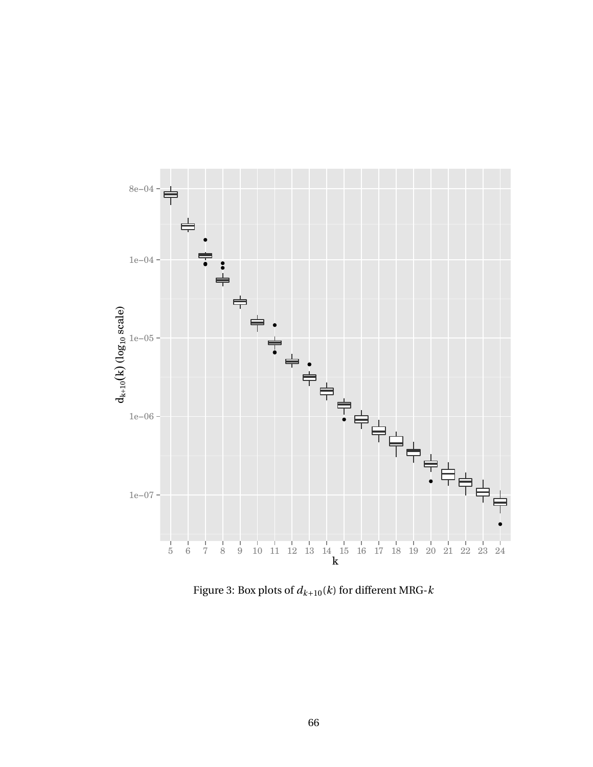

Figure 3: Box plots of *dk*+10(*k*) for different MRG-*k*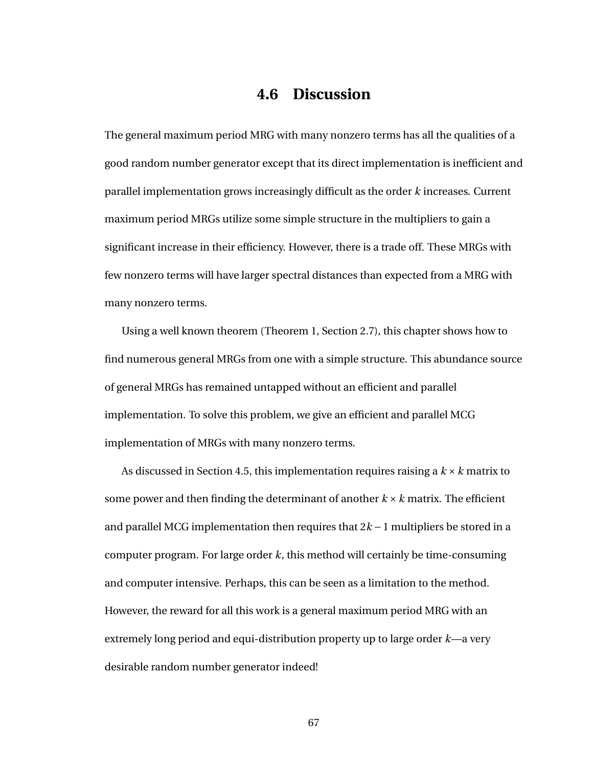## **4.6 Discussion**

The general maximum period MRG with many nonzero terms has all the qualities of a good random number generator except that its direct implementation is inefficient and parallel implementation grows increasingly difficult as the order *k* increases. Current maximum period MRGs utilize some simple structure in the multipliers to gain a significant increase in their efficiency. However, there is a trade off. These MRGs with few nonzero terms will have larger spectral distances than expected from a MRG with many nonzero terms.

Using a well known theorem (Theorem [1,](#page-30-0) Section [2.7\)](#page-26-0), this chapter shows how to find numerous general MRGs from one with a simple structure. This abundance source of general MRGs has remained untapped without an efficient and parallel implementation. To solve this problem, we give an efficient and parallel MCG implementation of MRGs with many nonzero terms.

As discussed in Section [4.5,](#page-70-0) this implementation requires raising a *k* ×*k* matrix to some power and then finding the determinant of another *k* ×*k* matrix. The efficient and parallel MCG implementation then requires that 2*k* −1 multipliers be stored in a computer program. For large order *k*, this method will certainly be time-consuming and computer intensive. Perhaps, this can be seen as a limitation to the method. However, the reward for all this work is a general maximum period MRG with an extremely long period and equi-distribution property up to large order *k*—a very desirable random number generator indeed!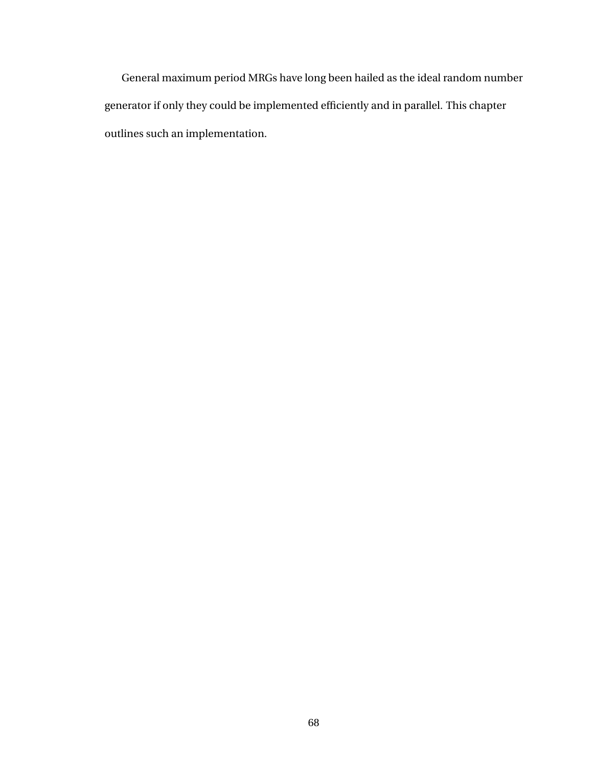General maximum period MRGs have long been hailed as the ideal random number generator if only they could be implemented efficiently and in parallel. This chapter outlines such an implementation.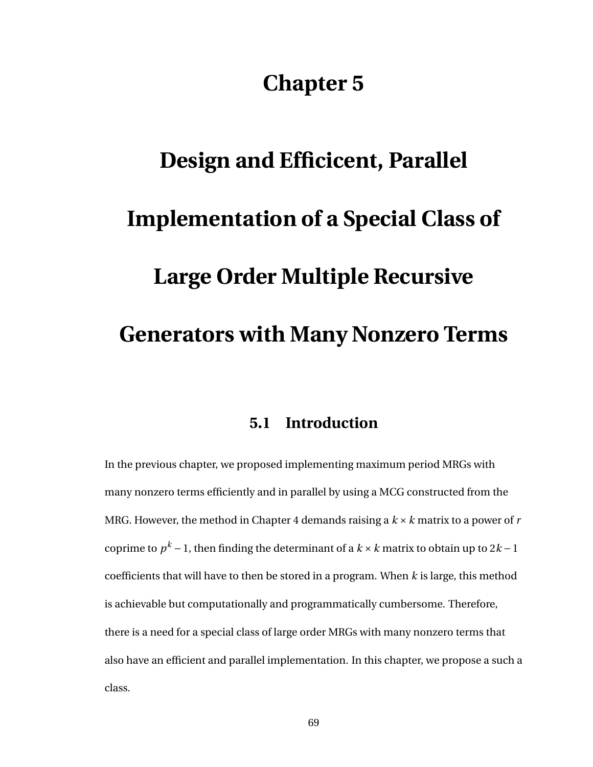## **Chapter 5**

# <span id="page-77-0"></span>**Design and Efficicent, Parallel Implementation of a Special Class of Large Order Multiple Recursive Generators with Many Nonzero Terms**

#### **5.1 Introduction**

In the previous chapter, we proposed implementing maximum period MRGs with many nonzero terms efficiently and in parallel by using a MCG constructed from the MRG. However, the method in Chapter [4](#page-63-0) demands raising a *k* ×*k* matrix to a power of *r* coprime to  $p^k − 1$ , then finding the determinant of a  $k × k$  matrix to obtain up to 2 $k − 1$ coefficients that will have to then be stored in a program. When *k* is large, this method is achievable but computationally and programmatically cumbersome. Therefore, there is a need for a special class of large order MRGs with many nonzero terms that also have an efficient and parallel implementation. In this chapter, we propose a such a class.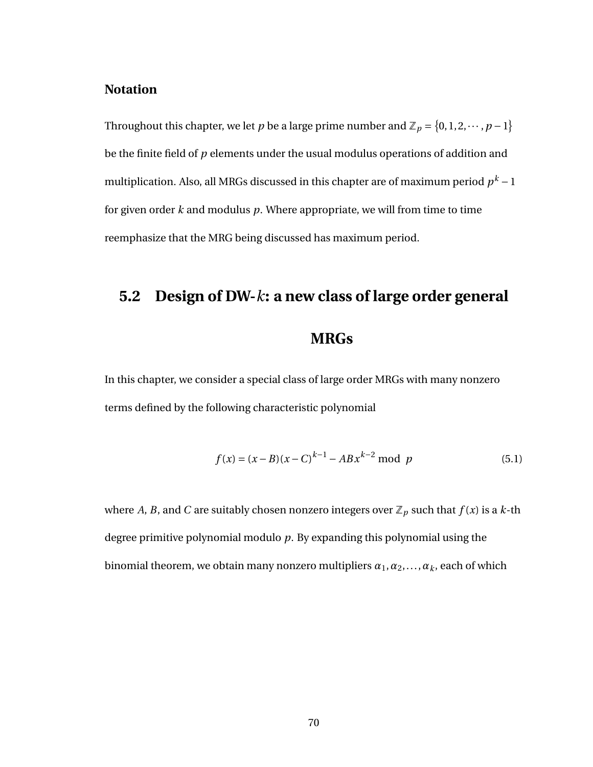#### **Notation**

Throughout this chapter, we let *p* be a large prime number and  $\mathbb{Z}_p = \{0, 1, 2, \cdots, p - 1\}$ be the finite field of *p* elements under the usual modulus operations of addition and multiplication. Also, all MRGs discussed in this chapter are of maximum period  $p^k$  – 1 for given order *k* and modulus *p*. Where appropriate, we will from time to time reemphasize that the MRG being discussed has maximum period.

## **5.2 Design of DW-***k***: a new class of large order general**

#### <span id="page-78-0"></span>**MRGs**

In this chapter, we consider a special class of large order MRGs with many nonzero terms defined by the following characteristic polynomial

$$
f(x) = (x - B)(x - C)^{k-1} - ABx^{k-2} \text{ mod } p
$$
 (5.1)

where *A*, *B*, and *C* are suitably chosen nonzero integers over  $\mathbb{Z}_p$  such that  $f(x)$  is a *k*-th degree primitive polynomial modulo *p*. By expanding this polynomial using the binomial theorem, we obtain many nonzero multipliers  $\alpha_1, \alpha_2, \ldots, \alpha_k$ , each of which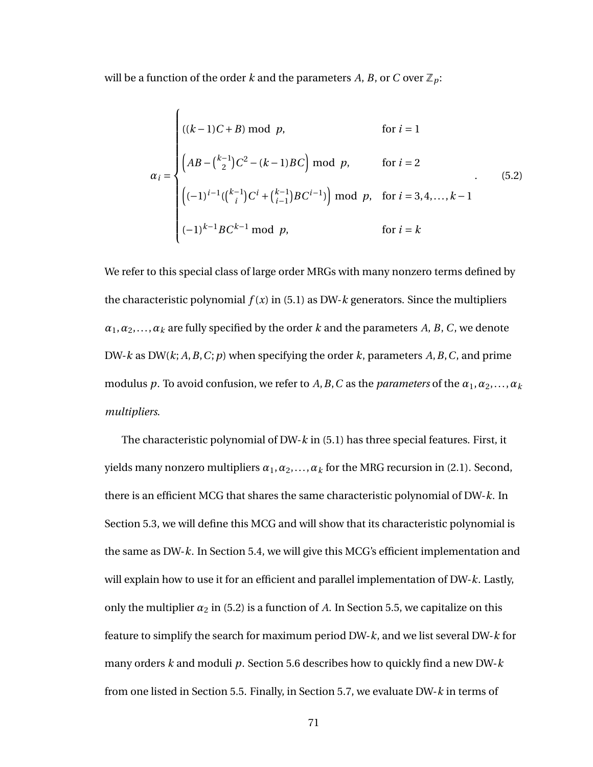will be a function of the order *k* and the parameters *A*, *B*, or *C* over  $\mathbb{Z}_p$ :

<span id="page-79-0"></span>
$$
\alpha_{i} = \begin{cases}\n((k-1)C + B) \mod p, & \text{for } i = 1 \\
(AB - {k-1 \choose 2}C^{2} - (k-1)BC) \mod p, & \text{for } i = 2 \\
\left((-1)^{i-1}({k-1 \choose i}C^{i} + {k-1 \choose i-1}BC^{i-1})\right) \mod p, & \text{for } i = 3, 4, ..., k-1 \\
(-1)^{k-1}BC^{k-1} \mod p, & \text{for } i = k\n\end{cases}
$$
\n(5.2)

We refer to this special class of large order MRGs with many nonzero terms defined by the characteristic polynomial  $f(x)$  in [\(5.1\)](#page-78-0) as DW- $k$  generators. Since the multipliers  $\alpha_1, \alpha_2, \ldots, \alpha_k$  are fully specified by the order *k* and the parameters *A*, *B*, *C*, we denote DW-*k* as DW(*k*; *A*,*B*,*C*;*p*) when specifying the order *k*, parameters *A*,*B*,*C*, and prime modulus *p*. To avoid confusion, we refer to *A*, *B*, *C* as the *parameters* of the  $\alpha_1, \alpha_2, \ldots, \alpha_k$ *multipliers*.

The characteristic polynomial of DW-*k* in [\(5.1\)](#page-78-0) has three special features. First, it yields many nonzero multipliers  $\alpha_1, \alpha_2, \ldots, \alpha_k$  for the MRG recursion in [\(2.1\)](#page-15-0). Second, there is an efficient MCG that shares the same characteristic polynomial of DW-*k*. In Section [5.3,](#page-80-0) we will define this MCG and will show that its characteristic polynomial is the same as DW-*k*. In Section [5.4,](#page-82-0) we will give this MCG's efficient implementation and will explain how to use it for an efficient and parallel implementation of DW-*k*. Lastly, only the multiplier  $\alpha_2$  in [\(5.2\)](#page-79-0) is a function of A. In Section [5.5,](#page-84-0) we capitalize on this feature to simplify the search for maximum period DW-*k*, and we list several DW-*k* for many orders *k* and moduli *p*. Section [5.6](#page-90-0) describes how to quickly find a new DW-*k* from one listed in Section [5.5.](#page-84-0) Finally, in Section [5.7,](#page-91-0) we evaluate DW-*k* in terms of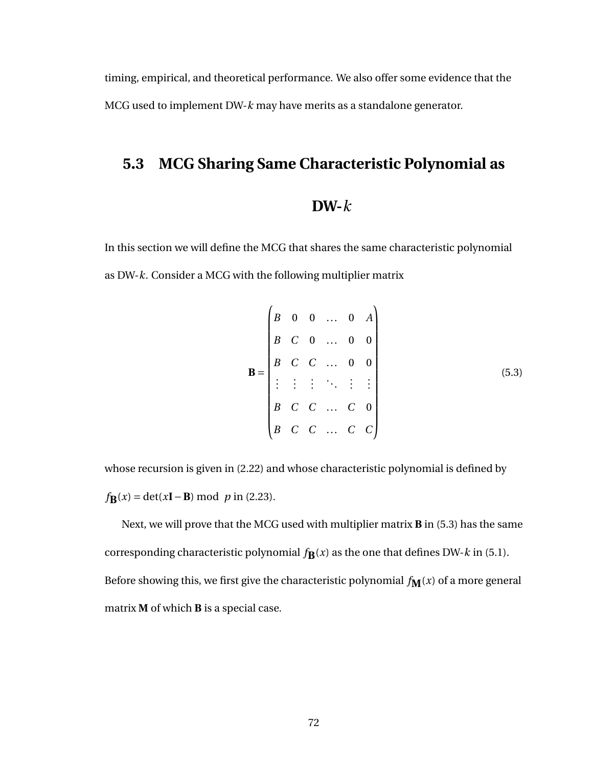<span id="page-80-0"></span>timing, empirical, and theoretical performance. We also offer some evidence that the MCG used to implement DW-*k* may have merits as a standalone generator.

#### **5.3 MCG Sharing Same Characteristic Polynomial as**

#### <span id="page-80-1"></span>**DW-***k*

In this section we will define the MCG that shares the same characteristic polynomial as DW-*k*. Consider a MCG with the following multiplier matrix

$$
\mathbf{B} = \begin{pmatrix} B & 0 & 0 & \dots & 0 & A \\ B & C & 0 & \dots & 0 & 0 \\ B & C & C & \dots & 0 & 0 \\ \vdots & \vdots & \vdots & \ddots & \vdots & \vdots \\ B & C & C & \dots & C & 0 \\ B & C & C & \dots & C & C \end{pmatrix}
$$
(5.3)

whose recursion is given in [\(2.22\)](#page-32-0) and whose characteristic polynomial is defined by  $f_{\bf{B}}(x) = \det(x{\bf{I}} - {\bf{B}}) \text{ mod } p \text{ in (2.23).}$  $f_{\bf{B}}(x) = \det(x{\bf{I}} - {\bf{B}}) \text{ mod } p \text{ in (2.23).}$  $f_{\bf{B}}(x) = \det(x{\bf{I}} - {\bf{B}}) \text{ mod } p \text{ in (2.23).}$ 

<span id="page-80-2"></span>Next, we will prove that the MCG used with multiplier matrix **B** in [\(5.3\)](#page-80-1) has the same corresponding characteristic polynomial  $f_{\mathbf{B}}(x)$  as the one that defines DW- $k$  in [\(5.1\)](#page-78-0). Before showing this, we first give the characteristic polynomial  $f_{\mathbf{M}}(x)$  of a more general matrix **M** of which **B** is a special case.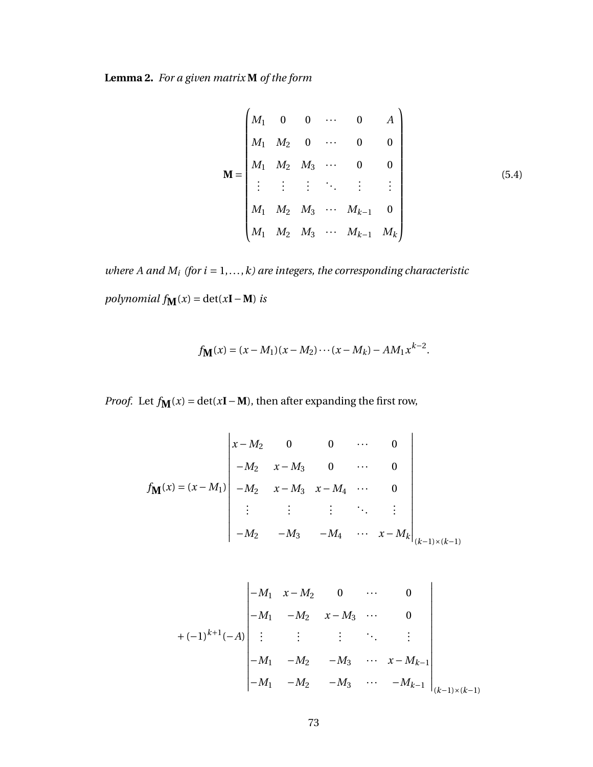**Lemma 2.** *For a given matrix* **M** *of the form*

<span id="page-81-0"></span>
$$
\mathbf{M} = \begin{pmatrix} M_1 & 0 & 0 & \cdots & 0 & A \\ M_1 & M_2 & 0 & \cdots & 0 & 0 \\ M_1 & M_2 & M_3 & \cdots & 0 & 0 \\ \vdots & \vdots & \vdots & \ddots & \vdots & \vdots \\ M_1 & M_2 & M_3 & \cdots & M_{k-1} & 0 \\ M_1 & M_2 & M_3 & \cdots & M_{k-1} & M_k \end{pmatrix}
$$
(5.4)

*where A and*  $M_i$  *(for*  $i = 1, ..., k$ *) are integers, the corresponding characteristic polynomial*  $f_{\mathbf{M}}(x) = \det(x\mathbf{I} - \mathbf{M})$  *is* 

$$
f_{\mathbf{M}}(x) = (x - M_1)(x - M_2) \cdots (x - M_k) - AM_1 x^{k-2}.
$$

*Proof.* Let  $f_{\mathbf{M}}(x) = \det(x\mathbf{I} - \mathbf{M})$ , then after expanding the first row,

$$
f_{\mathbf{M}}(x) = (x - M_1) \begin{vmatrix} x - M_2 & 0 & 0 & \cdots & 0 \\ -M_2 & x - M_3 & 0 & \cdots & 0 \\ -M_2 & x - M_3 & x - M_4 & \cdots & 0 \\ \vdots & \vdots & \vdots & \ddots & \vdots \\ -M_2 & -M_3 & -M_4 & \cdots & x - M_k \end{vmatrix}_{(k-1)\times (k-1)}
$$

$$
+(-1)^{k+1}(-A) \begin{vmatrix} -M_1 & x - M_2 & 0 & \cdots & 0 \\ -M_1 & -M_2 & x - M_3 & \cdots & 0 \\ \vdots & \vdots & \vdots & \ddots & \vdots \\ -M_1 & -M_2 & -M_3 & \cdots & x - M_{k-1} \\ -M_1 & -M_2 & -M_3 & \cdots & -M_{k-1} \end{vmatrix}_{(k-1)\times (k-1)}
$$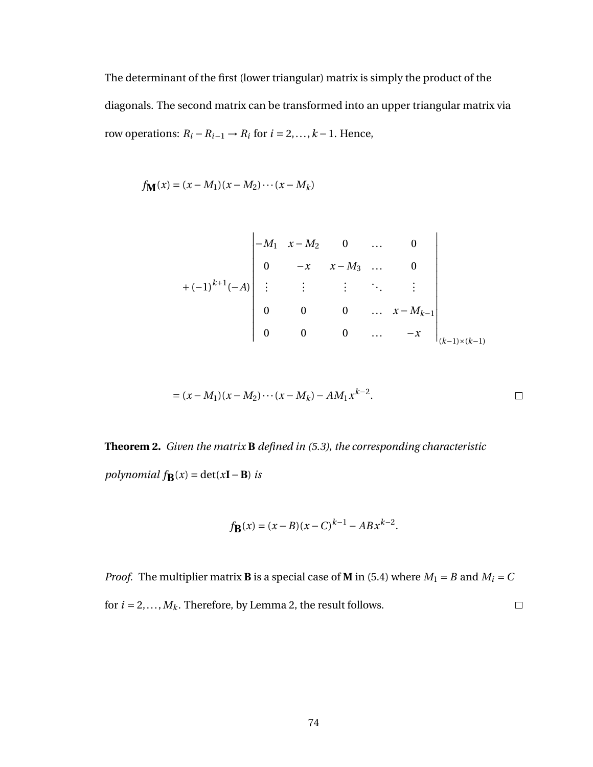The determinant of the first (lower triangular) matrix is simply the product of the diagonals. The second matrix can be transformed into an upper triangular matrix via row operations:  $R_i - R_{i-1} \rightarrow R_i$  for  $i = 2, ..., k - 1$ . Hence,

$$
f_{\mathbf{M}}(x) = (x - M_1)(x - M_2) \cdots (x - M_k)
$$

$$
+(-1)^{k+1}(-A) \begin{vmatrix} -M_1 & x - M_2 & 0 & \dots & 0 \\ 0 & -x & x - M_3 & \dots & 0 \\ \vdots & \vdots & \vdots & \ddots & \vdots \\ 0 & 0 & 0 & \dots & x - M_{k-1} \\ 0 & 0 & 0 & \dots & -x \end{vmatrix}_{(k-1)\times (k-1)}
$$

$$
= (x - M_1)(x - M_2) \cdots (x - M_k) - AM_1 x^{k-2}.
$$

<span id="page-82-1"></span>**Theorem 2.** *Given the matrix* **B** *defined in [\(5.3\)](#page-80-1), the corresponding characteristic polynomial*  $f_{\mathbf{B}}(x) = \det(x\mathbf{I} - \mathbf{B})$  *is* 

$$
f_{\mathbf{B}}(x) = (x - B)(x - C)^{k-1} - ABx^{k-2}.
$$

<span id="page-82-0"></span>*Proof.* The multiplier matrix **B** is a special case of **M** in [\(5.4\)](#page-81-0) where  $M_1 = B$  and  $M_i = C$ for  $i = 2, \ldots, M_k$  $i = 2, \ldots, M_k$  $i = 2, \ldots, M_k$ . Therefore, by Lemma 2, the result follows.  $\Box$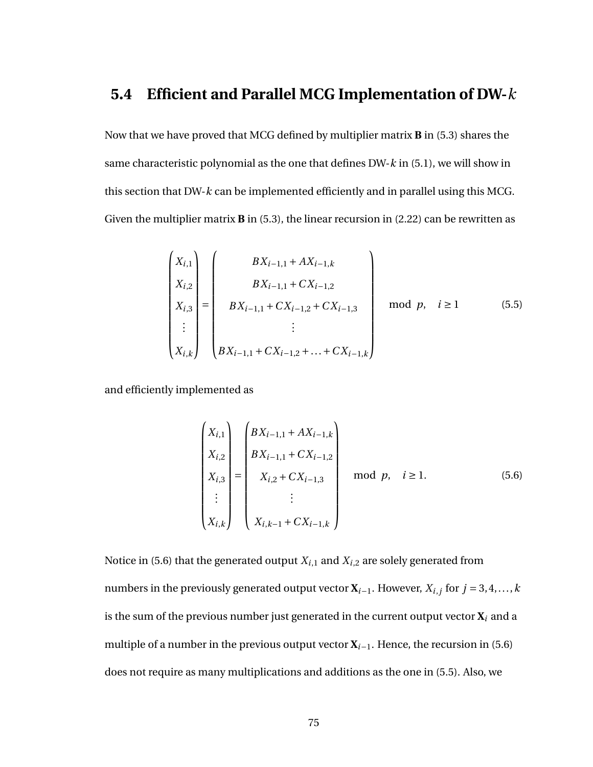#### **5.4 Efficient and Parallel MCG Implementation of DW-***k*

Now that we have proved that MCG defined by multiplier matrix **B** in [\(5.3\)](#page-80-1) shares the same characteristic polynomial as the one that defines DW-*k* in [\(5.1\)](#page-78-0), we will show in this section that DW-*k* can be implemented efficiently and in parallel using this MCG. Given the multiplier matrix **B** in [\(5.3\)](#page-80-1), the linear recursion in [\(2.22\)](#page-32-0) can be rewritten as

<span id="page-83-1"></span>
$$
\begin{pmatrix}\nX_{i,1} \\
X_{i,2} \\
X_{i,3} \\
\vdots \\
X_{i,k}\n\end{pmatrix} = \begin{pmatrix}\nBX_{i-1,1} + AX_{i-1,k} \\
BX_{i-1,1} + CX_{i-1,2} \\
BX_{i-1,1} + CX_{i-1,2} + CX_{i-1,3} \\
\vdots \\
BX_{i-1,1} + CX_{i-1,2} + \ldots + CX_{i-1,k}\n\end{pmatrix} \mod p, \quad i \ge 1
$$
\n(5.5)

and efficiently implemented as

<span id="page-83-0"></span>
$$
\begin{pmatrix}\nX_{i,1} \\
X_{i,2} \\
X_{i,3} \\
\vdots \\
X_{i,k}\n\end{pmatrix} =\n\begin{pmatrix}\nBX_{i-1,1} + AX_{i-1,k} \\
BX_{i-1,1} + CX_{i-1,2} \\
BX_{i,2} + CX_{i-1,3} \\
\vdots \\
X_{i,k-1} + CX_{i-1,k}\n\end{pmatrix}\n\mod p, \quad i \ge 1.
$$
\n(5.6)

Notice in [\(5.6\)](#page-83-0) that the generated output  $X_{i,1}$  and  $X_{i,2}$  are solely generated from numbers in the previously generated output vector  $\mathbf{X}_{i-1}$ . However,  $X_{i,j}$  for  $j = 3, 4, ..., k$ is the sum of the previous number just generated in the current output vector  $\mathbf{X}_i$  and a multiple of a number in the previous output vector  $X_{i-1}$ . Hence, the recursion in [\(5.6\)](#page-83-0) does not require as many multiplications and additions as the one in [\(5.5\)](#page-83-1). Also, we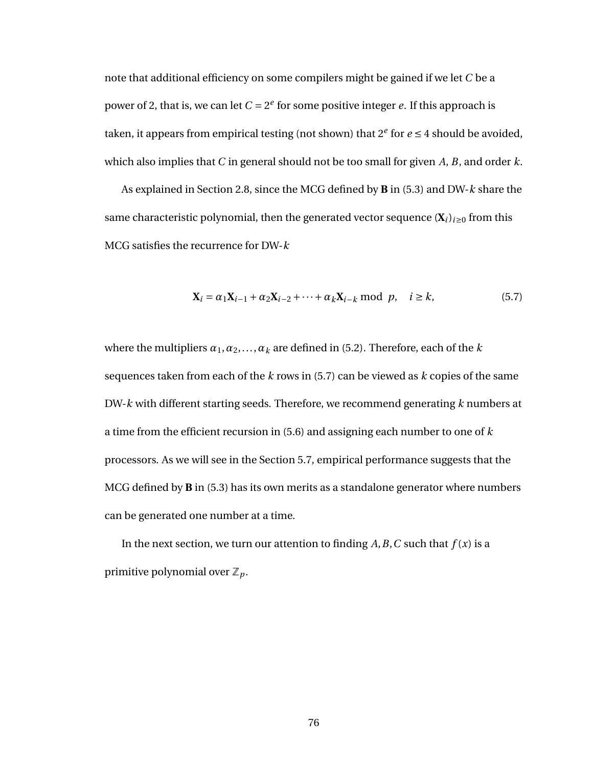note that additional efficiency on some compilers might be gained if we let *C* be a power of 2, that is, we can let  $C = 2^e$  for some positive integer *e*. If this approach is taken, it appears from empirical testing (not shown) that  $2^e$  for  $e \le 4$  should be avoided, which also implies that *C* in general should not be too small for given *A*, *B*, and order *k*.

As explained in Section [2.8,](#page-32-2) since the MCG defined by **B** in [\(5.3\)](#page-80-1) and DW-*k* share the same characteristic polynomial, then the generated vector sequence  $(X_i)_{i\geq0}$  from this MCG satisfies the recurrence for DW-*k*

<span id="page-84-1"></span>
$$
\mathbf{X}_{i} = \alpha_{1}\mathbf{X}_{i-1} + \alpha_{2}\mathbf{X}_{i-2} + \cdots + \alpha_{k}\mathbf{X}_{i-k} \text{ mod } p, \quad i \ge k,
$$
\n(5.7)

where the multipliers  $\alpha_1, \alpha_2, \ldots, \alpha_k$  are defined in [\(5.2\)](#page-79-0). Therefore, each of the *k* sequences taken from each of the *k* rows in [\(5.7\)](#page-84-1) can be viewed as *k* copies of the same DW-*k* with different starting seeds. Therefore, we recommend generating *k* numbers at a time from the efficient recursion in [\(5.6\)](#page-83-0) and assigning each number to one of *k* processors. As we will see in the Section [5.7,](#page-91-0) empirical performance suggests that the MCG defined by **B** in [\(5.3\)](#page-80-1) has its own merits as a standalone generator where numbers can be generated one number at a time.

<span id="page-84-0"></span>In the next section, we turn our attention to finding  $A, B, C$  such that  $f(x)$  is a primitive polynomial over  $\mathbb{Z}_p$ .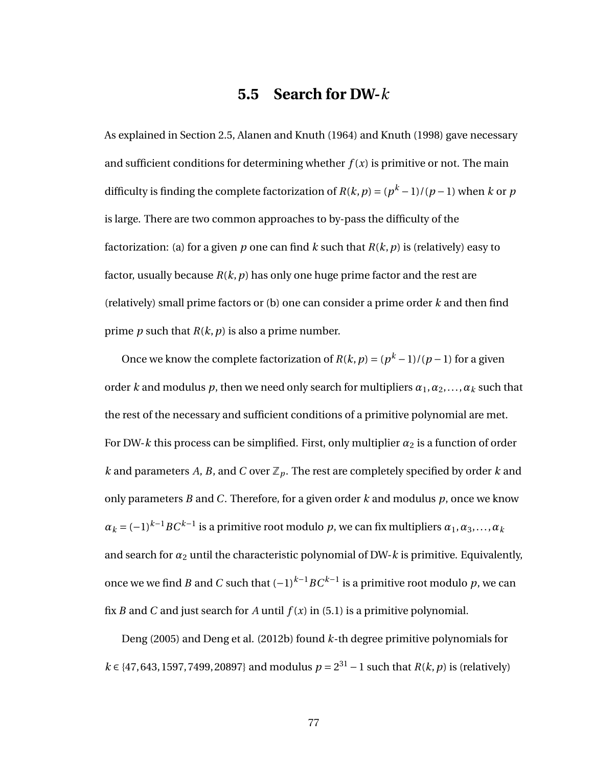#### **5.5 Search for DW-***k*

As explained in Section [2.5,](#page-20-0) Alanen and Knuth (1964) and Knuth (1998) gave necessary and sufficient conditions for determining whether  $f(x)$  is primitive or not. The main difficulty is finding the complete factorization of  $R(k, p) = (p^k - 1)/(p - 1)$  when  $k$  or  $p$ is large. There are two common approaches to by-pass the difficulty of the factorization: (a) for a given  $p$  one can find  $k$  such that  $R(k, p)$  is (relatively) easy to factor, usually because  $R(k, p)$  has only one huge prime factor and the rest are (relatively) small prime factors or (b) one can consider a prime order *k* and then find prime *p* such that  $R(k, p)$  is also a prime number.

Once we know the complete factorization of  $R(k, p) = (p<sup>k</sup> - 1)/(p - 1)$  for a given order *k* and modulus *p*, then we need only search for multipliers  $\alpha_1, \alpha_2, \ldots, \alpha_k$  such that the rest of the necessary and sufficient conditions of a primitive polynomial are met. For DW-k this process can be simplified. First, only multiplier  $\alpha_2$  is a function of order *k* and parameters *A*, *B*, and *C* over  $\mathbb{Z}_p$ . The rest are completely specified by order *k* and only parameters *B* and *C*. Therefore, for a given order *k* and modulus *p*, once we know  $\alpha_k$  = (−1)<sup>*k−*1</sup>*BC<sup>k−1</sup>* is a primitive root modulo *p*, we can fix multipliers  $\alpha_1, \alpha_3,...,\alpha_k$ and search for  $\alpha_2$  until the characteristic polynomial of DW- $k$  is primitive. Equivalently, once we we find *B* and  $C$  such that  $(-1)^{k-1}BC^{k-1}$  is a primitive root modulo  $p$ , we can fix *B* and *C* and just search for *A* until  $f(x)$  in [\(5.1\)](#page-78-0) is a primitive polynomial.

Deng (2005) and Deng et al. (2012b) found *k*-th degree primitive polynomials for *k* ∈ {47, 643, 1597, 7499, 20897} and modulus  $p = 2^{31} - 1$  such that  $R(k, p)$  is (relatively)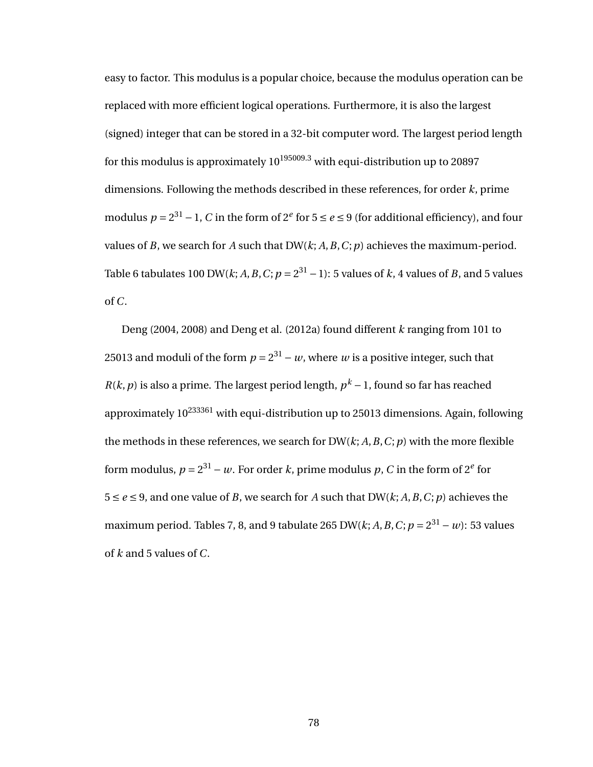easy to factor. This modulus is a popular choice, because the modulus operation can be replaced with more efficient logical operations. Furthermore, it is also the largest (signed) integer that can be stored in a 32-bit computer word. The largest period length for this modulus is approximately  $10^{195009.3}$  with equi-distribution up to 20897 dimensions. Following the methods described in these references, for order *k*, prime modulus *p* = 2<sup>31</sup> − 1, *C* in the form of 2<sup>*e*</sup> for 5 ≤ *e* ≤ 9 (for additional efficiency), and four values of *B*, we search for *A* such that DW(*k*; *A*,*B*,*C*;*p*) achieves the maximum-period. Table [6](#page-87-0) tabulates 100 DW( $k$ ;  $A$ ,  $B$ ,  $C$ ;  $p = 2^{31} - 1$ ): 5 values of  $k$ , 4 values of  $B$ , and 5 values of *C*.

Deng (2004, 2008) and Deng et al. (2012a) found different *k* ranging from 101 to 25013 and moduli of the form  $p = 2^{31} - w$ , where *w* is a positive integer, such that *R*(*k*, *p*) is also a prime. The largest period length,  $p<sup>k</sup> - 1$ , found so far has reached approximately  $10^{233361}$  with equi-distribution up to 25013 dimensions. Again, following the methods in these references, we search for DW(*k*; *A*,*B*,*C*;*p*) with the more flexible form modulus,  $p = 2^{31} - w$ . For order *k*, prime modulus  $p$ , *C* in the form of 2<sup>*e*</sup> for  $5 \le e \le 9$ , and one value of *B*, we search for *A* such that DW(*k*; *A*, *B*, *C*; *p*) achieves the maximum period. Tables [7,](#page-88-0) [8,](#page-89-0) and [9](#page-90-1) tabulate 265 DW(*k*; *A*, *B*, *C*; *p* = 2<sup>31</sup> – *w*): 53 values of *k* and 5 values of *C*.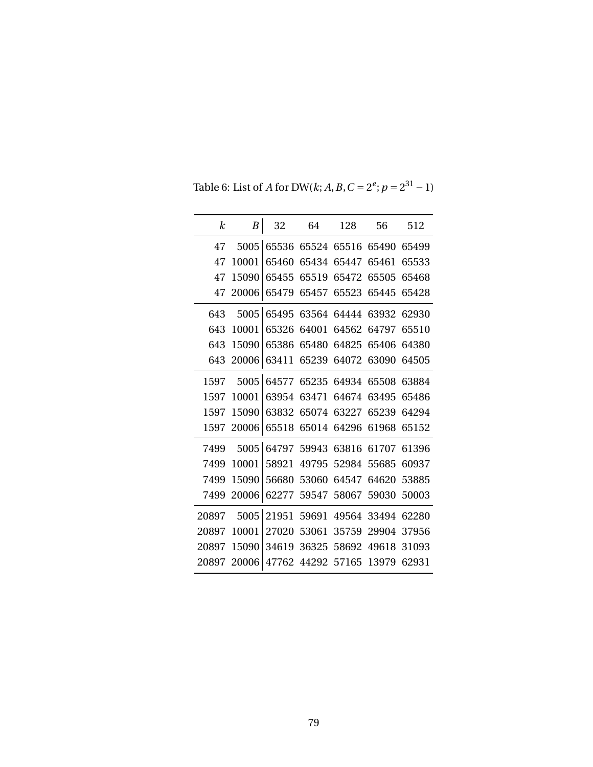| k     | B     | 32    | 64    | 128   | 56    | 512   |
|-------|-------|-------|-------|-------|-------|-------|
| 47    | 5005  | 65536 | 65524 | 65516 | 65490 | 65499 |
| 47    | 10001 | 65460 | 65434 | 65447 | 65461 | 65533 |
| 47    | 15090 | 65455 | 65519 | 65472 | 65505 | 65468 |
| 47    | 20006 | 65479 | 65457 | 65523 | 65445 | 65428 |
| 643   | 5005  | 65495 | 63564 | 64444 | 63932 | 62930 |
| 643   | 10001 | 65326 | 64001 | 64562 | 64797 | 65510 |
| 643   | 15090 | 65386 | 65480 | 64825 | 65406 | 64380 |
| 643   | 20006 | 63411 | 65239 | 64072 | 63090 | 64505 |
| 1597  | 5005  | 64577 | 65235 | 64934 | 65508 | 63884 |
| 1597  | 10001 | 63954 | 63471 | 64674 | 63495 | 65486 |
| 1597  | 15090 | 63832 | 65074 | 63227 | 65239 | 64294 |
| 1597  | 20006 | 65518 | 65014 | 64296 | 61968 | 65152 |
| 7499  | 5005  | 64797 | 59943 | 63816 | 61707 | 61396 |
| 7499  | 10001 | 58921 | 49795 | 52984 | 55685 | 60937 |
| 7499  | 15090 | 56680 | 53060 | 64547 | 64620 | 53885 |
| 7499  | 20006 | 62277 | 59547 | 58067 | 59030 | 50003 |
| 20897 | 5005  | 21951 | 59691 | 49564 | 33494 | 62280 |
| 20897 | 10001 | 27020 | 53061 | 35759 | 29904 | 37956 |
| 20897 | 15090 | 34619 | 36325 | 58692 | 49618 | 31093 |
| 20897 | 20006 | 47762 | 44292 | 57165 | 13979 | 62931 |

<span id="page-87-0"></span>Table 6: List of *A* for DW(*k*; *A*, *B*,  $C = 2^e$ ;  $p = 2^{31} - 1$ )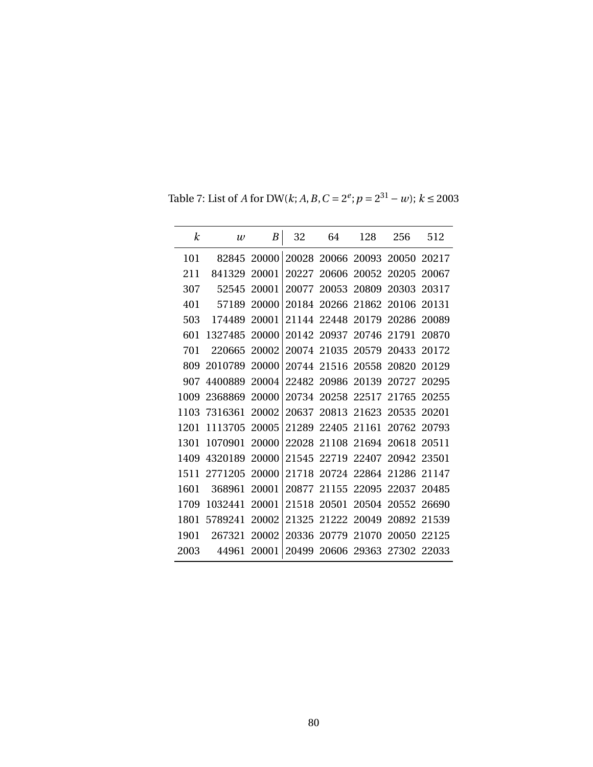<span id="page-88-0"></span>Table 7: List of *A* for DW(*k*; *A*, *B*, *C* =  $2^e$ ; *p* =  $2^{31}$  − *w*); *k* ≤ 2003

| $\boldsymbol{k}$ | $\boldsymbol{w}$ | B     | 32    | 64          | 128                     | 256   | 512   |
|------------------|------------------|-------|-------|-------------|-------------------------|-------|-------|
| 101              | 82845            | 20000 | 20028 | 20066       | 20093                   | 20050 | 20217 |
| 211              | 841329           | 20001 | 20227 | 20606       | 20052                   | 20205 | 20067 |
| 307              | 52545            | 20001 | 20077 | 20053       | 20809                   | 20303 | 20317 |
| 401              | 57189            | 20000 | 20184 | 20266       | 21862                   | 20106 | 20131 |
| 503              | 174489           | 20001 | 21144 | 22448       | 20179                   | 20286 | 20089 |
| 601              | 1327485          | 20000 |       | 20142 20937 | 20746                   | 21791 | 20870 |
| 701              | 220665           | 20002 | 20074 | 21035 20579 |                         | 20433 | 20172 |
| 809              | 2010789          | 20000 | 20744 | 21516       | 20558                   | 20820 | 20129 |
| 907              | 4400889          | 20004 |       | 22482 20986 | 20139                   | 20727 | 20295 |
| 1009             | 2368869          | 20000 | 20734 | 20258       | 22517                   | 21765 | 20255 |
| 1103             | 7316361          | 20002 | 20637 | 20813       | 21623                   | 20535 | 20201 |
| 1201             | 1113705          | 20005 | 21289 | 22405       | 21161                   | 20762 | 20793 |
| 1301             | 1070901          | 20000 | 22028 | 21108       | 21694                   | 20618 | 20511 |
| 1409             | 4320189          | 20000 | 21545 | 22719       | 22407                   | 20942 | 23501 |
| 1511             | 2771205          | 20000 | 21718 | 20724       | 22864                   | 21286 | 21147 |
| 1601             | 368961           | 20001 | 20877 | 21155       | 22095                   | 22037 | 20485 |
| 1709             | 1032441          | 20001 | 21518 | 20501       | 20504 20552             |       | 26690 |
| 1801             | 5789241          | 20002 | 21325 |             | 21222 20049             | 20892 | 21539 |
| 1901             | 267321           | 20002 | 20336 | 20779       | 21070                   | 20050 | 22125 |
| 2003             | 44961            | 20001 | 20499 |             | 20606 29363 27302 22033 |       |       |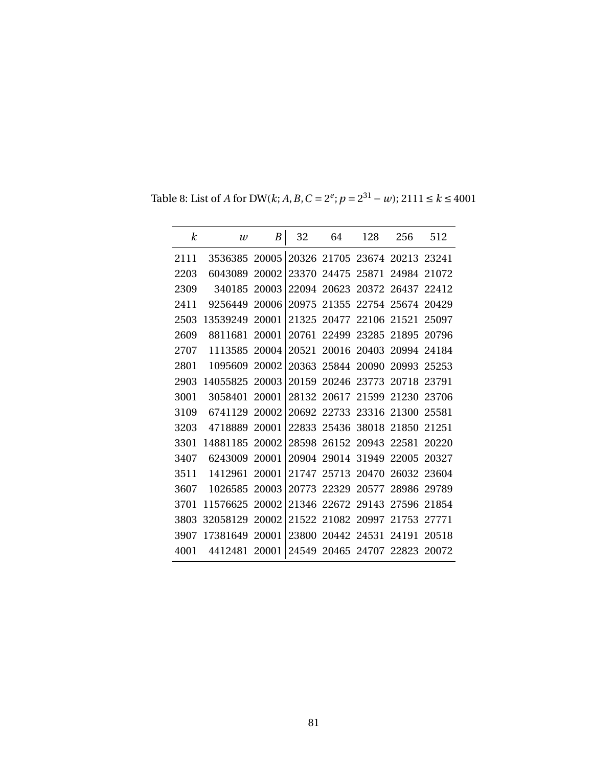| k    | $\mathcal{W}$ | B     | 32    | 64                | 128                           | 256         | 512    |
|------|---------------|-------|-------|-------------------|-------------------------------|-------------|--------|
| 2111 | 3536385 20005 |       |       |                   | 20326 21705 23674 20213 23241 |             |        |
| 2203 | 6043089       | 20002 | 23370 | 24475             | 25871                         | 24984       | 21072  |
| 2309 | 340185        | 20003 |       | 22094 20623       |                               | 20372 26437 | 22412  |
| 2411 | 9256449       | 20006 | 20975 | 21355             |                               | 22754 25674 | 20429  |
| 2503 | 13539249      | 20001 | 21325 | 20477             | 22106 21521                   |             | 25097  |
| 2609 | 8811681       | 20001 | 20761 | 22499             | 23285 21895                   |             | -20796 |
| 2707 | 1113585       | 20004 | 20521 |                   | 20016 20403 20994             |             | 24184  |
| 2801 | 1095609       | 20002 | 20363 | 25844             | 20090                         | 20993       | 25253  |
| 2903 | 14055825      | 20003 | 20159 |                   | 20246 23773 20718             |             | 23791  |
| 3001 | 3058401       | 20001 |       | 28132 20617 21599 |                               | 21230       | 23706  |
| 3109 | 6741129       | 20002 |       |                   | 20692 22733 23316 21300       |             | 25581  |
| 3203 | 4718889       | 20001 | 22833 | 25436             | 38018                         | 21850       | 21251  |
| 3301 | 14881185      | 20002 | 28598 |                   | 26152 20943 22581             |             | 20220  |
| 3407 | 6243009       | 20001 |       |                   | 20904 29014 31949             | 22005       | 20327  |
| 3511 | 1412961       | 20001 |       | 21747 25713 20470 |                               | 26032 23604 |        |
| 3607 | 1026585       | 20003 | 20773 | 22329             | 20577                         | 28986       | 29789  |
| 3701 | 11576625      | 20002 | 21346 |                   | 22672 29143 27596             |             | 21854  |
| 3803 | 32058129      | 20002 |       |                   | 21522 21082 20997             | 21753       | 27771  |
| 3907 | 17381649      | 20001 | 23800 | 20442 24531       |                               | 24191       | 20518  |
| 4001 | 4412481       | 20001 |       |                   | 24549 20465 24707 22823 20072 |             |        |

<span id="page-89-0"></span>Table 8: List of *A* for DW(*k*; *A*, *B*, *C* =  $2^e$ ; *p* =  $2^{31}$  − *w*); 2111 ≤ *k* ≤ 4001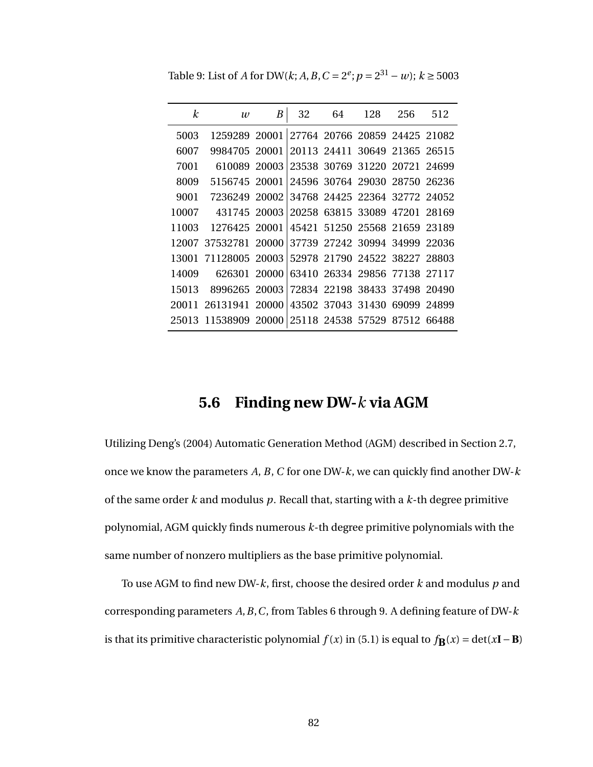<span id="page-90-1"></span>Table 9: List of *A* for DW(*k*; *A*, *B*, *C* = 2<sup>*e*</sup>; *p* = 2<sup>31</sup> − *w*); *k* ≥ 5003

| $\boldsymbol{k}$ | $\boldsymbol{w}$                                   | B | 32 | 64 128 256                    |  | 512 |
|------------------|----------------------------------------------------|---|----|-------------------------------|--|-----|
| 5003             | 1259289 20001 27764 20766 20859 24425 21082        |   |    |                               |  |     |
| 6007             | 9984705 20001 20113 24411 30649 21365 26515        |   |    |                               |  |     |
| 7001             | 610089 20003 23538 30769 31220 20721 24699         |   |    |                               |  |     |
| 8009             | 5156745 20001 24596 30764 29030 28750 26236        |   |    |                               |  |     |
| 9001             | 7236249 20002 34768 24425 22364 32772 24052        |   |    |                               |  |     |
| 10007            | 431745 20003 20258 63815 33089 47201 28169         |   |    |                               |  |     |
| 11003            | 1276425 20001 45421 51250 25568 21659 23189        |   |    |                               |  |     |
|                  | 12007 37532781 20000                               |   |    | 37739 27242 30994 34999 22036 |  |     |
|                  | 13001 71128005 20003                               |   |    | 52978 21790 24522 38227 28803 |  |     |
| 14009            | 626301 20000                                       |   |    | 63410 26334 29856 77138 27117 |  |     |
| 15013            | 8996265 20003 72834 22198 38433 37498 20490        |   |    |                               |  |     |
|                  | 20011 26131941 20000 43502 37043 31430 69099 24899 |   |    |                               |  |     |
|                  | 25013 11538909 20000 25118 24538 57529 87512 66488 |   |    |                               |  |     |

#### **5.6 Finding new DW-***k* **via AGM**

<span id="page-90-0"></span>Utilizing Deng's (2004) Automatic Generation Method (AGM) described in Section [2.7,](#page-26-0) once we know the parameters *A*, *B*, *C* for one DW-*k*, we can quickly find another DW-*k* of the same order *k* and modulus *p*. Recall that, starting with a *k*-th degree primitive polynomial, AGM quickly finds numerous *k*-th degree primitive polynomials with the same number of nonzero multipliers as the base primitive polynomial.

To use AGM to find new DW-*k*, first, choose the desired order *k* and modulus *p* and corresponding parameters *A*,*B*,*C*, from Tables [6](#page-87-0) through [9.](#page-90-1) A defining feature of DW-*k* is that its primitive characteristic polynomial  $f(x)$  in [\(5.1\)](#page-78-0) is equal to  $f$ **B**( $x$ ) = det( $x$ **I**−**B**)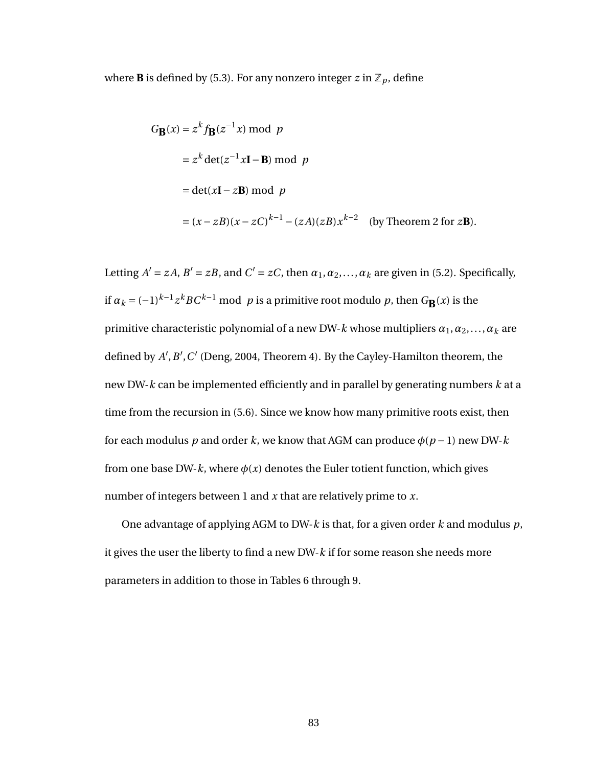where **B** is defined by [\(5.3\)](#page-80-1). For any nonzero integer  $z$  in  $\mathbb{Z}_p$ , define

$$
G_{\mathbf{B}}(x) = z^{k} f_{\mathbf{B}}(z^{-1}x) \bmod p
$$
  
=  $z^{k} \det(z^{-1}x\mathbf{I} - \mathbf{B}) \bmod p$   
=  $\det(x\mathbf{I} - z\mathbf{B}) \bmod p$   
=  $(x - zB)(x - zC)^{k-1} - (zA)(zB)x^{k-2}$  (by Theorem 2 for zB).

Letting  $A' = zA$ ,  $B' = zB$ , and  $C' = zC$ , then  $\alpha_1, \alpha_2, ..., \alpha_k$  are given in [\(5.2\)](#page-79-0). Specifically, if  $a_k = (-1)^{k-1} z^k BC^{k-1} \text{ mod } p$  is a primitive root modulo *p*, then  $G_{\mathbf{B}}(x)$  is the primitive characteristic polynomial of a new DW-*k* whose multipliers *α*1,*α*2,...,*α<sup>k</sup>* are defined by  $A$ <sup>'</sup>,  $B$ <sup>'</sup>,  $C$ <sup>'</sup> (Deng, 2004, Theorem 4). By the Cayley-Hamilton theorem, the new DW-*k* can be implemented efficiently and in parallel by generating numbers *k* at a time from the recursion in [\(5.6\)](#page-83-0). Since we know how many primitive roots exist, then for each modulus *p* and order *k*, we know that AGM can produce  $\phi(p-1)$  new DW-*k* from one base DW- $k$ , where  $\phi(x)$  denotes the Euler totient function, which gives number of integers between 1 and *x* that are relatively prime to *x*.

<span id="page-91-0"></span>One advantage of applying AGM to DW-*k* is that, for a given order *k* and modulus *p*, it gives the user the liberty to find a new DW-*k* if for some reason she needs more parameters in addition to those in Tables [6](#page-87-0) through [9.](#page-90-1)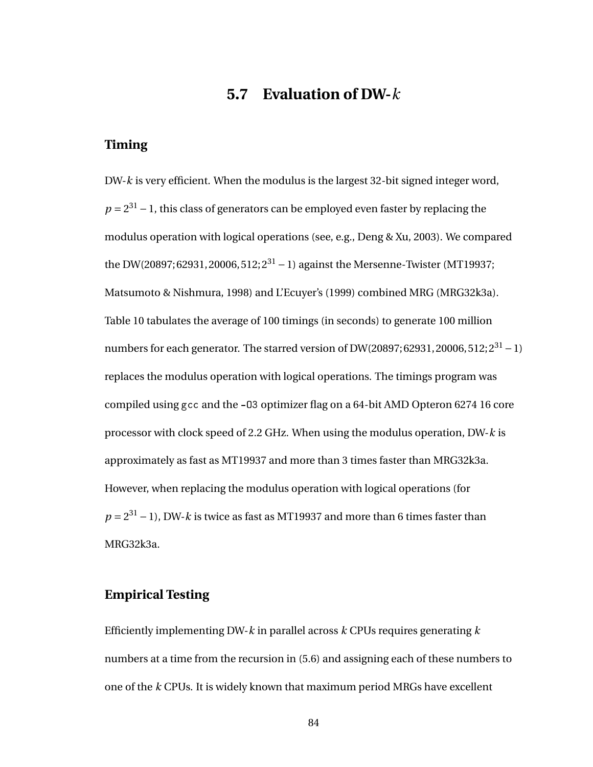### **5.7 Evaluation of DW-***k*

#### **Timing**

DW-*k* is very efficient. When the modulus is the largest 32-bit signed integer word,  $p = 2^{31} - 1$ , this class of generators can be employed even faster by replacing the modulus operation with logical operations (see, e.g., Deng & Xu, 2003). We compared the DW(20897; 62931, 20006, 512;  $2^{31} - 1$ ) against the Mersenne-Twister (MT19937; Matsumoto & Nishmura, 1998) and L'Ecuyer's (1999) combined MRG (MRG32k3a). Table [10](#page-93-0) tabulates the average of 100 timings (in seconds) to generate 100 million numbers for each generator. The starred version of DW(20897; 62931, 20006, 512;  $2^{31} - 1$ ) replaces the modulus operation with logical operations. The timings program was compiled using gcc and the -O3 optimizer flag on a 64-bit AMD Opteron 6274 16 core processor with clock speed of 2.2 GHz. When using the modulus operation, DW-*k* is approximately as fast as MT19937 and more than 3 times faster than MRG32k3a. However, when replacing the modulus operation with logical operations (for  $p = 2^{31} - 1$ ), DW-*k* is twice as fast as MT19937 and more than 6 times faster than MRG32k3a.

#### **Empirical Testing**

Efficiently implementing DW-*k* in parallel across *k* CPUs requires generating *k* numbers at a time from the recursion in [\(5.6\)](#page-83-0) and assigning each of these numbers to one of the *k* CPUs. It is widely known that maximum period MRGs have excellent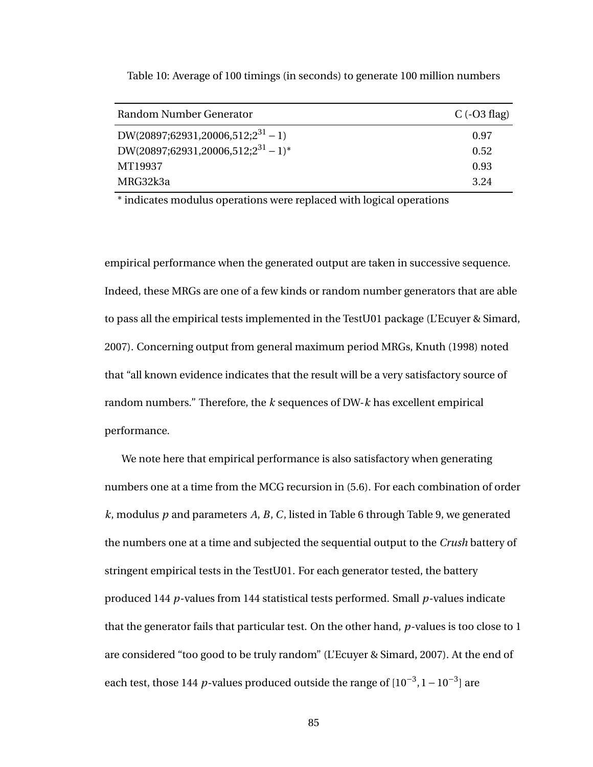| Random Number Generator                                    | C $(-03 \text{ flag})$ |
|------------------------------------------------------------|------------------------|
| DW(20897;62931,20006,512;2 <sup>31</sup> - 1)              | 0.97                   |
| DW(20897;62931,20006,512;2 <sup>31</sup> - 1) <sup>*</sup> | 0.52                   |
| MT19937                                                    | 0.93                   |
| MRG32k3a                                                   | 3.24                   |

<span id="page-93-0"></span>Table 10: Average of 100 timings (in seconds) to generate 100 million numbers

\* indicates modulus operations were replaced with logical operations

empirical performance when the generated output are taken in successive sequence. Indeed, these MRGs are one of a few kinds or random number generators that are able to pass all the empirical tests implemented in the TestU01 package (L'Ecuyer & Simard, 2007). Concerning output from general maximum period MRGs, Knuth (1998) noted that "all known evidence indicates that the result will be a very satisfactory source of random numbers." Therefore, the *k* sequences of DW-*k* has excellent empirical performance.

We note here that empirical performance is also satisfactory when generating numbers one at a time from the MCG recursion in [\(5.6\)](#page-83-0). For each combination of order *k*, modulus *p* and parameters *A*, *B*, *C*, listed in Table [6](#page-87-0) through Table [9,](#page-90-1) we generated the numbers one at a time and subjected the sequential output to the *Crush* battery of stringent empirical tests in the TestU01. For each generator tested, the battery produced 144 *p*-values from 144 statistical tests performed. Small *p*-values indicate that the generator fails that particular test. On the other hand, *p*-values is too close to 1 are considered "too good to be truly random" (L'Ecuyer & Simard, 2007). At the end of each test, those 144 *p*-values produced outside the range of  $[10^{-3}, 1 - 10^{-3}]$  are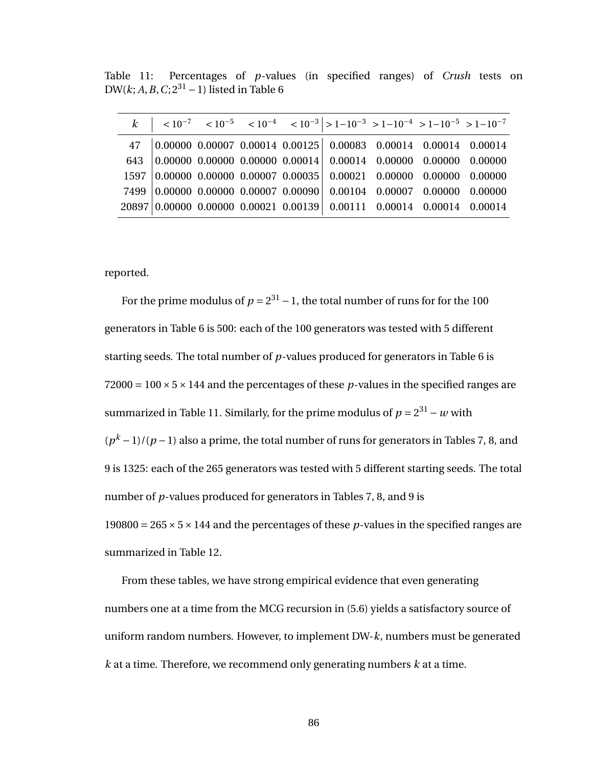<span id="page-94-0"></span>Table 11: Percentages of *p*-values (in specified ranges) of *Crush* tests on DW( $k$ ;  $A, B, C$ ;  $2^{31} - 1$ ) listed in Table [6](#page-87-0)

|  |  | 47 0.00000 0.00007 0.00014 0.00125 0.00083 0.00014 0.00014 0.00014              |  |  |
|--|--|---------------------------------------------------------------------------------|--|--|
|  |  | 643 $\big 0.00000 0.00000 0.00000 0.00014\big  0.00014 0.00000 0.00000 0.00000$ |  |  |
|  |  | 1597 0.00000 0.00000 0.00007 0.00035 0.00021 0.00000 0.00000 0.00000            |  |  |
|  |  | 7499 0.00000 0.00000 0.00007 0.00090 0.00104 0.00007 0.00000 0.00000            |  |  |
|  |  | 20897 0.00000 0.00000 0.00021 0.00139 0.00111 0.00014 0.00014 0.00014           |  |  |

reported.

For the prime modulus of  $p = 2^{31} - 1$ , the total number of runs for for the 100 generators in Table [6](#page-87-0) is 500: each of the 100 generators was tested with 5 different starting seeds. The total number of *p*-values produced for generators in Table [6](#page-87-0) is  $72000 = 100 \times 5 \times 144$  and the percentages of these p-values in the specified ranges are summarized in Table [11.](#page-94-0) Similarly, for the prime modulus of  $p = 2^{31} - w$  with  $(p<sup>k</sup> - 1)/(p - 1)$  also a prime, the total number of runs for generators in Tables [7,](#page-88-0) [8,](#page-89-0) and [9](#page-90-1) is 1325: each of the 265 generators was tested with 5 different starting seeds. The total number of *p*-values produced for generators in Tables [7,](#page-88-0) [8,](#page-89-0) and [9](#page-90-1) is 190800 =  $265 \times 5 \times 144$  and the percentages of these p-values in the specified ranges are summarized in Table [12.](#page-95-0)

From these tables, we have strong empirical evidence that even generating numbers one at a time from the MCG recursion in [\(5.6\)](#page-83-0) yields a satisfactory source of uniform random numbers. However, to implement DW-*k*, numbers must be generated *k* at a time. Therefore, we recommend only generating numbers *k* at a time.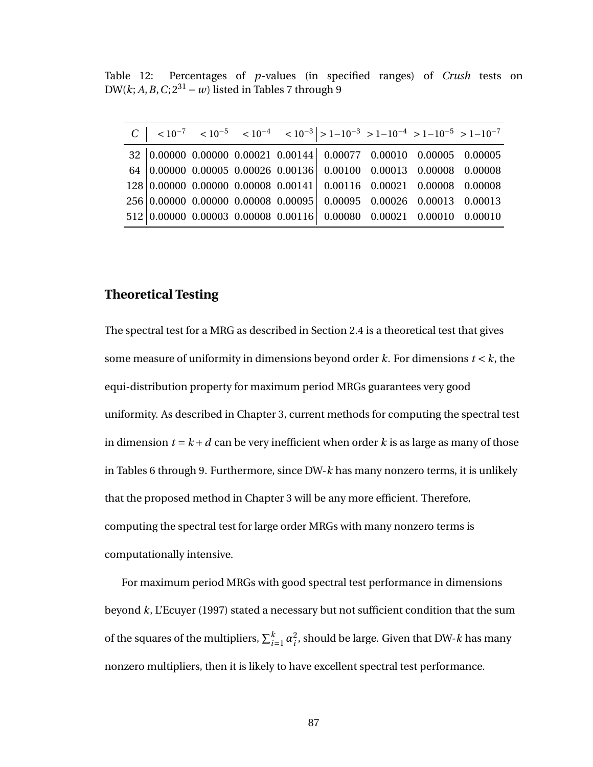<span id="page-95-0"></span>Table 12: Percentages of *p*-values (in specified ranges) of *Crush* tests on DW( $k$ ; *A*, *B*, *C*;  $2^{31} - w$ ) listed in Tables [7](#page-88-0) through [9](#page-90-1)

|  |  |  |                                                                       | $C$   $\langle 10^{-7}$ $\langle 10^{-5}$ $\langle 10^{-4}$ $\langle 10^{-3}   > 1 - 10^{-3}$ $> 1 - 10^{-4}$ $> 1 - 10^{-5}$ $> 1 - 10^{-7}$ |
|--|--|--|-----------------------------------------------------------------------|-----------------------------------------------------------------------------------------------------------------------------------------------|
|  |  |  | $32 0.00000 0.00000 0.00021 0.00144 0.00077 0.00010 0.00005 0.00005$  |                                                                                                                                               |
|  |  |  | $64 0.00000 0.00005 0.00026 0.00136 0.00100 0.00013 0.00008 0.00008$  |                                                                                                                                               |
|  |  |  | $128 0.00000 0.00000 0.00008 0.00141 0.00116 0.00021 0.00008 0.00008$ |                                                                                                                                               |
|  |  |  | $256 0.00000 0.00000 0.00008 0.00095 0.00095 0.00026 0.00013 0.00013$ |                                                                                                                                               |
|  |  |  | $512 0.00000 0.00003 0.00008 0.00116 0.00080 0.00021 0.00010 0.00010$ |                                                                                                                                               |

#### **Theoretical Testing**

The spectral test for a MRG as described in Section [2.4](#page-16-0) is a theoretical test that gives some measure of uniformity in dimensions beyond order *k*. For dimensions *t* < *k*, the equi-distribution property for maximum period MRGs guarantees very good uniformity. As described in Chapter [3,](#page-36-0) current methods for computing the spectral test in dimension  $t = k + d$  can be very inefficient when order k is as large as many of those in Tables [6](#page-87-0) through [9.](#page-90-1) Furthermore, since DW-*k* has many nonzero terms, it is unlikely that the proposed method in Chapter [3](#page-36-0) will be any more efficient. Therefore, computing the spectral test for large order MRGs with many nonzero terms is computationally intensive.

For maximum period MRGs with good spectral test performance in dimensions beyond *k*, L'Ecuyer (1997) stated a necessary but not sufficient condition that the sum of the squares of the multipliers,  $\sum_{i=1}^{k} \alpha_i^2$ *i* , should be large. Given that DW-*k* has many nonzero multipliers, then it is likely to have excellent spectral test performance.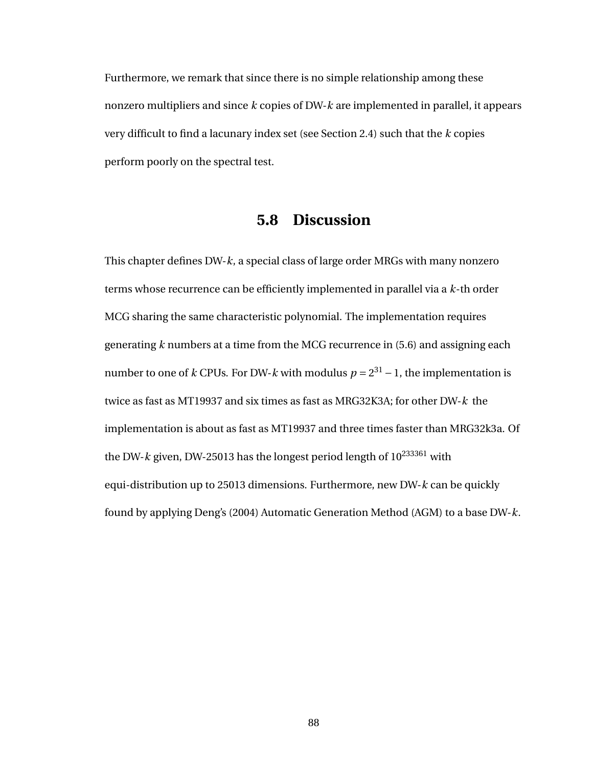Furthermore, we remark that since there is no simple relationship among these nonzero multipliers and since *k* copies of DW-*k* are implemented in parallel, it appears very difficult to find a lacunary index set (see Section [2.4\)](#page-16-0) such that the *k* copies perform poorly on the spectral test.

### **5.8 Discussion**

This chapter defines DW-*k*, a special class of large order MRGs with many nonzero terms whose recurrence can be efficiently implemented in parallel via a *k*-th order MCG sharing the same characteristic polynomial. The implementation requires generating *k* numbers at a time from the MCG recurrence in [\(5.6\)](#page-83-0) and assigning each number to one of *k* CPUs. For DW-*k* with modulus  $p = 2^{31} - 1$ , the implementation is twice as fast as MT19937 and six times as fast as MRG32K3A; for other DW-*k* the implementation is about as fast as MT19937 and three times faster than MRG32k3a. Of the DW- $k$  given, DW-25013 has the longest period length of  $10^{233361}$  with equi-distribution up to 25013 dimensions. Furthermore, new DW-*k* can be quickly found by applying Deng's (2004) Automatic Generation Method (AGM) to a base DW-*k*.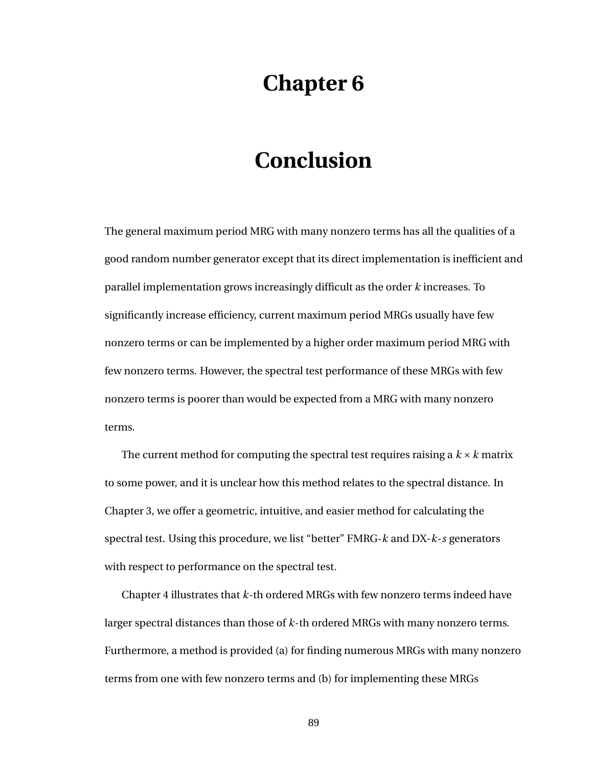# **Chapter 6**

## **Conclusion**

The general maximum period MRG with many nonzero terms has all the qualities of a good random number generator except that its direct implementation is inefficient and parallel implementation grows increasingly difficult as the order *k* increases. To significantly increase efficiency, current maximum period MRGs usually have few nonzero terms or can be implemented by a higher order maximum period MRG with few nonzero terms. However, the spectral test performance of these MRGs with few nonzero terms is poorer than would be expected from a MRG with many nonzero terms.

The current method for computing the spectral test requires raising a  $k \times k$  matrix to some power, and it is unclear how this method relates to the spectral distance. In Chapter [3,](#page-36-0) we offer a geometric, intuitive, and easier method for calculating the spectral test. Using this procedure, we list "better" FMRG-*k* and DX-*k*-*s* generators with respect to performance on the spectral test.

Chapter [4](#page-63-0) illustrates that *k*-th ordered MRGs with few nonzero terms indeed have larger spectral distances than those of *k*-th ordered MRGs with many nonzero terms. Furthermore, a method is provided (a) for finding numerous MRGs with many nonzero terms from one with few nonzero terms and (b) for implementing these MRGs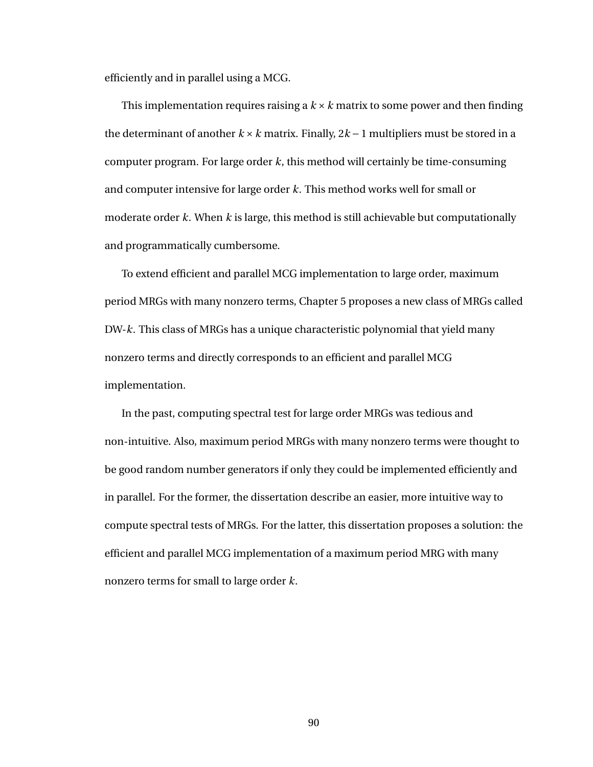efficiently and in parallel using a MCG.

This implementation requires raising a  $k \times k$  matrix to some power and then finding the determinant of another  $k \times k$  matrix. Finally,  $2k-1$  multipliers must be stored in a computer program. For large order *k*, this method will certainly be time-consuming and computer intensive for large order *k*. This method works well for small or moderate order *k*. When *k* is large, this method is still achievable but computationally and programmatically cumbersome.

To extend efficient and parallel MCG implementation to large order, maximum period MRGs with many nonzero terms, Chapter [5](#page-77-0) proposes a new class of MRGs called DW-*k*. This class of MRGs has a unique characteristic polynomial that yield many nonzero terms and directly corresponds to an efficient and parallel MCG implementation.

In the past, computing spectral test for large order MRGs was tedious and non-intuitive. Also, maximum period MRGs with many nonzero terms were thought to be good random number generators if only they could be implemented efficiently and in parallel. For the former, the dissertation describe an easier, more intuitive way to compute spectral tests of MRGs. For the latter, this dissertation proposes a solution: the efficient and parallel MCG implementation of a maximum period MRG with many nonzero terms for small to large order *k*.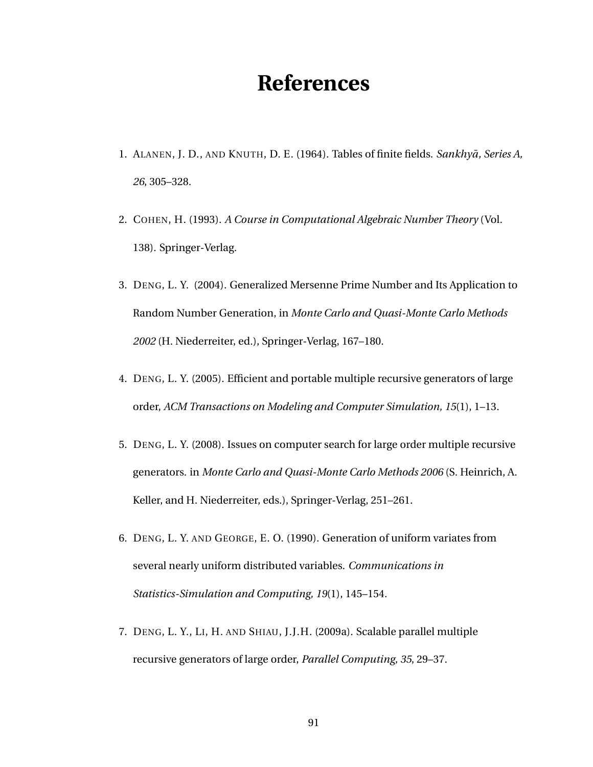# **References**

- 1. ALANEN, J. D., AND KNUTH, D. E. (1964). Tables of finite fields. *Sankhyā*, *Series A*, *26*, 305–328.
- 2. COHEN, H. (1993). *A Course in Computational Algebraic Number Theory* (Vol. 138). Springer-Verlag.
- 3. DENG, L. Y. (2004). Generalized Mersenne Prime Number and Its Application to Random Number Generation, in *Monte Carlo and Quasi-Monte Carlo Methods 2002* (H. Niederreiter, ed.), Springer-Verlag, 167–180.
- 4. DENG, L. Y. (2005). Efficient and portable multiple recursive generators of large order, *ACM Transactions on Modeling and Computer Simulation, 15*(1), 1–13.
- 5. DENG, L. Y. (2008). Issues on computer search for large order multiple recursive generators. in *Monte Carlo and Quasi-Monte Carlo Methods 2006* (S. Heinrich, A. Keller, and H. Niederreiter, eds.), Springer-Verlag, 251–261.
- 6. DENG, L. Y. AND GEORGE, E. O. (1990). Generation of uniform variates from several nearly uniform distributed variables. *Communications in Statistics-Simulation and Computing, 19*(1), 145–154.
- 7. DENG, L. Y., LI, H. AND SHIAU, J.J.H. (2009a). Scalable parallel multiple recursive generators of large order, *Parallel Computing, 35*, 29–37.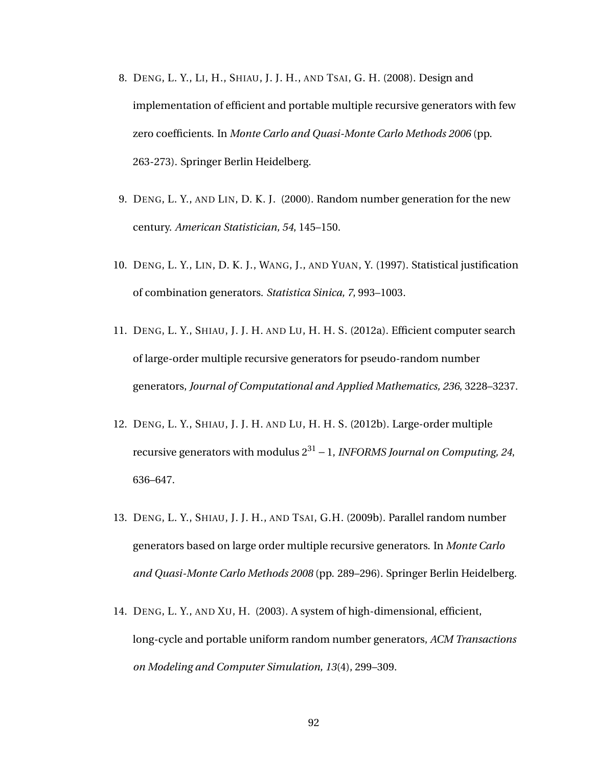- 8. DENG, L. Y., LI, H., SHIAU, J. J. H., AND TSAI, G. H. (2008). Design and implementation of efficient and portable multiple recursive generators with few zero coefficients. In *Monte Carlo and Quasi-Monte Carlo Methods 2006* (pp. 263-273). Springer Berlin Heidelberg.
- 9. DENG, L. Y., AND LIN, D. K. J. (2000). Random number generation for the new century. *American Statistician, 54*, 145–150.
- 10. DENG, L. Y., LIN, D. K. J., WANG, J., AND YUAN, Y. (1997). Statistical justification of combination generators. *Statistica Sinica, 7*, 993–1003.
- 11. DENG, L. Y., SHIAU, J. J. H. AND LU, H. H. S. (2012a). Efficient computer search of large-order multiple recursive generators for pseudo-random number generators, *Journal of Computational and Applied Mathematics, 236*, 3228–3237.
- 12. DENG, L. Y., SHIAU, J. J. H. AND LU, H. H. S. (2012b). Large-order multiple recursive generators with modulus 2<sup>31</sup> −1, *INFORMS Journal on Computing, 24*, 636–647.
- 13. DENG, L. Y., SHIAU, J. J. H., AND TSAI, G.H. (2009b). Parallel random number generators based on large order multiple recursive generators. In *Monte Carlo and Quasi-Monte Carlo Methods 2008* (pp. 289–296). Springer Berlin Heidelberg.
- 14. DENG, L. Y., AND XU, H. (2003). A system of high-dimensional, efficient, long-cycle and portable uniform random number generators, *ACM Transactions on Modeling and Computer Simulation, 13*(4), 299–309.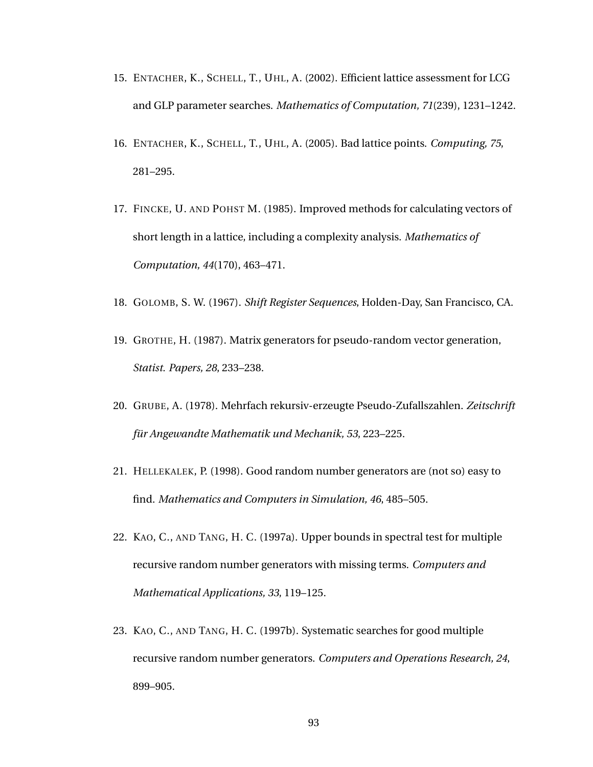- 15. ENTACHER, K., SCHELL, T., UHL, A. (2002). Efficient lattice assessment for LCG and GLP parameter searches. *Mathematics of Computation, 71*(239), 1231–1242.
- 16. ENTACHER, K., SCHELL, T., UHL, A. (2005). Bad lattice points. *Computing, 75*, 281–295.
- 17. FINCKE, U. AND POHST M. (1985). Improved methods for calculating vectors of short length in a lattice, including a complexity analysis. *Mathematics of Computation, 44*(170), 463–471.
- 18. GOLOMB, S. W. (1967). *Shift Register Sequences*, Holden-Day, San Francisco, CA.
- 19. GROTHE, H. (1987). Matrix generators for pseudo-random vector generation, *Statist. Papers, 28*, 233–238.
- 20. GRUBE, A. (1978). Mehrfach rekursiv-erzeugte Pseudo-Zufallszahlen. *Zeitschrift für Angewandte Mathematik und Mechanik, 53*, 223–225.
- 21. HELLEKALEK, P. (1998). Good random number generators are (not so) easy to find. *Mathematics and Computers in Simulation, 46*, 485–505.
- 22. KAO, C., AND TANG, H. C. (1997a). Upper bounds in spectral test for multiple recursive random number generators with missing terms. *Computers and Mathematical Applications, 33*, 119–125.
- 23. KAO, C., AND TANG, H. C. (1997b). Systematic searches for good multiple recursive random number generators. *Computers and Operations Research, 24*, 899–905.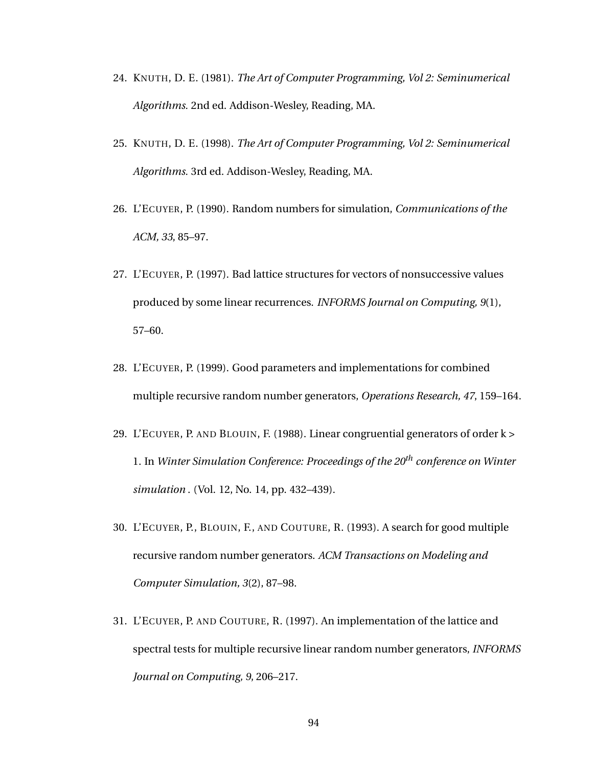- 24. KNUTH, D. E. (1981). *The Art of Computer Programming, Vol 2: Seminumerical Algorithms.* 2nd ed. Addison-Wesley, Reading, MA.
- 25. KNUTH, D. E. (1998). *The Art of Computer Programming, Vol 2: Seminumerical Algorithms.* 3rd ed. Addison-Wesley, Reading, MA.
- 26. L'ECUYER, P. (1990). Random numbers for simulation, *Communications of the ACM, 33*, 85–97.
- 27. L'ECUYER, P. (1997). Bad lattice structures for vectors of nonsuccessive values produced by some linear recurrences. *INFORMS Journal on Computing, 9*(1), 57–60.
- 28. L'ECUYER, P. (1999). Good parameters and implementations for combined multiple recursive random number generators, *Operations Research, 47*, 159–164.
- 29. L'ECUYER, P. AND BLOUIN, F. (1988). Linear congruential generators of order k > 1. In *Winter Simulation Conference: Proceedings of the 20th conference on Winter simulation* . (Vol. 12, No. 14, pp. 432–439).
- 30. L'ECUYER, P., BLOUIN, F., AND COUTURE, R. (1993). A search for good multiple recursive random number generators. *ACM Transactions on Modeling and Computer Simulation, 3*(2), 87–98.
- 31. L'ECUYER, P. AND COUTURE, R. (1997). An implementation of the lattice and spectral tests for multiple recursive linear random number generators, *INFORMS Journal on Computing, 9*, 206–217.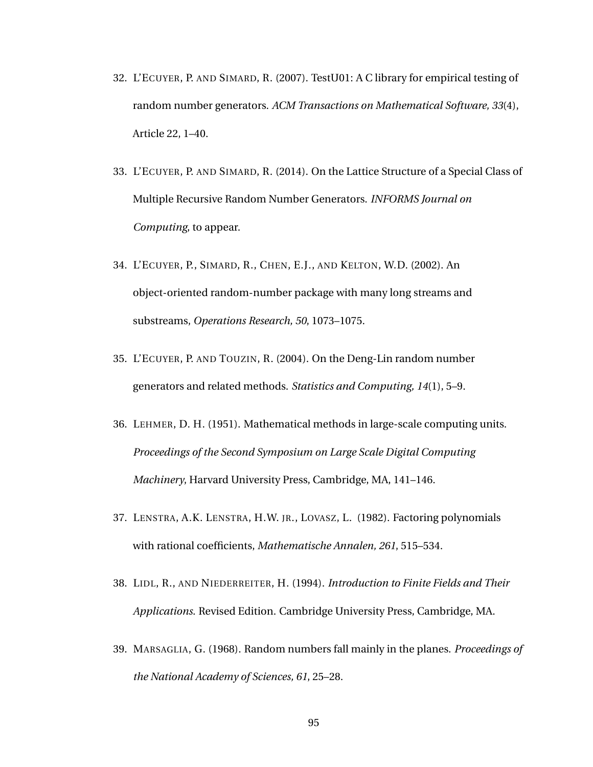- 32. L'ECUYER, P. AND SIMARD, R. (2007). TestU01: A C library for empirical testing of random number generators. *ACM Transactions on Mathematical Software, 33*(4), Article 22, 1–40.
- 33. L'ECUYER, P. AND SIMARD, R. (2014). On the Lattice Structure of a Special Class of Multiple Recursive Random Number Generators. *INFORMS Journal on Computing*, to appear.
- 34. L'ECUYER, P., SIMARD, R., CHEN, E.J., AND KELTON, W.D. (2002). An object-oriented random-number package with many long streams and substreams, *Operations Research, 50*, 1073–1075.
- 35. L'ECUYER, P. AND TOUZIN, R. (2004). On the Deng-Lin random number generators and related methods. *Statistics and Computing, 14*(1), 5–9.
- 36. LEHMER, D. H. (1951). Mathematical methods in large-scale computing units. *Proceedings of the Second Symposium on Large Scale Digital Computing Machinery*, Harvard University Press, Cambridge, MA, 141–146.
- 37. LENSTRA, A.K. LENSTRA, H.W. JR., LOVASZ, L. (1982). Factoring polynomials with rational coefficients, *Mathematische Annalen, 261*, 515–534.
- 38. LIDL, R., AND NIEDERREITER, H. (1994). *Introduction to Finite Fields and Their Applications*. Revised Edition. Cambridge University Press, Cambridge, MA.
- 39. MARSAGLIA, G. (1968). Random numbers fall mainly in the planes. *Proceedings of the National Academy of Sciences, 61*, 25–28.